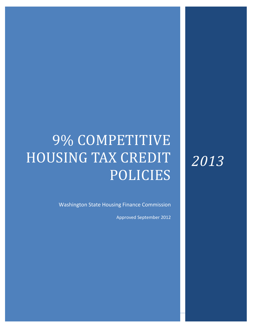# 9% COMPETITIVE HOUSING TAX CREDIT POLICIES

Washington State Housing Finance Commission

Approved September 2012

# *2013*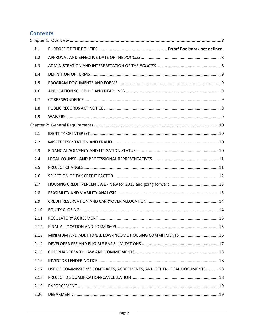# **Contents**

| 1.1  |                                                                        |  |
|------|------------------------------------------------------------------------|--|
| 1.2  |                                                                        |  |
| 1.3  |                                                                        |  |
| 1.4  |                                                                        |  |
| 1.5  |                                                                        |  |
| 1.6  |                                                                        |  |
| 1.7  |                                                                        |  |
| 1.8  |                                                                        |  |
| 1.9  |                                                                        |  |
|      |                                                                        |  |
| 2.1  |                                                                        |  |
| 2.2  |                                                                        |  |
| 2.3  |                                                                        |  |
| 2.4  |                                                                        |  |
| 2.5  |                                                                        |  |
| 2.6  |                                                                        |  |
| 2.7  |                                                                        |  |
| 2.8  |                                                                        |  |
| 2.9  |                                                                        |  |
| 2.10 |                                                                        |  |
| 2.11 |                                                                        |  |
| 2.12 |                                                                        |  |
| 2.13 | MINIMUM AND ADDITIONAL LOW-INCOME HOUSING COMMITMENTS  16              |  |
| 2.14 |                                                                        |  |
| 2.15 |                                                                        |  |
| 2.16 |                                                                        |  |
| 2.17 | USE OF COMMISSION'S CONTRACTS, AGREEMENTS, AND OTHER LEGAL DOCUMENTS18 |  |
| 2.18 |                                                                        |  |
| 2.19 |                                                                        |  |
| 2.20 |                                                                        |  |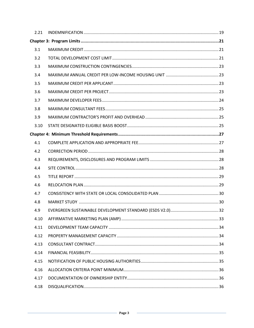| 2.21 |  |
|------|--|
|      |  |
| 3.1  |  |
| 3.2  |  |
| 3.3  |  |
| 3.4  |  |
| 3.5  |  |
| 3.6  |  |
| 3.7  |  |
| 3.8  |  |
| 3.9  |  |
| 3.10 |  |
|      |  |
| 4.1  |  |
| 4.2  |  |
| 4.3  |  |
| 4.4  |  |
| 4.5  |  |
| 4.6  |  |
| 4.7  |  |
| 4.8  |  |
| 4.9  |  |
| 4.10 |  |
| 4.11 |  |
| 4.12 |  |
| 4.13 |  |
| 4.14 |  |
| 4.15 |  |
| 4.16 |  |
| 4.17 |  |
| 4.18 |  |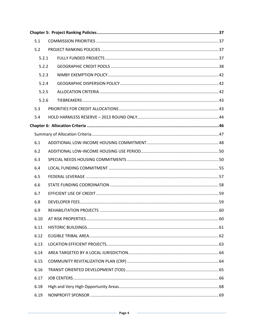| 5.1   |  |  |  |
|-------|--|--|--|
| 5.2   |  |  |  |
| 5.2.1 |  |  |  |
| 5.2.2 |  |  |  |
| 5.2.3 |  |  |  |
| 5.2.4 |  |  |  |
| 5.2.5 |  |  |  |
| 5.2.6 |  |  |  |
| 5.3   |  |  |  |
| 5.4   |  |  |  |
|       |  |  |  |
|       |  |  |  |
| 6.1   |  |  |  |
| 6.2   |  |  |  |
| 6.3   |  |  |  |
| 6.4   |  |  |  |
| 6.5   |  |  |  |
| 6.6   |  |  |  |
| 6.7   |  |  |  |
| 6.8   |  |  |  |
| 6.9   |  |  |  |
| 6.10  |  |  |  |
| 6.11  |  |  |  |
| 6.12  |  |  |  |
| 6.13  |  |  |  |
| 6.14  |  |  |  |
| 6.15  |  |  |  |
| 6.16  |  |  |  |
| 6.17  |  |  |  |
| 6.18  |  |  |  |
| 6.19  |  |  |  |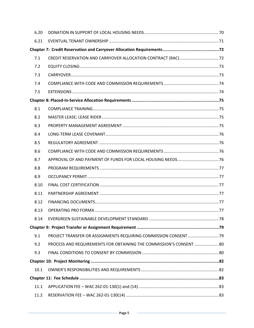| 6.20 |                                                                     |  |
|------|---------------------------------------------------------------------|--|
| 6.21 |                                                                     |  |
|      |                                                                     |  |
| 7.1  |                                                                     |  |
| 7.2  |                                                                     |  |
| 7.3  |                                                                     |  |
| 7.4  |                                                                     |  |
| 7.5  |                                                                     |  |
|      |                                                                     |  |
| 8.1  |                                                                     |  |
| 8.2  |                                                                     |  |
| 8.3  |                                                                     |  |
| 8.4  |                                                                     |  |
| 8.5  |                                                                     |  |
| 8.6  |                                                                     |  |
| 8.7  |                                                                     |  |
| 8.8  |                                                                     |  |
| 8.9  |                                                                     |  |
| 8.10 |                                                                     |  |
| 8.11 |                                                                     |  |
| 8.12 |                                                                     |  |
| 8.13 |                                                                     |  |
| 8.14 |                                                                     |  |
|      |                                                                     |  |
| 9.1  | PROJECT TRANSFER OR ASSIGNMENTS REQUIRING COMMISSION CONSENT 79     |  |
| 9.2  | PROCESS AND REQUIREMENTS FOR OBTAINING THE COMMISSION'S CONSENT  80 |  |
| 9.3  |                                                                     |  |
|      |                                                                     |  |
| 10.1 |                                                                     |  |
|      |                                                                     |  |
| 11.1 |                                                                     |  |
| 11.2 |                                                                     |  |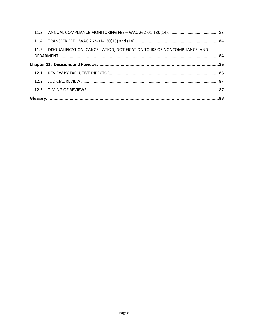| 11.5 | DISQUALIFICATION, CANCELLATION, NOTIFICATION TO IRS OF NONCOMPLIANCE, AND |  |
|------|---------------------------------------------------------------------------|--|
|      |                                                                           |  |
|      |                                                                           |  |
|      |                                                                           |  |
| 12.2 |                                                                           |  |
|      |                                                                           |  |
|      |                                                                           |  |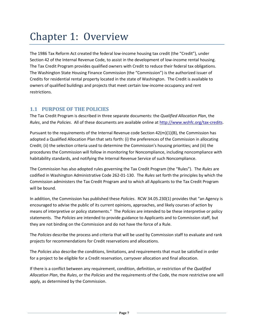# <span id="page-6-0"></span>Chapter 1: Overview

The 1986 Tax Reform Act created the federal low-income housing tax credit (the "Credit"), under Section 42 of the Internal Revenue Code, to assist in the development of low-income rental housing. The Tax Credit Program provides qualified owners with Credit to reduce their federal tax obligations. The Washington State Housing Finance Commission (the "Commission") is the authorized issuer of Credits for residential rental property located in the state of Washington. The Credit is available to owners of qualified buildings and projects that meet certain low-income occupancy and rent restrictions.

#### **1.1 PURPOSE OF THE POLICIES**

The Tax Credit Program is described in three separate documents: the *Qualified Allocation Plan*, the *Rules*, and the *Policies*. All of these documents are available online a[t http://www.wshfc.org/tax-credits.](http://www.wshfc.org/tax-credits)

Pursuant to the requirements of the Internal Revenue code Section 42(m)(1)(B), the Commission has adopted a Qualified Allocation Plan that sets forth: (i) the preferences of the Commission in allocating Credit; (ii) the selection criteria used to determine the Commission's housing priorities; and (iii) the procedures the Commission will follow in monitoring for Noncompliance, including noncompliance with habitability standards, and notifying the Internal Revenue Service of such Noncompliance.

The Commission has also adopted rules governing the Tax Credit Program (the "Rules"). The *Rules* are codified in Washington Administrative Code 262-01-130. The *Rules* set forth the principles by which the Commission administers the Tax Credit Program and to which all Applicants to the Tax Credit Program will be bound.

In addition, the Commission has published these *Policies*. RCW 34.05.230(1) provides that "an Agency is encouraged to advise the public of its current opinions, approaches, and likely courses of action by means of interpretive or policy statements." The *Policies* are intended to be these interpretive or policy statements. The *Policies* are intended to provide guidance to Applicants and to Commission staff, but they are not binding on the Commission and do not have the force of a Rule.

The *Policies* describe the process and criteria that will be used by Commission staff to evaluate and rank projects for recommendations for Credit reservations and allocations.

The *Policies* also describe the conditions, limitations, and requirements that must be satisfied in order for a project to be eligible for a Credit reservation, carryover allocation and final allocation.

If there is a conflict between any requirement, condition, definition, or restriction of the *Qualified Allocation Plan*, the *Rules*, or the *Policies* and the requirements of the Code, the more restrictive one will apply, as determined by the Commission.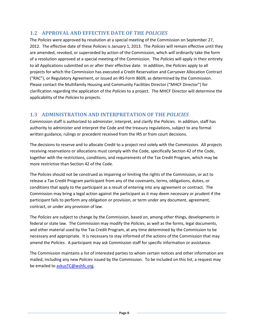# <span id="page-7-0"></span>**1.2 APPROVAL AND EFFECTIVE DATE OF THE** *POLICIES*

The *Policies* were approved by resolution at a special meeting of the Commission on September 27, 2012. The effective date of these *Policies* is January 1, 2013. The *Policies* will remain effective until they are amended, revoked, or superseded by action of the Commission, which will ordinarily take the form of a resolution approved at a special meeting of the Commission. The *Policies* will apply in their entirety to all Applications submitted on or after their effective date. In addition, the *Policies* apply to all projects for which the Commission has executed a Credit Reservation and Carryover Allocation Contract ("RAC"), or Regulatory Agreement, or issued an IRS Form 8609, as determined by the Commission. Please contact the Multifamily Housing and Community Facilities Director ("MHCF Director") for clarification regarding the application of the *Policies* to a project. The MHCF Director will determine the applicability of the *Policies* to projects.

# <span id="page-7-1"></span>**1.3 ADMINISTRATION AND INTERPRETATION OF THE** *POLICIES*

Commission staff is authorized to administer, interpret, and clarify the *Policies*. In addition, staff has authority to administer and interpret the Code and the treasury regulations, subject to any formal written guidance, rulings or precedent received from the IRS or from court decisions.

The decisions to reserve and to allocate Credit to a project rest solely with the Commission. All projects receiving reservations or allocations must comply with the Code, specifically Section 42 of the Code, together with the restrictions, conditions, and requirements of the Tax Credit Program, which may be more restrictive than Section 42 of the Code.

The *Policies* should not be construed as impairing or limiting the rights of the Commission, or act to release a Tax Credit Program participant from any of the covenants, terms, obligations, duties, or conditions that apply to the participant as a result of entering into any agreement or contract. The Commission may bring a legal action against the participant as it may deem necessary or prudent if the participant fails to perform any obligation or provision, or term under any document, agreement, contract, or under any provision of law.

The *Policies* are subject to change by the Commission, based on, among other things, developments in federal or state law. The Commission may modify the *Policies*, as well as the forms, legal documents, and other material used by the Tax Credit Program, at any time determined by the Commission to be necessary and appropriate. It is necessary to stay informed of the actions of the Commission that may amend the *Policies*. A participant may ask Commission staff for specific information or assistance.

The Commission maintains a list of interested parties to whom certain notices and other information are mailed, including any new *Policies* issued by the Commission. To be included on this list, a request may be emailed to [askusTC@wshfc.org.](mailto:askusTC@wshfc.org)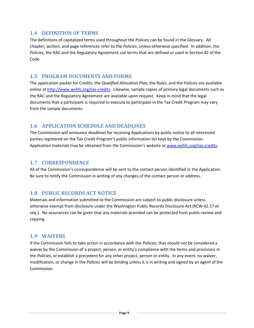#### <span id="page-8-0"></span>**1.4 DEFINITION OF TERMS**

The definitions of capitalized terms used throughout the *Policies* can be found in the Glossary. All chapter, section, and page references refer to the *Policies*, unless otherwise specified. In addition, the *Policies*, the RAC and the Regulatory Agreement use terms that are defined or used in Section 42 of the Code.

#### <span id="page-8-1"></span>**1.5 PROGRAM DOCUMENTS AND FORMS**

The application packet for Credits, the *Qualified Allocation Plan*, the *Rules*, and the *Policies* are available online at [http://www.wshfc.org/tax-credits.](http://www.wshfc.org/tax-credits) Likewise, sample copies of primary legal documents such as the RAC and the Regulatory Agreement are available upon request. Keep in mind that the legal documents that a participant is required to execute to participate in the Tax Credit Program may vary from the sample documents.

#### <span id="page-8-2"></span>**1.6 APPLICATION SCHEDULE AND DEADLINES**

The Commission will announce deadlines for receiving Applications by public notice to all interested parties registered on the Tax Credit Program's public information list kept by the Commission. Application materials may be obtained from the Commission's website at [www.wshfc.org/tax-credits.](http://www.wshfc.org/tax-credits)

#### <span id="page-8-3"></span>**1.7 CORRESPONDENCE**

All of the Commission's correspondence will be sent to the contact person identified in the Application. Be sure to notify the Commission in writing of any changes of the contact person or address.

#### <span id="page-8-4"></span>**1.8 PUBLIC RECORDS ACT NOTICE**

Materials and information submitted to the Commission are subject to public disclosure unless otherwise exempt from disclosure under the Washington Public Records Disclosure Act (RCW 42.17 et seq.). No assurances can be given that any materials provided can be protected from public review and copying.

#### <span id="page-8-5"></span>**1.9 WAIVERS**

If the Commission fails to take action in accordance with the *Policies*, that should not be considered a waiver by the Commission of a project, person, or entity's compliance with the terms and provisions in the *Policies*, or establish a precedent for any other project, person or entity. In any event, no waiver, modification, or change in the *Policies* will be binding unless it is in writing and signed by an agent of the Commission.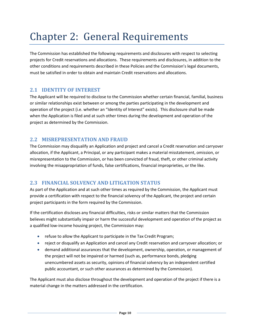# <span id="page-9-0"></span>Chapter 2: General Requirements

The Commission has established the following requirements and disclosures with respect to selecting projects for Credit reservations and allocations. These requirements and disclosures, in addition to the other conditions and requirements described in these Policies and the Commission's legal documents, must be satisfied in order to obtain and maintain Credit reservations and allocations.

#### <span id="page-9-1"></span>**2.1 IDENTITY OF INTEREST**

The Applicant will be required to disclose to the Commission whether certain financial, familial, business or similar relationships exist between or among the parties participating in the development and operation of the project (i.e. whether an "Identity of Interest" exists). This disclosure shall be made when the Application is filed and at such other times during the development and operation of the project as determined by the Commission.

#### <span id="page-9-2"></span>**2.2 MISREPRESENTATION AND FRAUD**

The Commission may disqualify an Application and project and cancel a Credit reservation and carryover allocation, if the Applicant, a Principal, or any participant makes a material misstatement, omission, or misrepresentation to the Commission, or has been convicted of fraud, theft, or other criminal activity involving the misappropriation of funds, false certifications, financial improprieties, or the like.

# <span id="page-9-3"></span>**2.3 FINANCIAL SOLVENCY AND LITIGATION STATUS**

As part of the Application and at such other times as required by the Commission, the Applicant must provide a certification with respect to the financial solvency of the Applicant, the project and certain project participants in the form required by the Commission.

If the certification discloses any financial difficulties, risks or similar matters that the Commission believes might substantially impair or harm the successful development and operation of the project as a qualified low-income housing project, the Commission may:

- refuse to allow the Applicant to participate in the Tax Credit Program;
- reject or disqualify an Application and cancel any Credit reservation and carryover allocation; or
- demand additional assurances that the development, ownership, operation, or management of the project will not be impaired or harmed (such as, performance bonds, pledging unencumbered assets as security, opinions of financial solvency by an independent certified public accountant, or such other assurances as determined by the Commission).

The Applicant must also disclose throughout the development and operation of the project if there is a material change in the matters addressed in the certification.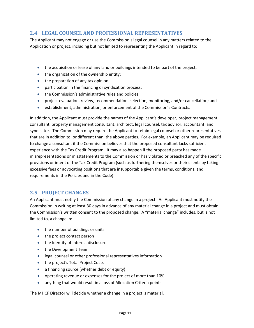#### <span id="page-10-0"></span>**2.4 LEGAL COUNSEL AND PROFESSIONAL REPRESENTATIVES**

The Applicant may not engage or use the Commission's legal counsel in any matters related to the Application or project, including but not limited to representing the Applicant in regard to:

- the acquisition or lease of any land or buildings intended to be part of the project;
- the organization of the ownership entity;
- the preparation of any tax opinion;
- participation in the financing or syndication process;
- the Commission's administrative rules and policies;
- project evaluation, review, recommendation, selection, monitoring, and/or cancellation; and
- establishment, administration, or enforcement of the Commission's Contracts.

In addition, the Applicant must provide the names of the Applicant's developer, project management consultant, property management consultant, architect, legal counsel, tax advisor, accountant, and syndicator. The Commission may require the Applicant to retain legal counsel or other representatives that are in addition to, or different than, the above parties. For example, an Applicant may be required to change a consultant if the Commission believes that the proposed consultant lacks sufficient experience with the Tax Credit Program. It may also happen if the proposed party has made misrepresentations or misstatements to the Commission or has violated or breached any of the specific provisions or intent of the Tax Credit Program (such as furthering themselves or their clients by taking excessive fees or advocating positions that are insupportable given the terms, conditions, and requirements in the Policies and in the Code).

#### <span id="page-10-1"></span>**2.5 PROJECT CHANGES**

An Applicant must notify the Commission of any change in a project. An Applicant must notify the Commission in writing at least 30 days in advance of any material change in a project and must obtain the Commission's written consent to the proposed change. A "material change" includes, but is not limited to, a change in:

- the number of buildings or units
- the project contact person
- the Identity of Interest disclosure
- the Development Team
- legal counsel or other professional representatives information
- the project's Total Project Costs
- a financing source (whether debt or equity)
- operating revenue or expenses for the project of more than 10%
- anything that would result in a loss of Allocation Criteria points

The MHCF Director will decide whether a change in a project is material.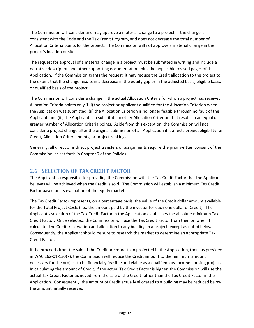The Commission will consider and may approve a material change to a project, if the change is consistent with the Code and the Tax Credit Program, and does not decrease the total number of Allocation Criteria points for the project. The Commission will not approve a material change in the project's location or site.

The request for approval of a material change in a project must be submitted in writing and include a narrative description and other supporting documentation, plus the applicable revised pages of the Application. If the Commission grants the request, it may reduce the Credit allocation to the project to the extent that the change results in a decrease in the equity gap or in the adjusted basis, eligible basis, or qualified basis of the project.

The Commission will consider a change in the actual Allocation Criteria for which a project has received Allocation Criteria points only if (i) the project or Applicant qualified for the Allocation Criterion when the Application was submitted; (ii) the Allocation Criterion is no longer feasible through no fault of the Applicant; and (iii) the Applicant can substitute another Allocation Criterion that results in an equal or greater number of Allocation Criteria points. Aside from this exception, the Commission will not consider a project change after the original submission of an Application if it affects project eligibility for Credit, Allocation Criteria points, or project rankings.

Generally, all direct or indirect project transfers or assignments require the prior written consent of the Commission, as set forth in Chapter 9 of the Policies.

# <span id="page-11-0"></span>**2.6 SELECTION OF TAX CREDIT FACTOR**

The Applicant is responsible for providing the Commission with the Tax Credit Factor that the Applicant believes will be achieved when the Credit is sold. The Commission will establish a minimum Tax Credit Factor based on its evaluation of the equity market.

The Tax Credit Factor represents, on a percentage basis, the value of the Credit dollar amount available for the Total Project Costs (i.e., the amount paid by the investor for each one dollar of Credit). The Applicant's selection of the Tax Credit Factor in the Application establishes the absolute minimum Tax Credit Factor. Once selected, the Commission will use the Tax Credit Factor from then on when it calculates the Credit reservation and allocation to any building in a project, except as noted below. Consequently, the Applicant should be sure to research the market to determine an appropriate Tax Credit Factor.

If the proceeds from the sale of the Credit are more than projected in the Application, then, as provided in WAC 262-01-130(7), the Commission will reduce the Credit amount to the minimum amount necessary for the project to be financially feasible and viable as a qualified low-income housing project. In calculating the amount of Credit, if the actual Tax Credit Factor is higher, the Commission will use the actual Tax Credit Factor achieved from the sale of the Credit rather than the Tax Credit Factor in the Application. Consequently, the amount of Credit actually allocated to a building may be reduced below the amount initially reserved.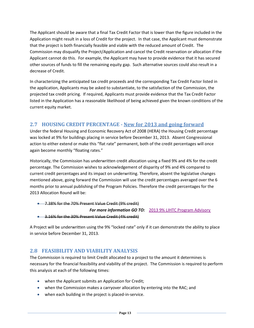The Applicant should be aware that a final Tax Credit Factor that is lower than the figure included in the Application might result in a loss of Credit for the project. In that case, the Applicant must demonstrate that the project is both financially feasible and viable with the reduced amount of Credit. The Commission may disqualify the Project/Application and cancel the Credit reservation or allocation if the Applicant cannot do this. For example, the Applicant may have to provide evidence that it has secured other sources of funds to fill the remaining equity gap. Such alternative sources could also result in a decrease of Credit.

In characterizing the anticipated tax credit proceeds and the corresponding Tax Credit Factor listed in the application, Applicants may be asked to substantiate, to the satisfaction of the Commission, the projected tax credit pricing. If required, Applicants must provide evidence that the Tax Credit Factor listed in the Application has a reasonable likelihood of being achieved given the known conditions of the current equity market.

# <span id="page-12-0"></span>**2.7 HOUSING CREDIT PERCENTAGE - New for 2013 and going forward**

Under the federal Housing and Economic Recovery Act of 2008 (HERA) the Housing Credit percentage was locked at 9% for buildings placing in service before December 31, 2013. Absent Congressional action to either extend or make this "flat rate" permanent, both of the credit percentages will once again become monthly "floating rates."

Historically, the Commission has underwritten credit allocation using a fixed 9% and 4% for the credit percentage. The Commission wishes to acknowledgement of disparity of 9% and 4% compared to current credit percentages and its impact on underwriting. Therefore, absent the legislative changes mentioned above, going forward the Commission will use the credit percentages averaged over the 6 months prior to annual publishing of the Program Policies. Therefore the credit percentages for the 2013 Allocation Round will be:

• 7.38% for the 70% Present Value Credit (9% credit)

#### **For more information GO TO:** [2013 9% LIHTC Program Advisor](http://www.wshfc.org/tax-credits/application/2013ProgramAdvisories_1.pdf)y

• 3.16% for the 30% Present Value Credit (4% credit)

A Project will be underwritten using the 9% "locked rate" only if it can demonstrate the ability to place in service before December 31, 2013.

#### <span id="page-12-1"></span>**2.8 FEASIBILITY AND VIABILITY ANALYSIS**

The Commission is required to limit Credit allocated to a project to the amount it determines is necessary for the financial feasibility and viability of the project. The Commission is required to perform this analysis at each of the following times:

- when the Applicant submits an Application for Credit;
- when the Commission makes a carryover allocation by entering into the RAC; and
- when each building in the project is placed-in-service.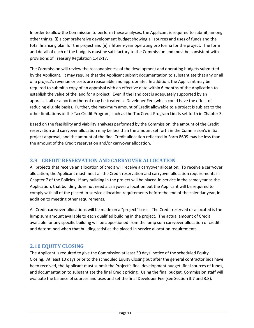In order to allow the Commission to perform these analyses, the Applicant is required to submit, among other things, (i) a comprehensive development budget showing all sources and uses of funds and the total financing plan for the project and (ii) a fifteen-year operating pro forma for the project. The form and detail of each of the budgets must be satisfactory to the Commission and must be consistent with provisions of Treasury Regulation 1.42-17.

The Commission will review the reasonableness of the development and operating budgets submitted by the Applicant. It may require that the Applicant submit documentation to substantiate that any or all of a project's revenue or costs are reasonable and appropriate. In addition, the Applicant may be required to submit a copy of an appraisal with an effective date within 6 months of the Application to establish the value of the land for a project. Even if the land cost is adequately supported by an appraisal, all or a portion thereof may be treated as Developer Fee (which could have the effect of reducing eligible basis). Further, the maximum amount of Credit allowable to a project is subject to the other limitations of the Tax Credit Program, such as the Tax Credit Program Limits set forth in Chapter 3.

Based on the feasibility and viability analyses performed by the Commission, the amount of the Credit reservation and carryover allocation may be less than the amount set forth in the Commission's initial project approval, and the amount of the final Credit allocation reflected in Form 8609 may be less than the amount of the Credit reservation and/or carryover allocation.

# <span id="page-13-0"></span>**2.9 CREDIT RESERVATION AND CARRYOVER ALLOCATION**

All projects that receive an allocation of credit will receive a carryover allocation. To receive a carryover allocation, the Applicant must meet all the Credit reservation and carryover allocation requirements in Chapter 7 of the Policies. If any building in the project will be placed-in-service in the same year as the Application, that building does not need a carryover allocation but the Applicant will be required to comply with all of the placed-in-service allocation requirements before the end of the calendar year, in addition to meeting other requirements.

All Credit carryover allocations will be made on a "project" basis. The Credit reserved or allocated is the lump sum amount available to each qualified building in the project. The actual amount of Credit available for any specific building will be apportioned from the lump sum carryover allocation of credit and determined when that building satisfies the placed-in-service allocation requirements.

#### <span id="page-13-1"></span>**2.10 EQUITY CLOSING**

The Applicant is required to give the Commission at least 30 days' notice of the scheduled Equity Closing. At least 10 days prior to the scheduled Equity Closing but after the general contractor bids have been received, the Applicant must submit the Project's final development budget, final sources of funds, and documentation to substantiate the final Credit pricing. Using the final budget, Commission staff will evaluate the balance of sources and uses and set the final Developer Fee (see Section 3.7 and 3.8).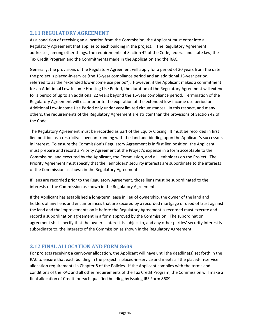#### <span id="page-14-0"></span>**2.11 REGULATORY AGREEMENT**

As a condition of receiving an allocation from the Commission, the Applicant must enter into a Regulatory Agreement that applies to each building in the project. The Regulatory Agreement addresses, among other things, the requirements of Section 42 of the Code, federal and state law, the Tax Credit Program and the Commitments made in the Application and the RAC.

Generally, the provisions of the Regulatory Agreement will apply for a period of 30 years from the date the project is placed-in-service (the 15-year compliance period and an additional 15-year period, referred to as the "extended low-income use period"). However, if the Applicant makes a commitment for an Additional Low-Income Housing Use Period, the duration of the Regulatory Agreement will extend for a period of up to an additional 22 years beyond the 15-year compliance period. Termination of the Regulatory Agreement will occur prior to the expiration of the extended low-income use period or Additional Low-Income Use Period only under very limited circumstances. In this respect, and many others, the requirements of the Regulatory Agreement are stricter than the provisions of Section 42 of the Code.

The Regulatory Agreement must be recorded as part of the Equity Closing. It must be recorded in first lien position as a restrictive covenant running with the land and binding upon the Applicant's successors in interest. To ensure the Commission's Regulatory Agreement is in first lien position, the Applicant must prepare and record a Priority Agreement at the Project's expense in a form acceptable to the Commission, and executed by the Applicant, the Commission, and all lienholders on the Project. The Priority Agreement must specify that the lienholders' security interests are subordinate to the interests of the Commission as shown in the Regulatory Agreement.

If liens are recorded prior to the Regulatory Agreement, those liens must be subordinated to the interests of the Commission as shown in the Regulatory Agreement.

If the Applicant has established a long-term lease in lieu of ownership, the owner of the land and holders of any liens and encumbrances that are secured by a recorded mortgage or deed of trust against the land and the improvements on it before the Regulatory Agreement is recorded must execute and record a subordination agreement in a form approved by the Commission. The subordination agreement shall specify that the owner's interest is subject to, and any other parties' security interest is subordinate to, the interests of the Commission as shown in the Regulatory Agreement.

#### <span id="page-14-1"></span>**2.12 FINAL ALLOCATION AND FORM 8609**

For projects receiving a carryover allocation, the Applicant will have until the deadline(s) set forth in the RAC to ensure that each building in the project is placed-in-service and meets all the placed-in-service allocation requirements in Chapter 8 of the Policies. If the Applicant complies with the terms and conditions of the RAC and all other requirements of the Tax Credit Program, the Commission will make a final allocation of Credit for each qualified building by issuing IRS Form 8609.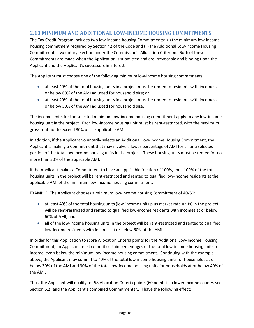# <span id="page-15-0"></span>**2.13 MINIMUM AND ADDITIONAL LOW-INCOME HOUSING COMMITMENTS**

The Tax Credit Program includes two low-income housing Commitments: (i) the minimum low-income housing commitment required by Section 42 of the Code and (ii) the Additional Low-Income Housing Commitment, a voluntary election under the Commission's Allocation Criterion. Both of these Commitments are made when the Application is submitted and are irrevocable and binding upon the Applicant and the Applicant's successors in interest.

The Applicant must choose one of the following minimum low-income housing commitments:

- at least 40% of the total housing units in a project must be rented to residents with incomes at or below 60% of the AMI adjusted for household size; or
- at least 20% of the total housing units in a project must be rented to residents with incomes at or below 50% of the AMI adjusted for household size.

The income limits for the selected minimum low-income housing commitment apply to any low-income housing unit in the project. Each low-income housing unit must be rent-restricted, with the maximum gross rent not to exceed 30% of the applicable AMI.

In addition, if the Applicant voluntarily selects an Additional Low-Income Housing Commitment, the Applicant is making a Commitment that may involve a lower percentage of AMI for all or a selected portion of the total low-income housing units in the project. These housing units must be rented for no more than 30% of the applicable AMI.

If the Applicant makes a Commitment to have an applicable fraction of 100%, then 100% of the total housing units in the project will be rent-restricted and rented to qualified low-income residents at the applicable AMI of the minimum low-income housing commitment.

EXAMPLE: The Applicant chooses a minimum low-income housing Commitment of 40/60:

- at least 40% of the total housing units (low-income units plus market rate units) in the project will be rent-restricted and rented to qualified low-income residents with incomes at or below 60% of AMI; and
- all of the low-income housing units in the project will be rent-restricted and rented to qualified low-income residents with incomes at or below 60% of the AMI.

In order for this Application to score Allocation Criteria points for the Additional Low-Income Housing Commitment, an Applicant must commit certain percentages of the total low-income housing units to income levels below the minimum low-income housing commitment. Continuing with the example above, the Applicant may commit to 40% of the total low-income housing units for households at or below 30% of the AMI and 30% of the total low-income housing units for households at or below 40% of the AMI.

Thus, the Applicant will qualify for 58 Allocation Criteria points (60 points in a lower income county, see Section 6.2) and the Applicant's combined Commitments will have the following effect: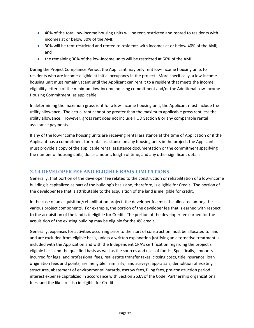- 40% of the total low-income housing units will be rent-restricted and rented to residents with incomes at or below 30% of the AMI;
- 30% will be rent-restricted and rented to residents with incomes at or below 40% of the AMI; and
- the remaining 30% of the low-income units will be restricted at 60% of the AMI.

During the Project Compliance Period, the Applicant may only rent low-income housing units to residents who are income-eligible at initial occupancy in the project. More specifically, a low-income housing unit must remain vacant until the Applicant can rent it to a resident that meets the income eligibility criteria of the minimum low-income housing commitment and/or the Additional Low-Income Housing Commitment, as applicable.

In determining the maximum gross rent for a low-income housing unit, the Applicant must include the utility allowance. The actual rent cannot be greater than the maximum applicable gross rent less the utility allowance. However, gross rent does not include HUD Section 8 or any comparable rental assistance payments.

If any of the low-income housing units are receiving rental assistance at the time of Application or if the Applicant has a commitment for rental assistance on any housing units in the project, the Applicant must provide a copy of the applicable rental assistance documentation or the commitment specifying the number of housing units, dollar amount, length of time, and any other significant details.

#### <span id="page-16-0"></span>**2.14 DEVELOPER FEE AND ELIGIBLE BASIS LIMITATIONS**

Generally, that portion of the developer fee related to the construction or rehabilitation of a low-income building is capitalized as part of the building's basis and, therefore, is eligible for Credit. The portion of the developer fee that is attributable to the acquisition of the land is ineligible for credit.

In the case of an acquisition/rehabilitation project, the developer fee must be allocated among the various project components. For example, the portion of the developer fee that is earned with respect to the acquisition of the land is ineligible for Credit. The portion of the developer fee earned for the acquisition of the existing building may be eligible for the 4% credit.

Generally, expenses for activities occurring prior to the start of construction must be allocated to land and are excluded from eligible basis, unless a written explanation justifying an alternative treatment is included with the Application and with the Independent CPA's certification regarding the project's eligible basis and the qualified basis as well as the sources and uses of funds. Specifically, amounts incurred for legal and professional fees, real estate transfer taxes, closing costs, title insurance, loan origination fees and points, are ineligible. Similarly, land surveys, appraisals, demolition of existing structures, abatement of environmental hazards, escrow fees, filing fees, pre-construction period interest expense capitalized in accordance with Section 263A of the Code, Partnership organizational fees, and the like are also ineligible for Credit.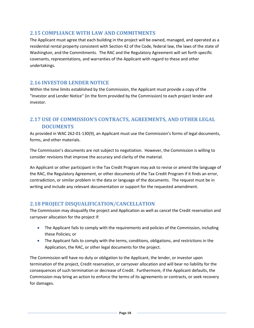#### <span id="page-17-0"></span>**2.15 COMPLIANCE WITH LAW AND COMMITMENTS**

The Applicant must agree that each building in the project will be owned, managed, and operated as a residential rental property consistent with Section 42 of the Code, federal law, the laws of the state of Washington, and the Commitments. The RAC and the Regulatory Agreement will set forth specific covenants, representations, and warranties of the Applicant with regard to these and other undertakings.

#### <span id="page-17-1"></span>**2.16 INVESTOR LENDER NOTICE**

Within the time limits established by the Commission, the Applicant must provide a copy of the "Investor and Lender Notice" (in the form provided by the Commission) to each project lender and investor.

# <span id="page-17-2"></span>**2.17 USE OF COMMISSION'S CONTRACTS, AGREEMENTS, AND OTHER LEGAL DOCUMENTS**

As provided in WAC 262-01-130(9), an Applicant must use the Commission's forms of legal documents, forms, and other materials.

The Commission's documents are not subject to negotiation. However, the Commission is willing to consider revisions that improve the accuracy and clarity of the material.

An Applicant or other participant in the Tax Credit Program may ask to revise or amend the language of the RAC, the Regulatory Agreement, or other documents of the Tax Credit Program if it finds an error, contradiction, or similar problem in the data or language of the documents. The request must be in writing and include any relevant documentation or support for the requested amendment.

#### <span id="page-17-3"></span>**2.18 PROJECT DISQUALIFICATION/CANCELLATION**

The Commission may disqualify the project and Application as well as cancel the Credit reservation and carryover allocation for the project if:

- The Applicant fails to comply with the requirements and policies of the Commission, including these Policies; or
- The Applicant fails to comply with the terms, conditions, obligations, and restrictions in the Application, the RAC, or other legal documents for the project.

The Commission will have no duty or obligation to the Applicant, the lender, or investor upon termination of the project, Credit reservation, or carryover allocation and will bear no liability for the consequences of such termination or decrease of Credit. Furthermore, if the Applicant defaults, the Commission may bring an action to enforce the terms of its agreements or contracts, or seek recovery for damages.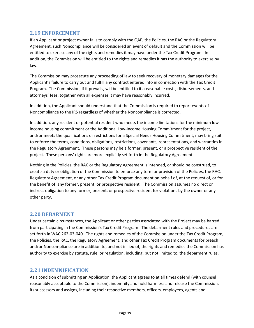#### <span id="page-18-0"></span>**2.19 ENFORCEMENT**

If an Applicant or project owner fails to comply with the QAP, the Policies, the RAC or the Regulatory Agreement, such Noncompliance will be considered an event of default and the Commission will be entitled to exercise any of the rights and remedies it may have under the Tax Credit Program. In addition, the Commission will be entitled to the rights and remedies it has the authority to exercise by law.

The Commission may prosecute any proceeding of law to seek recovery of monetary damages for the Applicant's failure to carry out and fulfill any contract entered into in connection with the Tax Credit Program. The Commission, if it prevails, will be entitled to its reasonable costs, disbursements, and attorneys' fees, together with all expenses it may have reasonably incurred.

In addition, the Applicant should understand that the Commission is required to report events of Noncompliance to the IRS regardless of whether the Noncompliance is corrected.

In addition, any resident or potential resident who meets the income limitations for the minimum lowincome housing commitment or the Additional Low-Income Housing Commitment for the project, and/or meets the qualifications or restrictions for a Special Needs Housing Commitment, may bring suit to enforce the terms, conditions, obligations, restrictions, covenants, representations, and warranties in the Regulatory Agreement. These persons may be a former, present, or a prospective resident of the project. These persons' rights are more explicitly set forth in the Regulatory Agreement.

Nothing in the Policies, the RAC or the Regulatory Agreement is intended, or should be construed, to create a duty or obligation of the Commission to enforce any term or provision of the Policies, the RAC, Regulatory Agreement, or any other Tax Credit Program document on behalf of, at the request of, or for the benefit of, any former, present, or prospective resident. The Commission assumes no direct or indirect obligation to any former, present, or prospective resident for violations by the owner or any other party.

#### <span id="page-18-1"></span>**2.20 DEBARMENT**

Under certain circumstances, the Applicant or other parties associated with the Project may be barred from participating in the Commission's Tax Credit Program. The debarment rules and procedures are set forth in WAC 262-03-040. The rights and remedies of the Commission under the Tax Credit Program, the Policies, the RAC, the Regulatory Agreement, and other Tax Credit Program documents for breach and/or Noncompliance are in addition to, and not in lieu of, the rights and remedies the Commission has authority to exercise by statute, rule, or regulation, including, but not limited to, the debarment rules.

#### <span id="page-18-2"></span>**2.21 INDEMNIFICATION**

As a condition of submitting an Application, the Applicant agrees to at all times defend (with counsel reasonably acceptable to the Commission), indemnify and hold harmless and release the Commission, its successors and assigns, including their respective members, officers, employees, agents and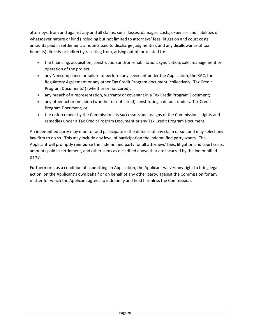attorneys, from and against any and all claims, suits, losses, damages, costs, expenses and liabilities of whatsoever nature or kind (including but not limited to attorneys' fees, litigation and court costs, amounts paid in settlement, amounts paid to discharge judgment(s), and any disallowance of tax benefits) directly or indirectly resulting from, arising out of, or related to:

- the financing, acquisition, construction and/or rehabilitation, syndication, sale, management or operation of the project;
- any Noncompliance or failure to perform any covenant under the Application, the RAC, the Regulatory Agreement or any other Tax Credit Program document (collectively "Tax Credit Program Documents") (whether or not cured);
- any breach of a representation, warranty or covenant in a Tax Credit Program Document;
- any other act or omission (whether or not cured) constituting a default under a Tax Credit Program Document; or
- the enforcement by the Commission, its successors and assigns of the Commission's rights and remedies under a Tax Credit Program Document or any Tax Credit Program Document.

An indemnified party may monitor and participate in the defense of any claim or suit and may select any law firm to do so. This may include any level of participation the indemnified party wants. The Applicant will promptly reimburse the indemnified party for all attorneys' fees, litigation and court costs, amounts paid in settlement, and other sums as described above that are incurred by the indemnified party.

Furthermore, as a condition of submitting an Application, the Applicant waives any right to bring legal action, on the Applicant's own behalf or on behalf of any other party, against the Commission for any matter for which the Applicant agrees to indemnify and hold harmless the Commission.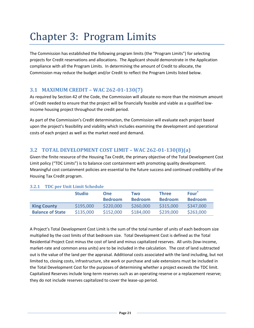# <span id="page-20-0"></span>Chapter 3: Program Limits

The Commission has established the following program limits (the "Program Limits") for selecting projects for Credit reservations and allocations. The Applicant should demonstrate in the Application compliance with all the Program Limits. In determining the amount of Credit to allocate, the Commission may reduce the budget and/or Credit to reflect the Program Limits listed below.

#### <span id="page-20-1"></span>**3.1 MAXIMUM CREDIT – WAC 262-01-130(7)**

As required by Section 42 of the Code, the Commission will allocate no more than the minimum amount of Credit needed to ensure that the project will be financially feasible and viable as a qualified lowincome housing project throughout the credit period.

As part of the Commission's Credit determination, the Commission will evaluate each project based upon the project's feasibility and viability which includes examining the development and operational costs of each project as well as the market need and demand.

# <span id="page-20-2"></span>**3.2 TOTAL DEVELOPMENT COST LIMIT – WAC 262-01-130(8)(a)**

Given the finite resource of the Housing Tax Credit, the primary objective of the Total Development Cost Limit policy ("TDC Limits") is to balance cost containment with promoting quality development. Meaningful cost containment policies are essential to the future success and continued credibility of the Housing Tax Credit program.

|                         | <b>Studio</b> | <b>One</b><br><b>Bedroom</b> | Two<br><b>Bedroom</b> | <b>Three</b><br><b>Bedroom</b> | Four <sup>+</sup><br><b>Bedroom</b> |
|-------------------------|---------------|------------------------------|-----------------------|--------------------------------|-------------------------------------|
| <b>King County</b>      | \$195,000     | \$220,000                    | \$260,000             | \$315,000                      | \$347,000                           |
| <b>Balance of State</b> | \$135,000     | \$152,000                    | \$184,000             | \$239,000                      | \$263,000                           |

#### **3.2.1 TDC per Unit Limit Schedule**

A Project's Total Development Cost Limit is the sum of the total number of units of each bedroom size multiplied by the cost limits of that bedroom size. Total Development Cost is defined as the Total Residential Project Cost minus the cost of land and minus capitalized reserves. All units (low-income, market-rate and common area units) are to be included in the calculation. The cost of land subtracted out is the value of the land per the appraisal. Additional costs associated with the land including, but not limited to, closing costs, infrastructure, site work or purchase and sale extensions must be included in the Total Development Cost for the purposes of determining whether a project exceeds the TDC limit. Capitalized Reserves include long-term reserves such as an operating reserve or a replacement reserve; they do not include reserves capitalized to cover the lease-up period.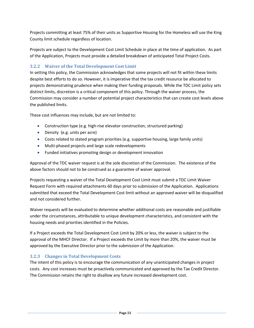Projects committing at least 75% of their units as Supportive Housing for the Homeless will use the King County limit schedule regardless of location.

Projects are subject to the Development Cost Limit Schedule in place at the time of application. As part of the Application, Projects must provide a detailed breakdown of anticipated Total Project Costs.

#### **3.2.2 Waiver of the Total Development Cost Limit**

In setting this policy, the Commission acknowledges that some projects will not fit within these limits despite best efforts to do so. However, it is imperative that the tax credit resource be allocated to projects demonstrating prudence when making their funding proposals. While the TDC Limit policy sets distinct limits, discretion is a critical component of this policy. Through the waiver process, the Commission may consider a number of potential project characteristics that can create cost levels above the published limits.

These cost influences may include, but are not limited to:

- Construction type (e.g. high-rise elevator construction, structured parking)
- Density (e.g. units per acre)
- Costs related to stated program priorities (e.g. supportive housing, large family units)
- Multi-phased projects and large scale redevelopments
- Funded initiatives promoting design or development innovation

Approval of the TDC waiver request is at the sole discretion of the Commission. The existence of the above factors should not to be construed as a guarantee of waiver approval.

Projects requesting a waiver of the Total Development Cost Limit must submit a TDC Limit Waiver Request Form with required attachments 60 days prior to submission of the Application. Applications submitted that exceed the Total Development Cost limit without an approved waiver will be disqualified and not considered further.

Waiver requests will be evaluated to determine whether additional costs are reasonable and justifiable under the circumstances, attributable to unique development characteristics, and consistent with the housing needs and priorities identified in the Policies.

If a Project exceeds the Total Development Cost Limit by 20% or less, the waiver is subject to the approval of the MHCF Director. If a Project exceeds the Limit by more than 20%, the waiver must be approved by the Executive Director prior to the submission of the Application.

#### **3.2.3 Changes in Total Development Costs**

The intent of this policy is to encourage the communication of any unanticipated changes in project costs. Any cost increases must be proactively communicated and approved by the Tax Credit Director. The Commission retains the right to disallow any future increased development cost.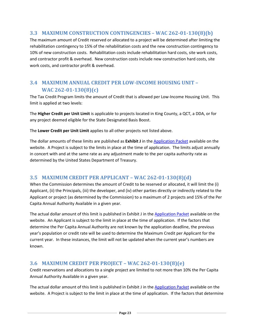#### <span id="page-22-0"></span>**3.3 MAXIMUM CONSTRUCTION CONTINGENCIES – WAC 262-01-130(8)(b)**

The maximum amount of Credit reserved or allocated to a project will be determined after limiting the rehabilitation contingency to 15% of the rehabilitation costs and the new construction contingency to 10% of new construction costs. Rehabilitation costs include rehabilitation hard costs, site work costs, and contractor profit & overhead. New construction costs include new construction hard costs, site work costs, and contractor profit & overhead.

# <span id="page-22-1"></span>**3.4 MAXIMUM ANNUAL CREDIT PER LOW-INCOME HOUSING UNIT – WAC 262-01-130(8)(c)**

The Tax Credit Program limits the amount of Credit that is allowed per Low-Income Housing Unit. This limit is applied at two levels:

The **Higher Credit per Unit Limit** is applicable to projects located in King County, a QCT, a DDA, or for any project deemed eligible for the State Designated Basis Boost.

The **Lower Credit per Unit Limit** applies to all other projects not listed above.

The dollar amounts of these limits are published as **Exhibit J** in th[e Application Packet](http://www.wshfc.org/tax-credits/application/index.htm) available on the website. A Project is subject to the limits in place at the time of application. The limits adjust annually in concert with and at the same rate as any adjustment made to the per capita authority rate as determined by the United States Department of Treasury.

#### <span id="page-22-2"></span>**3.5 MAXIMUM CREDIT PER APPLICANT – WAC 262-01-130(8)(d)**

When the Commission determines the amount of Credit to be reserved or allocated, it will limit the (i) Applicant, (ii) the Principals, (iii) the developer, and (iv) other parties directly or indirectly related to the Applicant or project (as determined by the Commission) to a maximum of 2 projects and 15% of the Per Capita Annual Authority Available in a given year.

The actual dollar amount of this limit is published in Exhibit J in the [Application Packet](http://www.wshfc.org/tax-credits/application/index.htm) available on the website. An Applicant is subject to the limit in place at the time of application. If the factors that determine the Per Capita Annual Authority are not known by the application deadline, the previous year's population or credit rate will be used to determine the Maximum Credit per Applicant for the current year. In these instances, the limit will not be updated when the current year's numbers are known.

#### <span id="page-22-3"></span>**3.6 MAXIMUM CREDIT PER PROJECT – WAC 262-01-130(8)(e)**

Credit reservations and allocations to a single project are limited to not more than 10% the Per Capita Annual Authority Available in a given year.

The actual dollar amount of this limit is published in Exhibit J in the [Application Packet](http://www.wshfc.org/tax-credits/application/index.htm) available on the website. A Project is subject to the limit in place at the time of application. If the factors that determine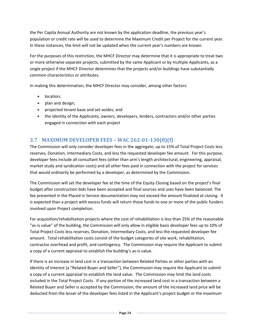the Per Capita Annual Authority are not known by the application deadline, the previous year's population or credit rate will be used to determine the Maximum Credit per Project for the current year. In these instances, the limit will not be updated when the current year's numbers are known.

For the purposes of this restriction, the MHCF Director may determine that it is appropriate to treat two or more otherwise separate projects, submitted by the same Applicant or by multiple Applicants, as a single project if the MHCF Director determines that the projects and/or buildings have substantially common characteristics or attributes.

In making this determination, the MHCF Director may consider, among other factors:

- location;
- plan and design;
- projected tenant base and set-asides; and
- the identity of the Applicants, owners, developers, lenders, contractors and/or other parties engaged in connection with each project

# <span id="page-23-0"></span>**3.7 MAXIMUM DEVELOPER FEES – WAC 262-01-130(8)(f)**

The Commission will only consider developer fees in the aggregate, up to 15% of Total Project Costs less reserves, Donation, Intermediary Costs, and less the requested developer fee amount. For this purpose, developer fees include all consultant fees (other than arm's length architectural, engineering, appraisal, market study and syndication costs) and all other fees paid in connection with the project for services that would ordinarily be performed by a developer, as determined by the Commission.

The Commission will set the developer fee at the time of the Equity Closing based on the project's final budget after construction bids have been accepted and final sources and uses have been balanced. The fee presented in the Placed in Service documentation may not exceed the amount finalized at closing. It is expected than a project with excess funds will return those funds to one or more of the public funders involved upon Project completion.

For acquisition/rehabilitation projects where the cost of rehabilitation is less than 25% of the reasonable "as-is value" of the building, the Commission will only allow in eligible basis developer fees up to 10% of Total Project Costs less reserves, Donation, Intermediary Costs, and less the requested developer fee amount. Total rehabilitation costs consist of the budget categories of site work, rehabilitation, contractor overhead and profit, and contingency. The Commission may require the Applicant to submit a copy of a current appraisal to establish the building's as-is value.

If there is an increase in land cost in a transaction between Related Parties or other parties with an Identity of Interest (a "Related Buyer and Seller"), the Commission may require the Applicant to submit a copy of a current appraisal to establish the land value. The Commission may limit the land costs included in the Total Project Costs. If any portion of the increased land cost in a transaction between a Related Buyer and Seller is accepted by the Commission, the amount of the increased land price will be deducted from the lesser of the developer fees listed in the Applicant's project budget or the maximum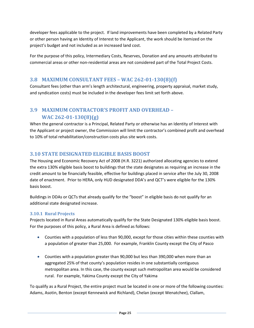developer fees applicable to the project. If land improvements have been completed by a Related Party or other person having an Identity of Interest to the Applicant, the work should be itemized on the project's budget and not included as an increased land cost.

For the purpose of this policy, Intermediary Costs, Reserves, Donation and any amounts attributed to commercial areas or other non-residential areas are not considered part of the Total Project Costs.

# <span id="page-24-0"></span>**3.8 MAXIMUM CONSULTANT FEES – WAC 262-01-130(8)(f)**

Consultant fees (other than arm's length architectural, engineering, property appraisal, market study, and syndication costs) must be included in the developer fees limit set forth above.

# <span id="page-24-1"></span>**3.9 MAXIMUM CONTRACTOR'S PROFIT AND OVERHEAD – WAC 262-01-130(8)(g)**

When the general contractor is a Principal, Related Party or otherwise has an Identity of Interest with the Applicant or project owner, the Commission will limit the contractor's combined profit and overhead to 10% of total rehabilitation/construction costs plus site work costs.

# <span id="page-24-2"></span>**3.10 STATE DESIGNATED ELIGIBLE BASIS BOOST**

The Housing and Economic Recovery Act of 2008 (H.R. 3221) authorized allocating agencies to extend the extra 130% eligible basis boost to buildings that the state designates as requiring an increase in the credit amount to be financially feasible, effective for buildings placed in service after the July 30, 2008 date of enactment. Prior to HERA, only HUD designated DDA's and QCT's were eligible for the 130% basis boost.

Buildings in DDAs or QCTs that already qualify for the "boost" in eligible basis do not qualify for an additional state designated increase.

#### **3.10.1 Rural Projects**

Projects located in Rural Areas automatically qualify for the State Designated 130% eligible basis boost. For the purposes of this policy, a Rural Area is defined as follows:

- Counties with a population of less than 90,000, except for those cities within these counties with a population of greater than 25,000. For example, Franklin County except the City of Pasco
- Counties with a population greater than 90,000 but less than 390,000 when more than an aggregated 25% of that county's population resides in one substantially contiguous metropolitan area. In this case, the county except such metropolitan area would be considered rural. For example, Yakima County except the City of Yakima

To qualify as a Rural Project, the entire project must be located in one or more of the following counties: Adams, Asotin, Benton (except Kennewick and Richland), Chelan (except Wenatchee), Clallam,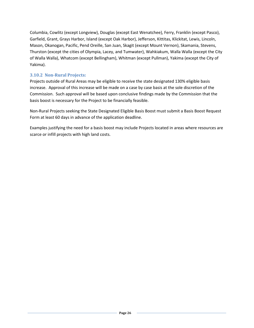Columbia, Cowlitz (except Longview), Douglas (except East Wenatchee), Ferry, Franklin (except Pasco), Garfield, Grant, Grays Harbor, Island (except Oak Harbor), Jefferson, Kittitas, Klickitat, Lewis, Lincoln, Mason, Okanogan, Pacific, Pend Oreille, San Juan, Skagit (except Mount Vernon), Skamania, Stevens, Thurston (except the cities of Olympia, Lacey, and Tumwater), Wahkiakum, Walla Walla (except the City of Walla Walla), Whatcom (except Bellingham), Whitman (except Pullman), Yakima (except the City of Yakima).

#### **3.10.2 Non-Rural Projects:**

Projects outside of Rural Areas may be eligible to receive the state designated 130% eligible basis increase. Approval of this increase will be made on a case by case basis at the sole discretion of the Commission. Such approval will be based upon conclusive findings made by the Commission that the basis boost is necessary for the Project to be financially feasible.

Non-Rural Projects seeking the State Designated Eligible Basis Boost must submit a Basis Boost Request Form at least 60 days in advance of the application deadline.

Examples justifying the need for a basis boost may include Projects located in areas where resources are scarce or infill projects with high land costs.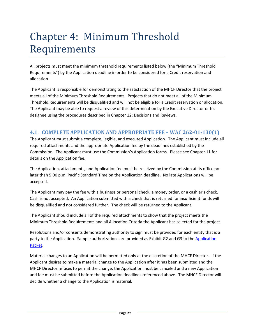# <span id="page-26-0"></span>Chapter 4: Minimum Threshold Requirements

All projects must meet the minimum threshold requirements listed below (the "Minimum Threshold Requirements") by the Application deadline in order to be considered for a Credit reservation and allocation.

The Applicant is responsible for demonstrating to the satisfaction of the MHCF Director that the project meets all of the Minimum Threshold Requirements. Projects that do not meet all of the Minimum Threshold Requirements will be disqualified and will not be eligible for a Credit reservation or allocation. The Applicant may be able to request a review of this determination by the Executive Director or his designee using the procedures described in Chapter 12: Decisions and Reviews.

# <span id="page-26-1"></span>**4.1 COMPLETE APPLICATION AND APPROPRIATE FEE – WAC 262-01-130(1)**

The Applicant must submit a complete, legible, and executed Application. The Applicant must include all required attachments and the appropriate Application fee by the deadlines established by the Commission. The Applicant must use the Commission's Application forms. Please see Chapter 11 for details on the Application fee.

The Application, attachments, and Application fee must be received by the Commission at its office no later than 5:00 p.m. Pacific Standard Time on the Application deadline. No late Applications will be accepted.

The Applicant may pay the fee with a business or personal check, a money order, or a cashier's check. Cash is not accepted. An Application submitted with a check that is returned for insufficient funds will be disqualified and not considered further. The check will be returned to the Applicant.

The Applicant should include all of the required attachments to show that the project meets the Minimum Threshold Requirements and all Allocation Criteria the Applicant has selected for the project.

Resolutions and/or consents demonstrating authority to sign must be provided for each entity that is a party to the Application. Sample authorizations are provided as Exhibit G2 and G3 to the [Application](http://www.wshfc.org/tax-credits/application/index.htm)  [Packet.](http://www.wshfc.org/tax-credits/application/index.htm)

Material changes to an Application will be permitted only at the discretion of the MHCF Director. If the Applicant desires to make a material change to the Application after it has been submitted and the MHCF Director refuses to permit the change, the Application must be canceled and a new Application and fee must be submitted before the Application deadlines referenced above. The MHCF Director will decide whether a change to the Application is material.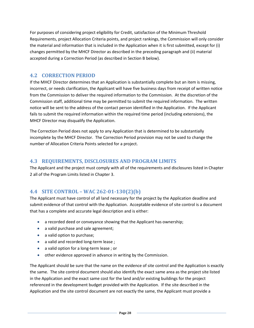For purposes of considering project eligibility for Credit, satisfaction of the Minimum Threshold Requirements, project Allocation Criteria points, and project rankings, the Commission will only consider the material and information that is included in the Application when it is first submitted, except for (i) changes permitted by the MHCF Director as described in the preceding paragraph and (ii) material accepted during a Correction Period (as described in Section B below).

# <span id="page-27-0"></span>**4.2 CORRECTION PERIOD**

If the MHCF Director determines that an Application is substantially complete but an item is missing, incorrect, or needs clarification, the Applicant will have five business days from receipt of written notice from the Commission to deliver the required information to the Commission. At the discretion of the Commission staff, additional time may be permitted to submit the required information. The written notice will be sent to the address of the contact person identified in the Application. If the Applicant fails to submit the required information within the required time period (including extensions), the MHCF Director may disqualify the Application.

The Correction Period does not apply to any Application that is determined to be substantially incomplete by the MHCF Director. The Correction Period provision may not be used to change the number of Allocation Criteria Points selected for a project.

# <span id="page-27-1"></span>**4.3 REQUIREMENTS, DISCLOSURES AND PROGRAM LIMITS**

The Applicant and the project must comply with all of the requirements and disclosures listed in Chapter 2 all of the Program Limits listed in Chapter 3.

#### <span id="page-27-2"></span>**4.4 SITE CONTROL – WAC 262-01-130(2)(b)**

The Applicant must have control of all land necessary for the project by the Application deadline and submit evidence of that control with the Application. Acceptable evidence of site control is a document that has a complete and accurate legal description and is either:

- a recorded deed or conveyance showing that the Applicant has ownership;
- a valid purchase and sale agreement;
- a valid option to purchase;
- a valid and recorded long-term lease;
- a valid option for a long-term lease; or
- other evidence approved in advance in writing by the Commission.

The Applicant should be sure that the name on the evidence of site control and the Application is exactly the same. The site control document should also identify the exact same area as the project site listed in the Application and the exact same cost for the land and/or existing buildings for the project referenced in the development budget provided with the Application. If the site described in the Application and the site control document are not exactly the same, the Applicant must provide a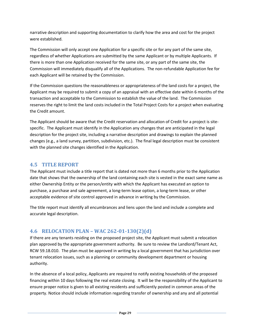narrative description and supporting documentation to clarify how the area and cost for the project were established.

The Commission will only accept one Application for a specific site or for any part of the same site, regardless of whether Applications are submitted by the same Applicant or by multiple Applicants. If there is more than one Application received for the same site, or any part of the same site, the Commission will immediately disqualify all of the Applications. The non-refundable Application fee for each Applicant will be retained by the Commission.

If the Commission questions the reasonableness or appropriateness of the land costs for a project, the Applicant may be required to submit a copy of an appraisal with an effective date within 6 months of the transaction and acceptable to the Commission to establish the value of the land. The Commission reserves the right to limit the land costs included in the Total Project Costs for a project when evaluating the Credit amount.

The Applicant should be aware that the Credit reservation and allocation of Credit for a project is sitespecific. The Applicant must identify in the Application any changes that are anticipated in the legal description for the project site, including a narrative description and drawings to explain the planned changes (e.g., a land survey, partition, subdivision, etc.). The final legal description must be consistent with the planned site changes identified in the Application.

# <span id="page-28-0"></span>**4.5 TITLE REPORT**

The Applicant must include a title report that is dated not more than 6 months prior to the Application date that shows that the ownership of the land containing each site is vested in the exact same name as either Ownership Entity or the person/entity with which the Applicant has executed an option to purchase, a purchase and sale agreement, a long-term lease option, a long-term lease, or other acceptable evidence of site control approved in advance in writing by the Commission.

The title report must identify all encumbrances and liens upon the land and include a complete and accurate legal description.

# <span id="page-28-1"></span>**4.6 RELOCATION PLAN – WAC 262-01-130(2)(d)**

If there are any tenants residing on the proposed project site, the Applicant must submit a relocation plan approved by the appropriate government authority. Be sure to review the Landlord/Tenant Act, RCW 59.18.010. The plan must be approved in writing by a local government that has jurisdiction over tenant relocation issues, such as a planning or community development department or housing authority.

In the absence of a local policy, Applicants are required to notify existing households of the proposed financing within 10 days following the real estate closing. It will be the responsibility of the Applicant to ensure proper notice is given to all existing residents and sufficiently posted in common areas of the property. Notice should include information regarding transfer of ownership and any and all potential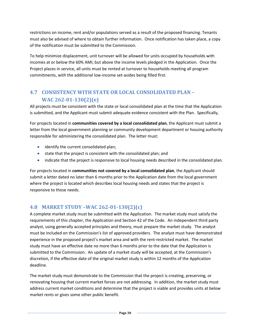restrictions on income, rent and/or populations served as a result of the proposed financing. Tenants must also be advised of where to obtain further information. Once notification has taken place, a copy of the notification must be submitted to the Commission.

To help minimize displacement, unit turnover will be allowed for units occupied by households with incomes at or below the 60% AMI, but above the income levels pledged in the Application. Once the Project places in service, all units must be rented at turnover to households meeting all program commitments, with the additional low-income set-asides being filled first.

# <span id="page-29-0"></span>**4.7 CONSISTENCY WITH STATE OR LOCAL CONSOLIDATED PLAN – WAC 262-01-130(2)(e)**

All projects must be consistent with the state or local consolidated plan at the time that the Application is submitted, and the Applicant must submit adequate evidence consistent with the Plan. Specifically,

For projects located in **communities covered by a local consolidated plan**, the Applicant must submit a letter from the local government planning or community development department or housing authority responsible for administering the consolidated plan. The letter must:

- identify the current consolidated plan;
- state that the project is consistent with the consolidated plan; and
- indicate that the project is responsive to local housing needs described in the consolidated plan.

For projects located in **communities not covered by a local consolidated plan**, the Applicant should submit a letter dated no later than 6 months prior to the Application date from the local government where the project is located which describes local housing needs and states that the project is responsive to those needs.

#### <span id="page-29-1"></span>**4.8 MARKET STUDY –WAC 262-01-130(2)(c)**

A complete market study must be submitted with the Application. The market study must satisfy the requirements of this chapter, the Application and Section 42 of the Code. An independent third party analyst, using generally accepted principles and theory, must prepare the market study. The analyst must be included on the Commission's list of approved providers. The analyst must have demonstrated experience in the proposed project's market area and with the rent-restricted market. The market study must have an effective date no more than 6 months prior to the date that the Application is submitted to the Commission. An update of a market study will be accepted, at the Commission's discretion, if the effective date of the original market study is within 12 months of the Application deadline.

The market study must demonstrate to the Commission that the project is creating, preserving, or renovating housing that current market forces are not addressing. In addition, the market study must address current market conditions and determine that the project is viable and provides units at below market rents or gives some other public benefit.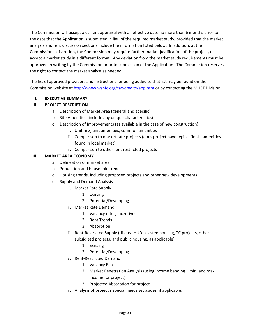The Commission will accept a current appraisal with an effective date no more than 6 months prior to the date that the Application is submitted in lieu of the required market study, provided that the market analysis and rent discussion sections include the information listed below. In addition, at the Commission's discretion, the Commission may require further market justification of the project, or accept a market study in a different format. Any deviation from the market study requirements must be approved in writing by the Commission prior to submission of the Application. The Commission reserves the right to contact the market analyst as needed.

The list of approved providers and instructions for being added to that list may be found on the Commission website at<http://www.wshfc.org/tax-credits/app.htm> or by contacting the MHCF Division.

#### **I. EXECUTIVE SUMMARY**

#### **II. PROJECT DESCRIPTION**

- a. Description of Market Area (general and specific)
- b. Site Amenities (include any unique characteristics)
- c. Description of Improvements (as available in the case of new construction)
	- i. Unit mix, unit amenities, common amenities
	- ii. Comparison to market rate projects (does project have typical finish, amenities found in local market)
	- iii. Comparison to other rent restricted projects

#### **III. MARKET AREA ECONOMY**

- a. Delineation of market area
- b. Population and household trends
- c. Housing trends, including proposed projects and other new developments
- d. Supply and Demand Analysis
	- i. Market Rate Supply
		- 1. Existing
		- 2. Potential/Developing
	- ii. Market Rate Demand
		- 1. Vacancy rates, incentives
		- 2. Rent Trends
		- 3. Absorption
	- iii. Rent-Restricted Supply (discuss HUD-assisted housing, TC projects, other subsidized projects, and public housing, as applicable)
		- 1. Existing
		- 2. Potential/Developing
	- iv. Rent-Restricted Demand
		- 1. Vacancy Rates
		- 2. Market Penetration Analysis (using income banding min. and max. income for project)
		- 3. Projected Absorption for project
	- v. Analysis of project's special needs set asides, if applicable.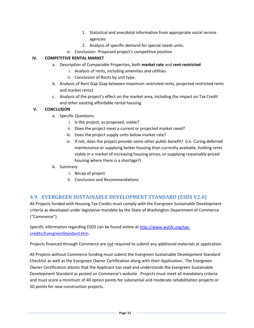- 1. Statistical and anecdotal information from appropriate social service agencies
- 2. Analysis of specific demand for special needs units.
- vi. Conclusion: Proposed project's competitive position

#### **IV. COMPETITIVE RENTAL MARKET**

- a. Description of Comparable Properties, both **market rate** and **rent-restricted**
	- i. Analysis of rents, including amenities and utilities
	- ii. Conclusion of Rents by unit type
- b. Analysis of Rent Gap (Gap between maximum restricted rents, projected restricted rents and market rents)
- c. Analysis of the project's effect on the market area, including the impact on Tax Credit and other existing affordable rental housing

#### **V. CONCLUSION**

- a. Specific Questions:
	- i. Is the project, as proposed, viable?
	- ii. Does the project meet a current or projected market need?
	- iii. Does the project supply units below market rate?
	- iv. If not, does the project provide some other public benefit? (i.e. Curing deferred maintenance or supplying better housing than currently available, holding rents stable in a market of increasing housing prices, or supplying reasonably-priced housing where there is a shortage?)
- b. Summary
	- i. Recap of project
	- ii. Conclusion and Recommendations

#### <span id="page-31-0"></span>**4.9 EVERGREEN SUSTAINABLE DEVELOPMENT STANDARD (ESDS V2.0)**

All Projects funded with Housing Tax Credits must comply with the Evergreen Sustainable Development criteria as developed under legislative mandate by the State of Washington Department of Commerce ("Commerce").

Specific information regarding ESDS can be found online at [http://www.wshfc.org/tax](http://www.wshfc.org/tax-credits/EvergreenStandard.htm)[credits/EvergreenStandard.htm.](http://www.wshfc.org/tax-credits/EvergreenStandard.htm)

Projects financed through Commerce are not required to submit any additional materials at application.

All Projects without Commerce funding must submit the Evergreen Sustainable Development Standard Checklist as well as the Evergreen Owner Certification along with their Application. The Evergreen Owner Certification attests that the Applicant has read and understands the Evergreen Sustainable Development Standard as posted on Commerce's website. Projects must meet all mandatory criteria and must score a minimum of 40 option points for substantial and moderate rehabilitation projects or 50 points for new construction projects.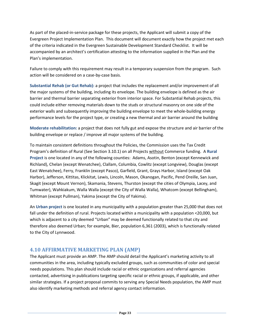As part of the placed-in-service package for these projects, the Applicant will submit a copy of the Evergreen Project Implementation Plan. This document will document exactly how the project met each of the criteria indicated in the Evergreen Sustainable Development Standard Checklist. It will be accompanied by an architect's certification attesting to the information supplied in the Plan and the Plan's implementation.

Failure to comply with this requirement may result in a temporary suspension from the program. Such action will be considered on a case-by-case basis.

**Substantial Rehab (or Gut Rehab):** a project that includes the replacement and/or improvement of all the major systems of the building, including its envelope. The building envelope is defined as the air barrier and thermal barrier separating exterior from interior space. For Substantial Rehab projects, this could include either removing materials down to the studs or structural masonry on one side of the exterior walls and subsequently improving the building envelope to meet the whole-building energy performance levels for the project type, or creating a new thermal and air barrier around the building

**Moderate rehabilitation:** a project that does not fully gut and expose the structure and air barrier of the building envelope or replace / improve all major systems of the building.

To maintain consistent definitions throughout the Policies, the Commission uses the Tax Credit Program's definition of Rural (See Section 3.10.1) on all Projects without Commerce funding. A **Rural Project** is one located in any of the following counties: Adams, Asotin, Benton (except Kennewick and Richland), Chelan (except Wenatchee), Clallam, Columbia, Cowlitz (except Longview), Douglas (except East Wenatchee), Ferry, Franklin (except Pasco), Garfield, Grant, Grays Harbor, Island (except Oak Harbor), Jefferson, Kittitas, Klickitat, Lewis, Lincoln, Mason, Okanogan, Pacific, Pend Oreille, San Juan, Skagit (except Mount Vernon), Skamania, Stevens, Thurston (except the cities of Olympia, Lacey, and Tumwater), Wahkiakum, Walla Walla (except the City of Walla Walla), Whatcom (except Bellingham), Whitman (except Pullman), Yakima (except the City of Yakima).

An **Urban project** is one located in any municipality with a population greater than 25,000 that does not fall under the definition of rural. Projects located within a municipality with a population <20,000, but which is adjacent to a city deemed "Urban" may be deemed functionally related to that city and therefore also deemed Urban; for example, Bier, population 6,361 (2003), which is functionally related to the City of Lynnwood.

# <span id="page-32-0"></span>**4.10 AFFIRMATIVE MARKETING PLAN (AMP)**

The Applicant must provide an AMP. The AMP should detail the Applicant's marketing activity to all communities in the area, including typically excluded groups, such as communities of color and special needs populations. This plan should include racial or ethnic organizations and referral agencies contacted, advertising in publications targeting specific racial or ethnic groups, if applicable, and other similar strategies. If a project proposal commits to serving any Special Needs population, the AMP must also identify marketing methods and referral agency contact information.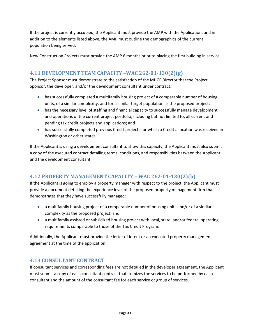If the project is currently occupied, the Applicant must provide the AMP with the Application, and in addition to the elements listed above, the AMP must outline the demographics of the current population being served.

New Construction Projects must provide the AMP 6 months prior to placing the first building in service.

# <span id="page-33-0"></span>**4.11 DEVELOPMENT TEAM CAPACITY –WAC 262-01-130(2)(g)**

The Project Sponsor must demonstrate to the satisfaction of the MHCF Director that the Project Sponsor, the developer, and/or the development consultant under contract:

- has successfully completed a multifamily housing project of a comparable number of housing units, of a similar complexity, and for a similar target population as the proposed project;
- has the necessary level of staffing and financial capacity to successfully manage development and operations of the current project portfolio, including but not limited to, all current and pending tax credit projects and applications; and
- has successfully completed previous Credit projects for which a Credit allocation was received in Washington or other states.

If the Applicant is using a development consultant to show this capacity, the Applicant must also submit a copy of the executed contract detailing terms, conditions, and responsibilities between the Applicant and the development consultant.

# <span id="page-33-1"></span>**4.12 PROPERTY MANAGEMENT CAPACITY – WAC 262-01-130(2)(h)**

If the Applicant is going to employ a property manager with respect to the project, the Applicant must provide a document detailing the experience level of the proposed property management firm that demonstrates that they have successfully managed:

- a multifamily housing project of a comparable number of housing units and/or of a similar complexity as the proposed project, and
- a multifamily assisted or subsidized housing project with local, state, and/or federal operating requirements comparable to those of the Tax Credit Program.

Additionally, the Applicant must provide the letter of intent or an executed property management agreement at the time of the application.

#### <span id="page-33-2"></span>**4.13 CONSULTANT CONTRACT**

If consultant services and corresponding fees are not detailed in the developer agreement, the Applicant must submit a copy of each consultant contract that itemizes the services to be performed by each consultant and the amount of the consultant fee for each service or group of services.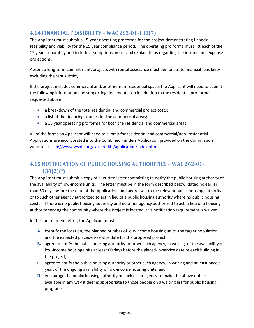# <span id="page-34-0"></span>**4.14 FINANCIAL FEASIBILITY – WAC 262-01-130(7)**

The Applicant must submit a 15-year operating pro forma for the project demonstrating financial feasibility and viability for the 15 year compliance period. The operating pro forma must list each of the 15 years separately and include assumptions, notes and explanations regarding the income and expense projections.

Absent a long-term commitment, projects with rental assistance must demonstrate financial feasibility excluding the rent subsidy.

If the project includes commercial and/or other non-residential space, the Applicant will need to submit the following information and supporting documentation in addition to the residential pro forma requested above:

- a breakdown of the total residential and commercial project costs;
- a list of the financing sources for the commercial areas;
- a 15 year operating pro forma for both the residential and commercial areas.

All of the forms an Applicant will need to submit for residential and commercial/non- residential Applications are incorporated into the Combined Funders Application provided on the Commission website at [http://www.wshfc.org/tax-credits/application/index.htm.](http://www.wshfc.org/tax-credits/application/index.htm)

# <span id="page-34-1"></span>**4.15 NOTIFICATION OF PUBLIC HOUSING AUTHORITIES – WAC 262-01- 130(2)(f)**

The Applicant must submit a copy of a written letter committing to notify the public housing authority of the availability of low-income units. The letter must be in the form described below, dated no earlier than 60 days before the date of the Application, and addressed to the relevant public housing authority or to such other agency authorized to act in lieu of a public housing authority where no public housing exists. If there is no public housing authority and no other agency authorized to act in lieu of a housing authority serving the community where the Project is located, this notification requirement is waived.

In the commitment letter, the Applicant must:

- **A.** identify the location, the planned number of low-income housing units, the target population and the expected placed-in-service date for the proposed project;
- **B.** agree to notify the public housing authority or other such agency, in writing, of the availability of low-income housing units at least 60 days before the placed-in-service date of each building in the project;
- **C.** agree to notify the public housing authority or other such agency, in writing and at least once a year, of the ongoing availability of low-income housing units; and
- **D.** encourage the public housing authority or such other agency to make the above notices available in any way it deems appropriate to those people on a waiting list for public housing programs.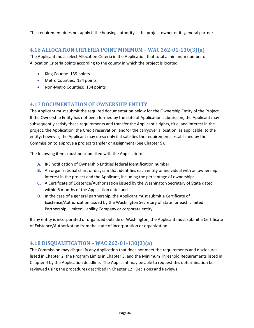This requirement does not apply if the housing authority is the project owner or its general partner.

#### <span id="page-35-0"></span>**4.16 ALLOCATION CRITERIA POINT MINIMUM – WAC 262-01-130(3)(a)**

The Applicant must select Allocation Criteria in the Application that total a minimum number of Allocation Criteria points according to the county in which the project is located.

- King County: 139 points
- Metro Counties: 134 points
- Non-Metro Counties: 134 points

#### <span id="page-35-1"></span>**4.17 DOCUMENTATION OF OWNERSHIP ENTITY**

The Applicant must submit the required documentation below for the Ownership Entity of the Project. If the Ownership Entity has not been formed by the date of Application submission, the Applicant may subsequently satisfy these requirements and transfer the Applicant's rights, title, and interest in the project, the Application, the Credit reservation, and/or the carryover allocation, as applicable, to the entity; however, the Applicant may do so only if it satisfies the requirements established by the Commission to approve a project transfer or assignment (See Chapter 9).

The following items must be submitted with the Application:

- **A.** IRS notification of Ownership Entities federal identification number;
- **B.** An organizational chart or diagram that identifies each entity or individual with an ownership interest in the project and the Applicant, including the percentage of ownership;
- **C.** A Certificate of Existence/Authorization issued by the Washington Secretary of State dated within 6 months of the Application date; and
- **D.** In the case of a general partnership, the Applicant must submit a Certificate of Existence/Authorization issued by the Washington Secretary of State for each Limited Partnership, Limited Liability Company or corporate entity.

If any entity is incorporated or organized outside of Washington, the Applicant must submit a Certificate of Existence/Authorization from the state of incorporation or organization.

#### <span id="page-35-2"></span>**4.18 DISQUALIFICATION – WAC 262-01-130(3)(a)**

The Commission may disqualify any Application that does not meet the requirements and disclosures listed in Chapter 2, the Program Limits in Chapter 3, and the Minimum Threshold Requirements listed in Chapter 4 by the Application deadline. The Applicant may be able to request this determination be reviewed using the procedures described in Chapter 12: Decisions and Reviews.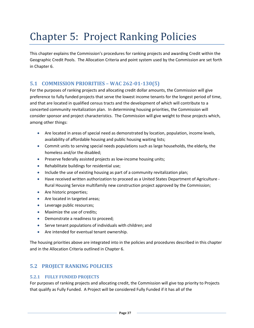# Chapter 5: Project Ranking Policies

This chapter explains the Commission's procedures for ranking projects and awarding Credit within the Geographic Credit Pools. The Allocation Criteria and point system used by the Commission are set forth in Chapter 6.

# **5.1 COMMISSION PRIORITIES – WAC 262-01-130(5)**

For the purposes of ranking projects and allocating credit dollar amounts, the Commission will give preference to fully funded projects that serve the lowest income tenants for the longest period of time, and that are located in qualified census tracts and the development of which will contribute to a concerted community revitalization plan. In determining housing priorities, the Commission will consider sponsor and project characteristics. The Commission will give weight to those projects which, among other things:

- Are located in areas of special need as demonstrated by location, population, income levels, availability of affordable housing and public housing waiting lists;
- Commit units to serving special needs populations such as large households, the elderly, the homeless and/or the disabled;
- Preserve federally assisted projects as low-income housing units;
- Rehabilitate buildings for residential use;
- Include the use of existing housing as part of a community revitalization plan;
- Have received written authorization to proceed as a United States Department of Agriculture Rural Housing Service multifamily new construction project approved by the Commission;
- Are historic properties;
- Are located in targeted areas;
- Leverage public resources;
- Maximize the use of credits;
- Demonstrate a readiness to proceed;
- Serve tenant populations of individuals with children; and
- Are intended for eventual tenant ownership.

The housing priorities above are integrated into in the policies and procedures described in this chapter and in the Allocation Criteria outlined in Chapter 6.

# **5.2 PROJECT RANKING POLICIES**

#### **5.2.1 FULLY FUNDED PROJECTS**

For purposes of ranking projects and allocating credit, the Commission will give top priority to Projects that qualify as Fully Funded. A Project will be considered Fully Funded if it has all of the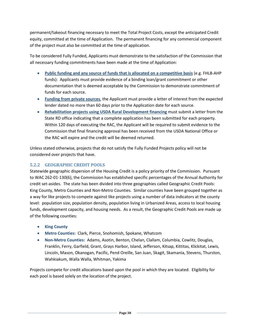permanent/takeout financing necessary to meet the Total Project Costs, except the anticipated Credit equity, committed at the time of Application. The permanent financing for any commercial component of the project must also be committed at the time of application.

To be considered Fully Funded, Applicants must demonstrate to the satisfaction of the Commission that all necessary funding commitments have been made at the time of Application:

- **Public funding and any source of funds that is allocated on a competitive basis** (e.g. FHLB-AHP funds): Applicants must provide evidence of a binding loan/grant commitment or other documentation that is deemed acceptable by the Commission to demonstrate commitment of funds for each source.
- **Funding from private sources**, the Applicant must provide a letter of interest from the expected lender dated no more than 60 days prior to the Application date for each source.
- **Rehabilitation projects using USDA Rural Development financing** must submit a letter from the State RD office indicating that a complete application has been submitted for each property. Within 120 days of executing the RAC, the Applicant will be required to submit evidence to the Commission that final financing approval has been received from the USDA National Office or the RAC will expire and the credit will be deemed returned.

Unless stated otherwise, projects that do not satisfy the Fully Funded Projects policy will not be considered over projects that have.

## **5.2.2 GEOGRAPHIC CREDIT POOLS**

Statewide geographic dispersion of the Housing Credit is a policy priority of the Commission. Pursuant to WAC 262-01-130(6), the Commission has established specific percentages of the Annual Authority for credit set-asides. The state has been divided into three geographies called Geographic Credit Pools: King County, Metro Counties and Non-Metro Counties. Similar counties have been grouped together as a way for like projects to compete against like projects using a number of data indicators at the county level: population size, population density, population living in Urbanized Areas, access to local housing funds, development capacity, and housing needs. As a result, the Geographic Credit Pools are made up of the following counties:

- **King County**
- **Metro Counties:** Clark, Pierce, Snohomish, Spokane, Whatcom
- **Non-Metro Counties:** Adams, Asotin, Benton, Chelan, Clallam, Columbia, Cowlitz, Douglas, Franklin, Ferry, Garfield, Grant, Grays Harbor, Island, Jefferson, Kitsap, Kittitas, Klickitat, Lewis, Lincoln, Mason, Okanogan, Pacific, Pend Oreille, San Juan, Skagit, Skamania, Stevens, Thurston, Wahkiakum, Walla Walla, Whitman, Yakima

Projects compete for credit allocations based upon the pool in which they are located. Eligibility for each pool is based solely on the location of the project.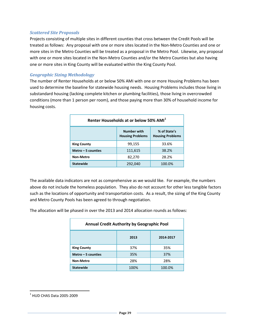#### *Scattered Site Proposals*

Projects consisting of multiple sites in different counties that cross between the Credit Pools will be treated as follows: Any proposal with one or more sites located in the Non-Metro Counties and one or more sites in the Metro Counties will be treated as a proposal in the Metro Pool. Likewise, any proposal with one or more sites located in the Non-Metro Counties and/or the Metro Counties but also having one or more sites in King County will be evaluated within the King County Pool.

#### *Geographic Sizing Methodology*

The number of Renter Households at or below 50% AMI with one or more Housing Problems has been used to determine the baseline for statewide housing needs. Housing Problems includes those living in substandard housing (lacking complete kitchen or plumbing facilities), those living in overcrowded conditions (more than 1 person per room), and those paying more than 30% of household income for housing costs.

| Renter Households at or below 50% AMI <sup>1</sup>                                       |         |        |  |  |  |
|------------------------------------------------------------------------------------------|---------|--------|--|--|--|
| % of State's<br><b>Number with</b><br><b>Housing Problems</b><br><b>Housing Problems</b> |         |        |  |  |  |
| <b>King County</b>                                                                       | 99,155  | 33.6%  |  |  |  |
| Metro $-5$ counties                                                                      | 111,615 | 38.2%  |  |  |  |
| 28.2%<br>82,270<br>Non-Metro                                                             |         |        |  |  |  |
| <b>Statewide</b>                                                                         | 292,040 | 100.0% |  |  |  |

The available data indicators are not as comprehensive as we would like. For example, the numbers above do not include the homeless population. They also do not account for other less tangible factors such as the locations of opportunity and transportation costs. As a result, the sizing of the King County and Metro County Pools has been agreed to through negotiation.

The allocation will be phased in over the 2013 and 2014 allocation rounds as follows:

| Annual Credit Authority by Geographic Pool |      |        |  |  |  |
|--------------------------------------------|------|--------|--|--|--|
| 2013<br>2014-2017                          |      |        |  |  |  |
| 37%<br>35%<br><b>King County</b>           |      |        |  |  |  |
| 35%<br>37%<br>Metro $-5$ counties          |      |        |  |  |  |
| 28%<br>28%<br>Non-Metro                    |      |        |  |  |  |
| <b>Statewide</b>                           | 100% | 100.0% |  |  |  |

l

<span id="page-38-0"></span> $<sup>1</sup>$  HUD CHAS Data 2005-2009</sup>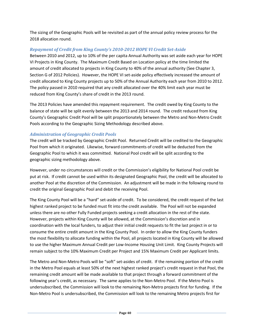The sizing of the Geographic Pools will be revisited as part of the annual policy review process for the 2018 allocation round.

## *Repayment of Credit from King County's 2010-2012 HOPE VI Credit Set-Aside*

Between 2010 and 2012, up to 10% of the per capita Annual Authority was set aside each year for HOPE VI Projects in King County. The Maximum Credit Based on Location policy at the time limited the amount of credit allocated to projects in King County to 40% of the annual authority (See Chapter 3, Section G of 2012 Policies). However, the HOPE VI set-aside policy effectively increased the amount of credit allocated to King County projects up to 50% of the Annual Authority each year from 2010 to 2012. The policy passed in 2010 required that any credit allocated over the 40% limit each year must be reduced from King County's share of credit in the 2013 round.

The 2013 Policies have amended this repayment requirement. The credit owed by King County to the balance of state will be split evenly between the 2013 and 2014 round. The credit reduced from King County's Geographic Credit Pool will be split proportionately between the Metro and Non-Metro Credit Pools according to the Geographic Sizing Methodology described above.

## *Administration of Geographic Credit Pools*

The credit will be tracked by Geographic Credit Pool. Returned Credit will be credited to the Geographic Pool from which it originated. Likewise, forward commitments of credit will be deducted from the Geographic Pool to which it was committed. National Pool credit will be split according to the geographic sizing methodology above.

However, under no circumstances will credit or the Commission's eligibility for National Pool credit be put at risk. If credit cannot be used within its designated Geographic Pool, the credit will be allocated to another Pool at the discretion of the Commission. An adjustment will be made in the following round to credit the original Geographic Pool and debit the receiving Pool.

The King County Pool will be a "hard" set-aside of credit. To be considered, the credit request of the last highest ranked project to be funded must fit into the credit available. The Pool will not be expanded unless there are no other Fully Funded projects seeking a credit allocation in the rest of the state. However, projects within King County will be allowed, at the Commission's discretion and in coordination with the local funders, to adjust their initial credit requests to fit the last project in or to consume the entire credit amount in the King County Pool. In order to allow the King County funders the most flexibility to allocate funding within the Pool, all projects located in King County will be allowed to use the higher Maximum Annual Credit per Low-Income Housing Unit Limit. King County Projects will remain subject to the 10% Maximum Credit per Project and 15% Maximum Credit per Applicant limits.

The Metro and Non-Metro Pools will be "soft" set-asides of credit. If the remaining portion of the credit in the Metro Pool equals at least 50% of the next highest ranked project's credit request in that Pool, the remaining credit amount will be made available to that project through a forward commitment of the following year's credit, as necessary. The same applies to the Non-Metro Pool. If the Metro Pool is undersubscribed, the Commission will look to the remaining Non-Metro projects first for funding. If the Non-Metro Pool is undersubscribed, the Commission will look to the remaining Metro projects first for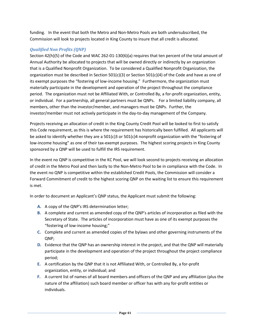funding. In the event that both the Metro and Non-Metro Pools are both undersubscribed, the Commission will look to projects located in King County to insure that all credit is allocated.

## *Qualified Non Profits (QNP)*

Section 42(h)(5) of the Code and WAC 262-01-130(6)(a) requires that ten percent of the total amount of Annual Authority be allocated to projects that will be owned directly or indirectly by an organization that is a Qualified Nonprofit Organization. To be considered a Qualified Nonprofit Organization, the organization must be described in Section 501(c)(3) or Section 501(c)(4) of the Code and have as one of its exempt purposes the "fostering of low-income housing." Furthermore, the organization must materially participate in the development and operation of the project throughout the compliance period. The organization must not be Affiliated With, or Controlled By, a for-profit organization, entity, or individual. For a partnership, all general partners must be QNPs. For a limited liability company, all members, other than the investor/member, and managers must be QNPs. Further, the investor/member must not actively participate in the day-to-day management of the Company.

Projects receiving an allocation of credit in the King County Credit Pool will be looked to first to satisfy this Code requirement, as this is where the requirement has historically been fulfilled. All applicants will be asked to identify whether they are a 501(c)3 or 501(c)4 nonprofit organization with the "fostering of low-income housing" as one of their tax-exempt purposes. The highest scoring projects in King County sponsored by a QNP will be used to fulfill the IRS requirement.

In the event no QNP is competitive in the KC Pool, we will look second to projects receiving an allocation of credit in the Metro Pool and then lastly to the Non-Metro Pool to be in compliance with the Code. In the event no QNP is competitive within the established Credit Pools, the Commission will consider a Forward Commitment of credit to the highest scoring QNP on the waiting list to ensure this requirement is met.

In order to document an Applicant's QNP status, the Applicant must submit the following:

- **A.** A copy of the QNP's IRS determination letter;
- **B.** A complete and current as amended copy of the QNP's articles of incorporation as filed with the Secretary of State. The articles of incorporation must have as one of its exempt purposes the "fostering of low-income housing;"
- **C.** Complete and current as amended copies of the bylaws and other governing instruments of the QNP;
- **D.** Evidence that the QNP has an ownership interest in the project, and that the QNP will materially participate in the development and operation of the project throughout the project compliance period;
- **E.** A certification by the QNP that it is not Affiliated With, or Controlled By, a for-profit organization, entity, or individual; and
- **F.** A current list of names of all board members and officers of the QNP and any affiliation (plus the nature of the affiliation) such board member or officer has with any for-profit entities or individuals.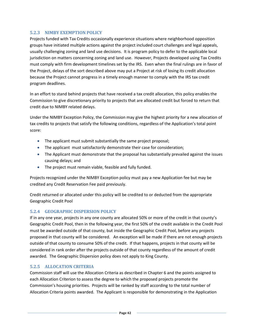#### **5.2.3 NIMBY EXEMPTION POLICY**

Projects funded with Tax Credits occasionally experience situations where neighborhood opposition groups have initiated multiple actions against the project included court challenges and legal appeals, usually challenging zoning and land use decisions. It is program policy to defer to the applicable local jurisdiction on matters concerning zoning and land use. However, Projects developed using Tax Credits must comply with firm development timelines set by the IRS. Even when the final rulings are in favor of the Project, delays of the sort described above may put a Project at risk of losing its credit allocation because the Project cannot progress in a timely enough manner to comply with the IRS tax credit program deadlines.

In an effort to stand behind projects that have received a tax credit allocation, this policy enables the Commission to give discretionary priority to projects that are allocated credit but forced to return that credit due to NIMBY related delays.

Under the NIMBY Exception Policy, the Commission may give the highest priority for a new allocation of tax credits to projects that satisfy the following conditions, regardless of the Application's total point score:

- The applicant must submit substantially the same project proposal;
- The applicant must satisfactorily demonstrate their case for consideration;
- The Applicant must demonstrate that the proposal has substantially prevailed against the issues causing delays; and
- The project must remain viable, feasible and fully funded.

Projects recognized under the NIMBY Exception policy must pay a new Application fee but may be credited any Credit Reservation Fee paid previously.

Credit returned or allocated under this policy will be credited to or deducted from the appropriate Geographic Credit Pool

## **5.2.4 GEOGRAPHIC DISPERSION POLICY**

If in any one year, projects in any one county are allocated 50% or more of the credit in that county's Geographic Credit Pool, then in the following year, the first 50% of the credit available in the Credit Pool must be awarded outside of that county, but inside the Geographic Credit Pool, before any projects proposed in that county will be considered. An exception will be made if there are not enough projects outside of that county to consume 50% of the credit. If that happens, projects in that county will be considered in rank order after the projects outside of that county regardless of the amount of credit awarded. The Geographic Dispersion policy does not apply to King County.

## **5.2.5 ALLOCATION CRITERIA**

Commission staff will use the Allocation Criteria as described in Chapter 6 and the points assigned to each Allocation Criterion to assess the degree to which the proposed projects promote the Commission's housing priorities. Projects will be ranked by staff according to the total number of Allocation Criteria points awarded. The Applicant is responsible for demonstrating in the Application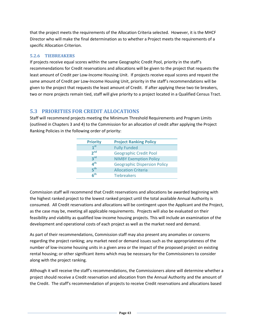that the project meets the requirements of the Allocation Criteria selected. However, it is the MHCF Director who will make the final determination as to whether a Project meets the requirements of a specific Allocation Criterion.

## **5.2.6 TIEBREAKERS**

If projects receive equal scores within the same Geographic Credit Pool, priority in the staff's recommendations for Credit reservations and allocations will be given to the project that requests the least amount of Credit per Low-Income Housing Unit. If projects receive equal scores and request the same amount of Credit per Low-Income Housing Unit, priority in the staff's recommendations will be given to the project that requests the least amount of Credit. If after applying these two tie breakers, two or more projects remain tied, staff will give priority to a project located in a Qualified Census Tract.

# **5.3 PRIORITIES FOR CREDIT ALLOCATIONS**

Staff will recommend projects meeting the Minimum Threshold Requirements and Program Limits (outlined in Chapters 3 and 4) to the Commission for an allocation of credit after applying the Project Ranking Policies in the following order of priority:

| <b>Priority</b> | <b>Project Ranking Policy</b>       |
|-----------------|-------------------------------------|
| 1 <sup>st</sup> | <b>Fully Funded</b>                 |
| 2 <sup>nd</sup> | <b>Geographic Credit Pool</b>       |
| 3 <sup>rd</sup> | <b>NIMBY Exemption Policy</b>       |
| 4 <sup>th</sup> | <b>Geographic Dispersion Policy</b> |
| 5 <sup>th</sup> | <b>Allocation Criteria</b>          |
| 6 <sup>th</sup> | <b>Tiebreakers</b>                  |

Commission staff will recommend that Credit reservations and allocations be awarded beginning with the highest ranked project to the lowest ranked project until the total available Annual Authority is consumed. All Credit reservations and allocations will be contingent upon the Applicant and the Project, as the case may be, meeting all applicable requirements. Projects will also be evaluated on their feasibility and viability as qualified low-income housing projects. This will include an examination of the development and operational costs of each project as well as the market need and demand.

As part of their recommendations, Commission staff may also present any anomalies or concerns regarding the project ranking; any market need or demand issues such as the appropriateness of the number of low-income housing units in a given area or the impact of the proposed project on existing rental housing; or other significant items which may be necessary for the Commissioners to consider along with the project ranking.

Although it will receive the staff's recommendations, the Commissioners alone will determine whether a project should receive a Credit reservation and allocation from the Annual Authority and the amount of the Credit. The staff's recommendation of projects to receive Credit reservations and allocations based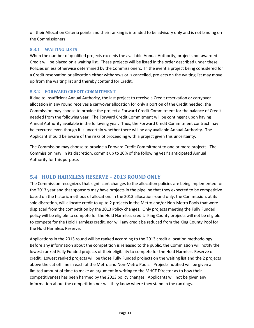on their Allocation Criteria points and their ranking is intended to be advisory only and is not binding on the Commissioners.

## **5.3.1 WAITING LISTS**

When the number of qualified projects exceeds the available Annual Authority, projects not awarded Credit will be placed on a waiting list. These projects will be listed in the order described under these Policies unless otherwise determined by the Commissioners. In the event a project being considered for a Credit reservation or allocation either withdraws or is cancelled, projects on the waiting list may move up from the waiting list and thereby contend for Credit.

## **5.3.2 FORWARD CREDIT COMMITMENT**

If due to insufficient Annual Authority, the last project to receive a Credit reservation or carryover allocation in any round receives a carryover allocation for only a portion of the Credit needed, the Commission may choose to provide the project a Forward Credit Commitment for the balance of Credit needed from the following year. The Forward Credit Commitment will be contingent upon having Annual Authority available in the following year. Thus, the Forward Credit Commitment contract may be executed even though it is uncertain whether there will be any available Annual Authority. The Applicant should be aware of the risks of proceeding with a project given this uncertainty.

The Commission may choose to provide a Forward Credit Commitment to one or more projects. The Commission may, in its discretion, commit up to 20% of the following year's anticipated Annual Authority for this purpose.

# **5.4 HOLD HARMLESS RESERVE – 2013 ROUND ONLY**

The Commission recognizes that significant changes to the allocation policies are being implemented for the 2013 year and that sponsors may have projects in the pipeline that they expected to be competitive based on the historic methods of allocation. In the 2013 allocation round only, the Commission, at its sole discretion, will allocate credit to up to 2 projects in the Metro and/or Non-Metro Pools that were displaced from the competition by the 2013 Policy changes. Only projects meeting the Fully Funded policy will be eligible to compete for the Hold Harmless credit. King County projects will not be eligible to compete for the Hold Harmless credit, nor will any credit be reduced from the King County Pool for the Hold Harmless Reserve.

Applications in the 2013 round will be ranked according to the 2013 credit allocation methodology. Before any information about the competition is released to the public, the Commission will notify the lowest ranked Fully Funded projects of their eligibility to compete for the Hold Harmless Reserve of credit. Lowest ranked projects will be those Fully Funded projects on the waiting list and the 2 projects above the cut off line in each of the Metro and Non-Metro Pools. Projects notified will be given a limited amount of time to make an argument in writing to the MHCF Director as to how their competitiveness has been harmed by the 2013 policy changes. Applicants will not be given any information about the competition nor will they know where they stand in the rankings.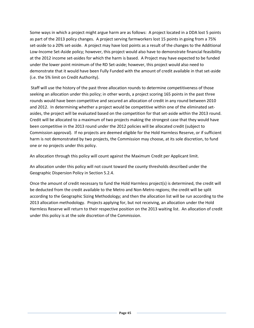Some ways in which a project might argue harm are as follows: A project located in a DDA lost 5 points as part of the 2013 policy changes. A project serving farmworkers lost 15 points in going from a 75% set-aside to a 20% set-aside. A project may have lost points as a result of the changes to the Additional Low-Income Set-Aside policy; however, this project would also have to demonstrate financial feasibility at the 2012 income set-asides for which the harm is based. A Project may have expected to be funded under the lower point minimum of the RD Set-aside; however, this project would also need to demonstrate that it would have been Fully Funded with the amount of credit available in that set-aside (i.e. the 5% limit on Credit Authority).

Staff will use the history of the past three allocation rounds to determine competitiveness of those seeking an allocation under this policy; in other words, a project scoring 165 points in the past three rounds would have been competitive and secured an allocation of credit in any round between 2010 and 2012. In determining whether a project would be competitive within one of the eliminated setasides, the project will be evaluated based on the competition for that set-aside within the 2013 round. Credit will be allocated to a maximum of two projects making the strongest case that they would have been competitive in the 2013 round under the 2012 policies will be allocated credit (subject to Commission approval). If no projects are deemed eligible for the Hold Harmless Reserve, or if sufficient harm is not demonstrated by two projects, the Commission may choose, at its sole discretion, to fund one or no projects under this policy.

An allocation through this policy will count against the Maximum Credit per Applicant limit.

An allocation under this policy will not count toward the county thresholds described under the Geographic Dispersion Policy in Section 5.2.4.

Once the amount of credit necessary to fund the Hold Harmless project(s) is determined, the credit will be deducted from the credit available to the Metro and Non-Metro regions; the credit will be split according to the Geographic Sizing Methodology; and then the allocation list will be run according to the 2013 allocation methodology. Projects applying for, but not receiving, an allocation under the Hold Harmless Reserve will return to their respective position on the 2013 waiting list. An allocation of credit under this policy is at the sole discretion of the Commission.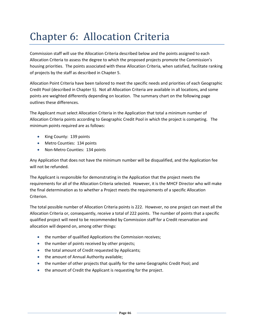# Chapter 6: Allocation Criteria

Commission staff will use the Allocation Criteria described below and the points assigned to each Allocation Criteria to assess the degree to which the proposed projects promote the Commission's housing priorities. The points associated with these Allocation Criteria, when satisfied, facilitate ranking of projects by the staff as described in Chapter 5.

Allocation Point Criteria have been tailored to meet the specific needs and priorities of each Geographic Credit Pool (described in Chapter 5). Not all Allocation Criteria are available in all locations, and some points are weighted differently depending on location. The summary chart on the following page outlines these differences.

The Applicant must select Allocation Criteria in the Application that total a minimum number of Allocation Criteria points according to Geographic Credit Pool in which the project is competing. The minimum points required are as follows:

- King County: 139 points
- Metro Counties: 134 points
- Non-Metro Counties: 134 points

Any Application that does not have the minimum number will be disqualified, and the Application fee will not be refunded.

The Applicant is responsible for demonstrating in the Application that the project meets the requirements for all of the Allocation Criteria selected. However, it is the MHCF Director who will make the final determination as to whether a Project meets the requirements of a specific Allocation Criterion.

The total possible number of Allocation Criteria points is 222. However, no one project can meet all the Allocation Criteria or, consequently, receive a total of 222 points. The number of points that a specific qualified project will need to be recommended by Commission staff for a Credit reservation and allocation will depend on, among other things:

- the number of qualified Applications the Commission receives;
- the number of points received by other projects;
- the total amount of Credit requested by Applicants;
- the amount of Annual Authority available;
- the number of other projects that qualify for the same Geographic Credit Pool; and
- the amount of Credit the Applicant is requesting for the project.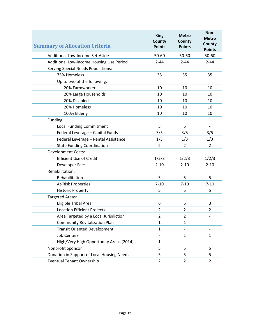| <b>Summary of Allocation Criteria</b>      | <b>King</b><br>County<br><b>Points</b> | <b>Metro</b><br>County<br><b>Points</b> | Non-<br><b>Metro</b><br>County<br><b>Points</b> |
|--------------------------------------------|----------------------------------------|-----------------------------------------|-------------------------------------------------|
| Additional Low-Income Set-Aside            | 50-60                                  | 50-60                                   | 50-60                                           |
| Additional Low-Income Housing Use Period   | $2 - 44$                               | $2 - 44$                                | $2 - 44$                                        |
| <b>Serving Special Needs Populations:</b>  |                                        |                                         |                                                 |
| 75% Homeless                               | 35                                     | 35                                      | 35                                              |
| Up to two of the following:                |                                        |                                         |                                                 |
| 20% Farmworker                             | 10                                     | 10                                      | 10                                              |
| 20% Large Households                       | 10                                     | 10                                      | 10                                              |
| 20% Disabled                               | 10                                     | 10                                      | 10                                              |
| 20% Homeless                               | 10                                     | 10                                      | 10                                              |
| 100% Elderly                               | 10                                     | 10                                      | 10                                              |
| Funding:                                   |                                        |                                         |                                                 |
| <b>Local Funding Commitment</b>            | 5                                      | 5                                       |                                                 |
| Federal Leverage - Capital Funds           | 3/5                                    | 3/5                                     | 3/5                                             |
| Federal Leverage - Rental Assistance       | 1/3                                    | 1/3                                     | 1/3                                             |
| <b>State Funding Coordination</b>          | $\overline{2}$                         | $\overline{2}$                          | $\overline{2}$                                  |
| <b>Development Costs:</b>                  |                                        |                                         |                                                 |
| <b>Efficient Use of Credit</b>             | 1/2/3                                  | 1/2/3                                   | 1/2/3                                           |
| <b>Developer Fees</b>                      | $2 - 10$                               | $2 - 10$                                | $2 - 10$                                        |
| Rehabilitation:                            |                                        |                                         |                                                 |
| Rehabilitation                             | 5                                      | 5                                       | 5                                               |
| <b>At-Risk Properties</b>                  | $7 - 10$                               | $7 - 10$                                | $7 - 10$                                        |
| <b>Historic Property</b>                   | 5                                      | 5                                       | 5                                               |
| <b>Targeted Areas:</b>                     |                                        |                                         |                                                 |
| Eligible Tribal Area                       | 6                                      | 5                                       | 3                                               |
| <b>Location Efficient Projects</b>         | $\overline{2}$                         | $\overline{2}$                          | $\overline{2}$                                  |
| Area Targeted by a Local Jurisdiction      | 2                                      | 2                                       | $\overline{\phantom{0}}$                        |
| <b>Community Revitalization Plan</b>       | $\mathbf{1}$                           | $\mathbf{1}$                            |                                                 |
| <b>Transit Oriented Development</b>        | $\mathbf{1}$                           |                                         |                                                 |
| <b>Job Centers</b>                         | $\overline{\phantom{0}}$               | $\mathbf{1}$                            | $\mathbf{1}$                                    |
| High/Very High Opportunity Areas (2014)    | $\mathbf{1}$                           | $\qquad \qquad \blacksquare$            | $\overline{\phantom{a}}$                        |
| Nonprofit Sponsor                          | 5                                      | 5                                       | 5                                               |
| Donation in Support of Local Housing Needs | 5                                      | 5                                       | 5                                               |
| <b>Eventual Tenant Ownership</b>           | $\overline{2}$                         | $\overline{2}$                          | $\overline{2}$                                  |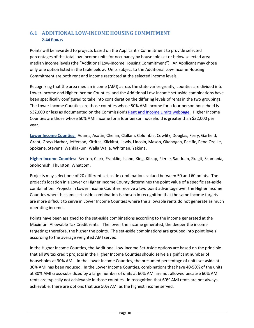# **6.1 ADDITIONAL LOW-INCOME HOUSING COMMITMENT 2-44 POINTS**

Points will be awarded to projects based on the Applicant's Commitment to provide selected percentages of the total low-income units for occupancy by households at or below selected area median income levels (the "Additional Low-Income Housing Commitment"). An Applicant may chose only one option listed in the table below. Units subject to the Additional Low-Income Housing Commitment are both rent and income restricted at the selected income levels.

Recognizing that the area median income (AMI) across the state varies greatly, counties are divided into Lower Income and Higher Income Counties, and the Additional Low-Income set-aside combinations have been specifically configured to take into consideration the differing levels of rents in the two groupings. The Lower Income Counties are those counties whose 50% AMI income for a four person household is \$32,000 or less as documented on the Commission's [Rent and Income Limits webpage.](http://www.wshfc.org/limits/map.aspx) Higher Income Counties are those whose 50% AMI income for a four person household is greater than \$32,000 per year.

**Lower Income Counties:** Adams, Asotin, Chelan, Clallam, Columbia, Cowlitz, Douglas, Ferry, Garfield, Grant, Grays Harbor, Jefferson, Kittitas, Klickitat, Lewis, Lincoln, Mason, Okanogan, Pacific, Pend Oreille, Spokane, Stevens, Wahkiakum, Walla Walla, Whitman, Yakima.

**Higher Income Counties:** Benton, Clark, Franklin, Island, King, Kitsap, Pierce, San Juan, Skagit, Skamania, Snohomish, Thurston, Whatcom.

Projects may select one of 20 different set-aside combinations valued between 50 and 60 points. The project's location in a Lower or Higher Income County determines the point value of a specific set-aside combination. Projects in Lower Income Counties receive a two point advantage over the Higher Income Counties when the same set-aside combination is chosen in recognition that the same income targets are more difficult to serve in Lower Income Counties where the allowable rents do not generate as much operating income.

Points have been assigned to the set-aside combinations according to the income generated at the Maximum Allowable Tax Credit rents. The lower the income generated, the deeper the income targeting; therefore, the higher the points. The set-aside combinations are grouped into point levels according to the average weighted AMI served.

In the Higher Income Counties, the Additional Low-Income Set-Aside options are based on the principle that all 9% tax credit projects in the Higher Income Counties should serve a significant number of households at 30% AMI. In the Lower Income Counties, the presumed percentage of units set aside at 30% AMI has been reduced. In the Lower Income Counties, combinations that have 40-50% of the units at 30% AMI cross-subsidized by a large number of units at 60% AMI are not allowed because 60% AMI rents are typically not achievable in those counties. In recognition that 60% AMI rents are not always achievable, there are options that use 50% AMI as the highest income served.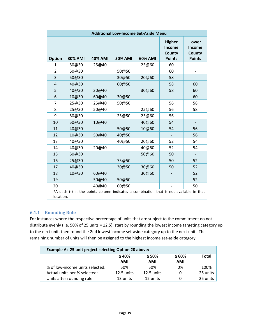| <b>Additional Low-Income Set-Aside Menu</b> |                |                |                |                                                                                        |                                                    |                                                   |
|---------------------------------------------|----------------|----------------|----------------|----------------------------------------------------------------------------------------|----------------------------------------------------|---------------------------------------------------|
| <b>Option</b>                               | <b>30% AMI</b> | <b>40% AMI</b> | <b>50% AMI</b> | 60% AMI                                                                                | <b>Higher</b><br>Income<br>County<br><b>Points</b> | Lower<br><b>Income</b><br>County<br><b>Points</b> |
| $\mathbf{1}$                                | 50@30          | 25@40          |                | 25@60                                                                                  | 60                                                 |                                                   |
| $\overline{2}$                              | 50@30          |                | 50@50          |                                                                                        | 60                                                 |                                                   |
| 3                                           | 50@30          |                | 30@50          | 20@60                                                                                  | 58                                                 |                                                   |
| 4                                           | 40@30          |                | 60@50          |                                                                                        | 58                                                 | 60                                                |
| 5                                           | 40@30          | 30@40          |                | 30@60                                                                                  | 58                                                 | 60                                                |
| 6                                           | 10@30          | 60@40          | 30@50          |                                                                                        |                                                    | 60                                                |
| $\overline{7}$                              | 25@30          | 25@40          | 50@50          |                                                                                        | 56                                                 | 58                                                |
| 8                                           | 25@30          | 50@40          |                | 25@60                                                                                  | 56                                                 | 58                                                |
| 9                                           | 50@30          |                | 25@50          | 25@60                                                                                  | 56                                                 | $\overline{\phantom{0}}$                          |
| 10                                          | 50@30          | 10@40          |                | 40@60                                                                                  | 54                                                 |                                                   |
| 11                                          | 40@30          |                | 50@50          | 10@60                                                                                  | 54                                                 | 56                                                |
| 12                                          | 10@30          | 50@40          | 40@50          |                                                                                        |                                                    | 56                                                |
| 13                                          | 40@30          |                | 40@50          | 20@60                                                                                  | 52                                                 | 54                                                |
| 14                                          | 40@30          | 20@40          |                | 40@60                                                                                  | 52                                                 | 54                                                |
| 15                                          | 50@30          |                |                | 50@60                                                                                  | 50                                                 |                                                   |
| 16                                          | 25@30          |                | 75@50          |                                                                                        | 50                                                 | 52                                                |
| 17                                          | 40@30          |                | 30@50          | 30@60                                                                                  | 50                                                 | 52                                                |
| 18                                          | 10@30          | 60@40          |                | 30@60                                                                                  |                                                    | 52                                                |
| 19                                          |                | 50@40          | 50@50          |                                                                                        |                                                    | 52                                                |
| 20                                          |                | 40@40          | 60@50          |                                                                                        |                                                    | 50                                                |
| location.                                   |                |                |                | *A dash (-) in the points column indicates a combination that is not available in that |                                                    |                                                   |

## **6.1.1 Rounding Rule**

For instances where the respective percentage of units that are subject to the commitment do not distribute evenly (i.e. 50% of 25 units = 12.5), start by rounding the lowest income targeting category up to the next unit, then round the 2nd lowest income set-aside category up to the next unit. The remaining number of units will then be assigned to the highest income set-aside category.

| Example A: 25 unit project selecting Option 20 above: |              |            |            |          |  |
|-------------------------------------------------------|--------------|------------|------------|----------|--|
| $\leq 40\%$<br>$\leq 50\%$<br>$\leq 60\%$             |              |            |            |          |  |
|                                                       | AMI          | AMI        | <b>AMI</b> |          |  |
| % of low-income units selected:                       | 50%          | 50%        | 0%         | 100%     |  |
| Actual units per % selected:                          | $12.5$ units | 12.5 units | 0          | 25 units |  |
| Units after rounding rule:                            | 13 units     | 12 units   | 0          | 25 units |  |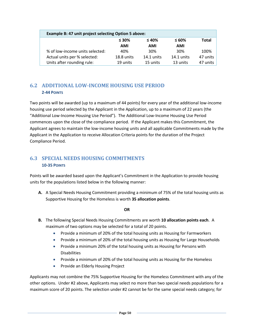| Example B: 47 unit project selecting Option 5 above: |              |              |          |  |  |
|------------------------------------------------------|--------------|--------------|----------|--|--|
| $\leq 30\%$                                          | $\leq 40\%$  | $\leq 60\%$  | Total    |  |  |
| <b>AMI</b>                                           | <b>AMI</b>   | <b>AMI</b>   |          |  |  |
| 40%                                                  | 30%          | 30%          | 100%     |  |  |
| 18.8 units                                           | $14.1$ units | $14.1$ units | 47 units |  |  |
| 19 units                                             | 15 units     | 13 units     | 47 units |  |  |
|                                                      |              |              |          |  |  |

# **6.2 ADDITIONAL LOW-INCOME HOUSING USE PERIOD 2-44 POINTS**

Two points will be awarded (up to a maximum of 44 points) for every year of the additional low-income housing use period selected by the Applicant in the Application, up to a maximum of 22 years (the "Additional Low-Income Housing Use Period"). The Additional Low-Income Housing Use Period commences upon the close of the compliance period. If the Applicant makes this Commitment, the Applicant agrees to maintain the low-income housing units and all applicable Commitments made by the Applicant in the Application to receive Allocation Criteria points for the duration of the Project Compliance Period.

# **6.3 SPECIAL NEEDS HOUSING COMMITMENTS 10-35 POINTS**

Points will be awarded based upon the Applicant's Commitment in the Application to provide housing units for the populations listed below in the following manner:

**A.** A Special Needs Housing Commitment providing a minimum of 75% of the total housing units as Supportive Housing for the Homeless is worth **35 allocation points**.

#### **OR**

- **B.** The following Special Needs Housing Commitments are worth **10 allocation points each**. A maximum of two options may be selected for a total of 20 points.
	- Provide a minimum of 20% of the total housing units as Housing for Farmworkers
	- Provide a minimum of 20% of the total housing units as Housing for Large Households
	- Provide a minimum 20% of the total housing units as Housing for Persons with **Disabilities**
	- Provide a minimum of 20% of the total housing units as Housing for the Homeless
	- Provide an Elderly Housing Project

Applicants may not combine the 75% Supportive Housing for the Homeless Commitment with any of the other options. Under #2 above, Applicants may select no more than two special needs populations for a maximum score of 20 points. The selection under #2 cannot be for the same special needs category; for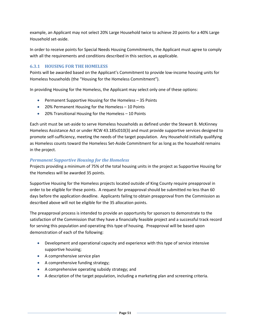example, an Applicant may not select 20% Large Household twice to achieve 20 points for a 40% Large Household set-aside.

In order to receive points for Special Needs Housing Commitments, the Applicant must agree to comply with all the requirements and conditions described in this section, as applicable.

#### **6.3.1 HOUSING FOR THE HOMELESS**

Points will be awarded based on the Applicant's Commitment to provide low-income housing units for Homeless households (the "Housing for the Homeless Commitment").

In providing Housing for the Homeless, the Applicant may select only one of these options:

- Permanent Supportive Housing for the Homeless 35 Points
- 20% Permanent Housing for the Homeless 10 Points
- 20% Transitional Housing for the Homeless 10 Points

Each unit must be set-aside to serve Homeless households as defined under the Stewart B. McKinney Homeless Assistance Act or under RCW 43.185c010(3) and must provide supportive services designed to promote self-sufficiency, meeting the needs of the target population. Any Household initially qualifying as Homeless counts toward the Homeless Set-Aside Commitment for as long as the household remains in the project.

#### *Permanent Supportive Housing for the Homeless*

Projects providing a minimum of 75% of the total housing units in the project as Supportive Housing for the Homeless will be awarded 35 points.

Supportive Housing for the Homeless projects located outside of King County require preapproval in order to be eligible for these points. A request for preapproval should be submitted no less than 60 days before the application deadline. Applicants failing to obtain preapproval from the Commission as described above will not be eligible for the 35 allocation points.

The preapproval process is intended to provide an opportunity for sponsors to demonstrate to the satisfaction of the Commission that they have a financially feasible project and a successful track record for serving this population and operating this type of housing. Preapproval will be based upon demonstration of each of the following:

- Development and operational capacity and experience with this type of service intensive supportive housing;
- A comprehensive service plan
- A comprehensive funding strategy;
- A comprehensive operating subsidy strategy; and
- A description of the target population, including a marketing plan and screening criteria.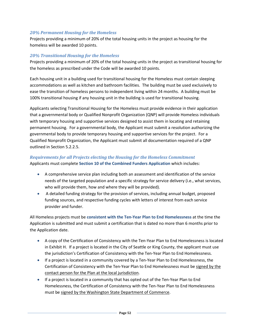#### *20% Permanent Housing for the Homeless*

Projects providing a minimum of 20% of the total housing units in the project as housing for the homeless will be awarded 10 points.

#### *20% Transitional Housing for the Homeless*

Projects providing a minimum of 20% of the total housing units in the project as transitional housing for the homeless as prescribed under the Code will be awarded 10 points.

Each housing unit in a building used for transitional housing for the Homeless must contain sleeping accommodations as well as kitchen and bathroom facilities. The building must be used exclusively to ease the transition of homeless persons to independent living within 24 months. A building must be 100% transitional housing if any housing unit in the building is used for transitional housing.

Applicants selecting Transitional Housing for the Homeless must provide evidence in their application that a governmental body or Qualified Nonprofit Organization (QNP) will provide Homeless individuals with temporary housing and supportive services designed to assist them in locating and retaining permanent housing. For a governmental body, the Applicant must submit a resolution authorizing the governmental body to provide temporary housing and supportive services for the project. For a Qualified Nonprofit Organization, the Applicant must submit all documentation required of a QNP outlined in Section 5.2.2.5.

#### *Requirements for all Projects electing the Housing for the Homeless Commitment* Applicants must complete **Section 10 of the Combined Funders Application** which includes:

- A comprehensive service plan including both an assessment and identification of the service needs of the targeted population and a specific strategy for service delivery (i.e., what services, who will provide them, how and where they will be provided).
- A detailed funding strategy for the provision of services, including annual budget, proposed funding sources, and respective funding cycles with letters of interest from each service provider and funder.

All Homeless projects must be **consistent with the Ten-Year Plan to End Homelessness** at the time the Application is submitted and must submit a certification that is dated no more than 6 months prior to the Application date.

- A copy of the Certification of Consistency with the Ten-Year Plan to End Homelessness is located in Exhibit H. If a project is located in the City of Seattle or King County, the applicant must use the jurisdiction's Certification of Consistency with the Ten-Year Plan to End Homelessness.
- If a project is located in a community covered by a Ten-Year Plan to End Homelessness, the Certification of Consistency with the Ten-Year Plan to End Homelessness must be signed by the contact person for the Plan at the local jurisdiction.
- If a project is located in a community that has opted out of the Ten-Year Plan to End Homelessness, the Certification of Consistency with the Ten-Year Plan to End Homelessness must be signed by the Washington State Department of Commerce.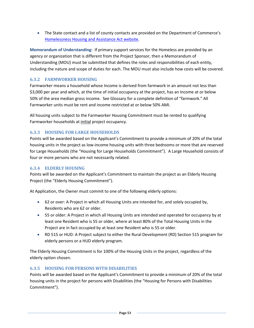• The State contact and a list of county contacts are provided on the Department of Commerce's [Homelessness Housing and Assistance Act website.](http://www.commerce.wa.gov/Programs/housing/Homeless/Pages/default.aspx)

**Memorandum of Understanding:** If primary support services for the Homeless are provided by an agency or organization that is different from the Project Sponsor, then a Memorandum of Understanding (MOU) must be submitted that defines the roles and responsibilities of each entity, including the nature and scope of duties for each. The MOU must also include how costs will be covered.

## **6.3.2 FARMWORKER HOUSING**

Farmworker means a household whose Income is derived from farmwork in an amount not less than \$3,000 per year and which, at the time of initial occupancy at the project, has an Income at or below 50% of the area median gross income. See Glossary for a complete definition of "farmwork." All Farmworker units must be rent and income restricted at or below 50% AMI.

All housing units subject to the Farmworker Housing Commitment must be rented to qualifying Farmworker households at initial project occupancy.

## **6.3.3 HOUSING FOR LARGE HOUSEHOLDS**

Points will be awarded based on the Applicant's Commitment to provide a minimum of 20% of the total housing units in the project as low-income housing units with three bedrooms or more that are reserved for Large Households (the "Housing for Large Households Commitment"). A Large Household consists of four or more persons who are not necessarily related.

#### **6.3.4 ELDERLY HOUSING**

Points will be awarded on the Applicant's Commitment to maintain the project as an Elderly Housing Project (the "Elderly Housing Commitment").

At Application, the Owner must commit to one of the following elderly options:

- 62 or over: A Project in which all Housing Units are intended for, and solely occupied by, Residents who are 62 or older.
- 55 or older: A Project in which all Housing Units are intended and operated for occupancy by at least one Resident who is 55 or older, where at least 80% of the Total Housing Units in the Project are in fact occupied by at least one Resident who is 55 or older.
- RD 515 or HUD: A Project subject to either the Rural Development (RD) Section 515 program for elderly persons or a HUD elderly program.

The Elderly Housing Commitment is for 100% of the Housing Units in the project, regardless of the elderly option chosen.

## **6.3.5 HOUSING FOR PERSONS WITH DISABILITIES**

Points will be awarded based on the Applicant's Commitment to provide a minimum of 20% of the total housing units in the project for persons with Disabilities (the "Housing for Persons with Disabilities Commitment").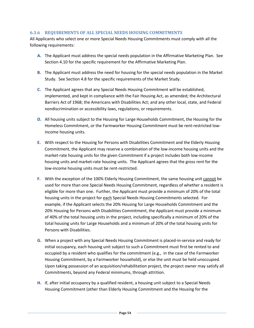#### **6.3.6 REQUIREMENTS OF ALL SPECIAL NEEDS HOUSING COMMITMENTS**

All Applicants who select one or more Special Needs Housing Commitments must comply with all the following requirements:

- **A.** The Applicant must address the special needs population in the Affirmative Marketing Plan. See Section 4.10 for the specific requirement for the Affirmative Marketing Plan.
- **B.** The Applicant must address the need for housing for the special needs population in the Market Study. See Section 4.8 for the specific requirements of the Market Study.
- **C.** The Applicant agrees that any Special Needs Housing Commitment will be established, implemented, and kept in compliance with the Fair Housing Act, as amended; the Architectural Barriers Act of 1968; the Americans with Disabilities Act; and any other local, state, and Federal nondiscrimination or accessibility laws, regulations, or requirements.
- **D.** All housing units subject to the Housing for Large Households Commitment, the Housing for the Homeless Commitment, or the Farmworker Housing Commitment must be rent-restricted lowincome housing units.
- **E.** With respect to the Housing for Persons with Disabilities Commitment and the Elderly Housing Commitment, the Applicant may reserve a combination of the low-income housing units and the market-rate housing units for the given Commitment if a project includes both low-income housing units and market-rate housing units. The Applicant agrees that the gross rent for the low-income housing units must be rent-restricted.
- **F.** With the exception of the 100% Elderly Housing Commitment, the same housing unit cannot be used for more than one Special Needs Housing Commitment, regardless of whether a resident is eligible for more than one. Further, the Applicant must provide a minimum of 20% of the total housing units in the project for each Special Needs Housing Commitments selected. For example, if the Applicant selects the 20% Housing for Large Households Commitment and the 20% Housing for Persons with Disabilities Commitment, the Applicant must provide a minimum of 40% of the total housing units in the project, including specifically a minimum of 20% of the total housing units for Large Households and a minimum of 20% of the total housing units for Persons with Disabilities.
- **G.** When a project with any Special Needs Housing Commitment is placed-in-service and ready for initial occupancy, each housing unit subject to such a Commitment must first be rented to and occupied by a resident who qualifies for the commitment (e.g., in the case of the Farmworker Housing Commitment, by a Farmworker household), or else the unit must be held unoccupied. Upon taking possession of an acquisition/rehabilitation project, the project owner may satisfy all Commitments, beyond any Federal minimums, through attrition.
- **H.** If, after initial occupancy by a qualified resident, a housing unit subject to a Special Needs Housing Commitment (other than Elderly Housing Commitment and the Housing for the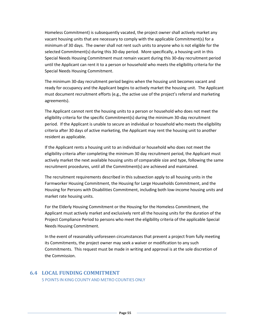Homeless Commitment) is subsequently vacated, the project owner shall actively market any vacant housing units that are necessary to comply with the applicable Commitment(s) for a minimum of 30 days. The owner shall not rent such units to anyone who is not eligible for the selected Commitment(s) during this 30-day period. More specifically, a housing unit in this Special Needs Housing Commitment must remain vacant during this 30-day recruitment period until the Applicant can rent it to a person or household who meets the eligibility criteria for the Special Needs Housing Commitment.

The minimum 30-day recruitment period begins when the housing unit becomes vacant and ready for occupancy and the Applicant begins to actively market the housing unit. The Applicant must document recruitment efforts (e.g., the active use of the project's referral and marketing agreements).

The Applicant cannot rent the housing units to a person or household who does not meet the eligibility criteria for the specific Commitment(s) during the minimum 30-day recruitment period. If the Applicant is unable to secure an individual or household who meets the eligibility criteria after 30 days of active marketing, the Applicant may rent the housing unit to another resident as applicable.

If the Applicant rents a housing unit to an individual or household who does not meet the eligibility criteria after completing the minimum 30 day recruitment period, the Applicant must actively market the next available housing units of comparable size and type, following the same recruitment procedures, until all the Commitment(s) are achieved and maintained.

The recruitment requirements described in this subsection apply to all housing units in the Farmworker Housing Commitment, the Housing for Large Households Commitment, and the Housing for Persons with Disabilities Commitment, including both low-income housing units and market rate housing units.

For the Elderly Housing Commitment or the Housing for the Homeless Commitment, the Applicant must actively market and exclusively rent all the housing units for the duration of the Project Compliance Period to persons who meet the eligibility criteria of the applicable Special Needs Housing Commitment.

In the event of reasonably unforeseen circumstances that prevent a project from fully meeting its Commitments, the project owner may seek a waiver or modification to any such Commitments. This request must be made in writing and approval is at the sole discretion of the Commission.

#### **6.4 LOCAL FUNDING COMMITMENT**

5 POINTS IN KING COUNTY AND METRO COUNTIES ONLY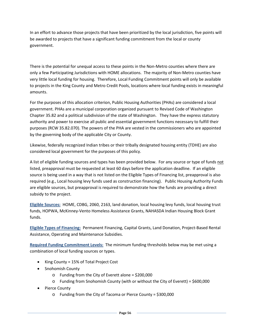In an effort to advance those projects that have been prioritized by the local jurisdiction, five points will be awarded to projects that have a significant funding commitment from the local or county government.

There is the potential for unequal access to these points in the Non-Metro counties where there are only a few Participating Jurisdictions with HOME allocations. The majority of Non-Metro counties have very little local funding for housing. Therefore, Local Funding Commitment points will only be available to projects in the King County and Metro Credit Pools, locations where local funding exists in meaningful amounts.

For the purposes of this allocation criterion, Public Housing Authorities (PHAs) are considered a local government. PHAs are a municipal corporation organized pursuant to Revised Code of Washington Chapter 35.82 and a political subdivision of the state of Washington. They have the express statutory authority and power to exercise all public and essential government functions necessary to fulfill their purposes (RCW 35.82.070). The powers of the PHA are vested in the commissioners who are appointed by the governing body of the applicable City or County.

Likewise, federally recognized Indian tribes or their tribally designated housing entity (TDHE) are also considered local government for the purposes of this policy.

A list of eligible funding sources and types has been provided below. For any source or type of funds not listed, preapproval must be requested at least 60 days before the application deadline. If an eligible source is being used in a way that is not listed on the Eligible Types of Financing list, preapproval is also required (e.g., Local housing levy funds used as construction financing). Public Housing Authority Funds are eligible sources, but preapproval is required to demonstrate how the funds are providing a direct subsidy to the project.

**Eligible Sources:** HOME, CDBG, 2060, 2163, land donation, local housing levy funds, local housing trust funds, HOPWA, McKinney-Vento Homeless Assistance Grants, NAHASDA Indian Housing Block Grant funds.

**Eligible Types of Financing:** Permanent Financing, Capital Grants, Land Donation, Project-Based Rental Assistance, Operating and Maintenance Subsidies.

**Required Funding Commitment Levels:** The minimum funding thresholds below may be met using a combination of local funding sources or types.

- King County = 15% of Total Project Cost
- Snohomish County
	- $\circ$  Funding from the City of Everett alone = \$200,000
	- o Funding from Snohomish County (with or without the City of Everett) = \$600,000
- Pierce County
	- o Funding from the City of Tacoma or Pierce County = \$300,000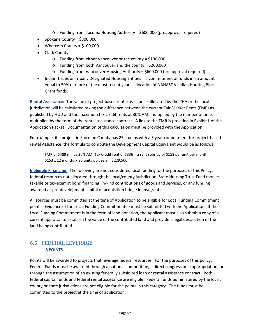- o Funding from Tacoma Housing Authority = \$600,000 (preapproval required)
- Spokane County = \$300,000
- Whatcom County = \$100,000
- Clark County
	- o Funding from either Vancouver or the county = \$100,000
	- o Funding from both Vancouver and the county = \$200,000
	- o Funding from Vancouver Housing Authority = \$600,000 (preapproval required)
- Indian Tribes or Tribally Designated Housing Entities = a commitment of funds in an amount equal to 50% or more of the most recent year's allocation of NAHASDA Indian Housing Block Grant funds.

**Rental Assistance:** The value of project-based rental assistance allocated by the PHA or the local jurisdiction will be calculated taking the difference between the current Fair Market Rents (FMR) as published by HUD and the maximum tax credit rents at 30% AMI multiplied by the number of units multiplied by the term of the rental assistance contract. A link to the FMR is provided in Exhibit L of the Application Packet. Documentation of this calculation must be provided with the Application.

For example, if a project in Spokane County has 25 studios with a 5 year commitment for project-based rental Assistance, the formula to compute the Development Capital Equivalent would be as follows:

FMR of \$489 minus 30% AMI Tax Credit rent of \$336 = a rent subsidy of \$153 per unit per month \$153 x 12 months x 25 units x 5 years = \$229,500

**Ineligible Financing:** The following are not considered local funding for the purposes of this Policy: federal resources not allocated through the local/county jurisdiction, State Housing Trust Fund monies, taxable or tax-exempt bond financing, in-kind contributions of goods and services, or any funding awarded as pre-development capital or acquisition bridge loans/grants.

All sources must be committed at the time of Application to be eligible for Local Funding Commitment points. Evidence of the Local Funding Commitment(s) must be submitted with the Application. If the Local Funding Commitment is in the form of land donation, the Applicant must also submit a copy of a current appraisal to establish the value of the contributed land and provide a legal description of the land being contributed.

# **6.5 FEDERAL LEVERAGE 1-8 POINTS**

Points will be awarded to projects that leverage federal resources. For the purposes of this policy, Federal Funds must be awarded through a national competition, a direct congressional appropriation, or through the assumption of an existing federally subsidized loan or rental assistance contract. Both federal capital funds and federal rental assistance are eligible. Federal funds administered by the local, county or state jurisdictions are not eligible for the points in this category. The funds must be committed to the project at the time of application.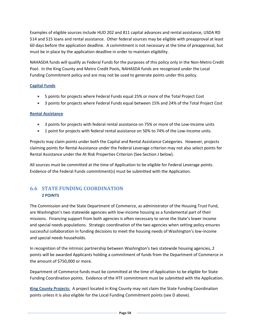Examples of eligible sources include HUD 202 and 811 capital advances and rental assistance, USDA RD 514 and 515 loans and rental assistance. Other federal sources may be eligible with preapproval at least 60 days before the application deadline. A commitment is not necessary at the time of preapproval, but must be in place by the application deadline in order to maintain eligibility.

NAHASDA funds will qualify as Federal Funds for the purposes of this policy only in the Non-Metro Credit Pool. In the King County and Metro Credit Pools, NAHASDA funds are recognized under the Local Funding Commitment policy and are may not be used to generate points under this policy.

#### **Capital Funds**

- 5 points for projects where Federal Funds equal 25% or more of the Total Project Cost
- 3 points for projects where Federal Funds equal between 15% and 24% of the Total Project Cost

#### **Rental Assistance**

- 3 points for projects with federal rental assistance on 75% or more of the Low-Income units
- 1 point for projects with federal rental assistance on 50% to 74% of the Low-Income units.

Projects may claim points under both the Capital and Rental Assistance Categories. However, projects claiming points for Rental Assistance under the Federal Leverage criterion may not also select points for Rental Assistance under the At Risk Properties Criterion (See Section J below).

All sources must be committed at the time of Application to be eligible for Federal Leverage points. Evidence of the Federal Funds commitment(s) must be submitted with the Application.

# **6.6 STATE FUNDING COORDINATION 2 POINTS**

The Commission and the State Department of Commerce, as administrator of the Housing Trust Fund, are Washington's two statewide agencies with low-income housing as a fundamental part of their missions. Financing support from both agencies is often necessary to serve the State's lower income and special needs populations. Strategic coordination of the two agencies when setting policy ensures successful collaboration in funding decisions to meet the housing needs of Washington's low-income and special needs households.

In recognition of the intrinsic partnership between Washington's two statewide housing agencies, 2 points will be awarded Applicants holding a commitment of funds from the Department of Commerce in the amount of \$750,000 or more.

Department of Commerce funds must be committed at the time of Application to be eligible for State Funding Coordination points. Evidence of the HTF commitment must be submitted with the Application.

**King County Projects:** A project located in King County may not claim the State Funding Coordination points unless it is also eligible for the Local Funding Commitment points (see D above).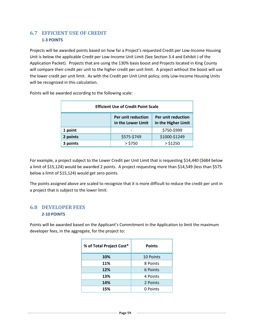# **6.7 EFFICIENT USE OF CREDIT 1-3 POINTS**

Projects will be awarded points based on how far a Project's requested Credit per Low-Income Housing Unit is below the applicable Credit per Low-Income Unit Limit (See Section 3.4 and Exhibit J of the Application Packet). Projects that are using the 130% basis boost and Projects located in King County will compare their credit per unit to the higher credit per unit limit. A project without the boost will use the lower credit per unit limit. As with the Credit per Unit Limit policy, only Low-Income Housing Units will be recognized in this calculation.

| <b>Efficient Use of Credit Point Scale</b> |                                                                                       |               |  |  |  |
|--------------------------------------------|---------------------------------------------------------------------------------------|---------------|--|--|--|
|                                            | Per unit reduction<br>Per unit reduction<br>in the Higher Limit<br>in the Lower Limit |               |  |  |  |
| 1 point                                    |                                                                                       | \$750-\$999   |  |  |  |
| 2 points                                   | \$575-\$749                                                                           | \$1000-\$1249 |  |  |  |
| 3 points                                   | $>$ \$750                                                                             | > \$1250      |  |  |  |

Points will be awarded according to the following scale:

For example, a project subject to the Lower Credit per Unit Limit that is requesting \$14,440 (\$684 below a limit of \$15,124) would be awarded 2 points. A project requesting more than \$14,549 (less than \$575 below a limit of \$15,124) would get zero points.

The points assigned above are scaled to recognize that it is more difficult to reduce the credit per unit in a project that is subject to the lower limit.

## **6.8 DEVELOPER FEES 2-10 POINTS**

Points will be awarded based on the Applicant's Commitment in the Application to limit the maximum developer fees, in the aggregate, for the project to:

| % of Total Project Cost* | <b>Points</b> |  |
|--------------------------|---------------|--|
| 10%                      | 10 Points     |  |
| 11%                      | 8 Points      |  |
| 12%                      | 6 Points      |  |
| 13%                      | 4 Points      |  |
| 14%                      | 2 Points      |  |
| 15%                      | 0 Points      |  |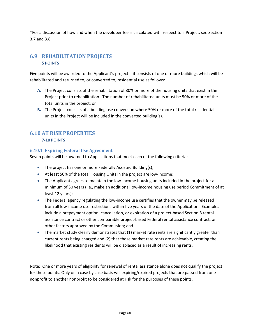\*For a discussion of how and when the developer fee is calculated with respect to a Project, see Section 3.7 and 3.8.

# **6.9 REHABILITATION PROJECTS 5 POINTS**

Five points will be awarded to the Applicant's project if it consists of one or more buildings which will be rehabilitated and returned to, or converted to, residential use as follows:

- **A.** The Project consists of the rehabilitation of 80% or more of the housing units that exist in the Project prior to rehabilitation. The number of rehabilitated units must be 50% or more of the total units in the project; or
- **B.** The Project consists of a building use conversion where 50% or more of the total residential units in the Project will be included in the converted building(s).

## **6.10 AT RISK PROPERTIES 7-10 POINTS**

#### **6.10.1 Expiring Federal Use Agreement**

Seven points will be awarded to Applications that meet each of the following criteria:

- The project has one or more Federally Assisted Building(s);
- At least 50% of the total Housing Units in the project are low-income;
- The Applicant agrees to maintain the low-income housing units included in the project for a minimum of 30 years (i.e., make an additional low-income housing use period Commitment of at least 12 years);
- The Federal agency regulating the low-income use certifies that the owner may be released from all low-income use restrictions within five years of the date of the Application. Examples include a prepayment option, cancellation, or expiration of a project-based Section 8 rental assistance contract or other comparable project-based Federal rental assistance contract, or other factors approved by the Commission; and
- The market study clearly demonstrates that (1) market rate rents are significantly greater than current rents being charged and (2) that those market rate rents are achievable, creating the likelihood that existing residents will be displaced as a result of increasing rents.

Note: One or more years of eligibility for renewal of rental assistance alone does not qualify the project for these points. Only on a case by case basis will expiring/expired projects that are passed from one nonprofit to another nonprofit to be considered at risk for the purposes of these points.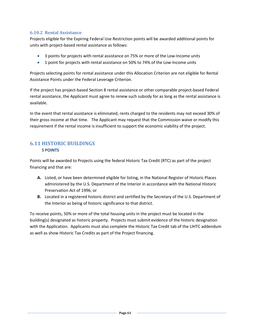#### **6.10.2 Rental Assistance**

Projects eligible for the Expiring Federal Use Restriction points will be awarded additional points for units with project-based rental assistance as follows:

- 3 points for projects with rental assistance on 75% or more of the Low-Income units
- 1 point for projects with rental assistance on 50% to 74% of the Low-Income units

Projects selecting points for rental assistance under this Allocation Criterion are not eligible for Rental Assistance Points under the Federal Leverage Criterion.

If the project has project-based Section 8 rental assistance or other comparable project-based Federal rental assistance, the Applicant must agree to renew such subsidy for as long as the rental assistance is available.

In the event that rental assistance is eliminated, rents charged to the residents may not exceed 30% of their gross income at that time. The Applicant may request that the Commission waive or modify this requirement if the rental income is insufficient to support the economic viability of the project.

## **6.11 HISTORIC BUILDINGS 5 POINTS**

Points will be awarded to Projects using the federal Historic Tax Credit (RTC) as part of the project financing and that are:

- **A.** Listed, or have been determined eligible for listing, in the National Register of Historic Places administered by the U.S. Department of the Interior in accordance with the National Historic Preservation Act of 1996; or
- **B.** Located in a registered historic district and certified by the Secretary of the U.S. Department of the Interior as being of historic significance to that district.

To receive points, 50% or more of the total housing units in the project must be located in the building(s) designated as historic property. Projects must submit evidence of the historic designation with the Application. Applicants must also complete the Historic Tax Credit tab of the LIHTC addendum as well as show Historic Tax Credits as part of the Project financing.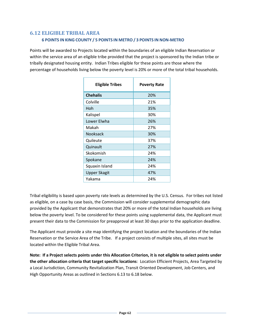## **6.12 ELIGIBLE TRIBAL AREA 6 POINTS IN KING COUNTY / 5 POINTS IN METRO / 3 POINTS IN NON-METRO**

Points will be awarded to Projects located within the boundaries of an eligible Indian Reservation or within the service area of an eligible tribe provided that the project is sponsored by the Indian tribe or tribally designated housing entity. Indian Tribes eligible for these points are those where the percentage of households living below the poverty level is 20% or more of the total tribal households.

| <b>Eligible Tribes</b> | <b>Poverty Rate</b> |
|------------------------|---------------------|
| <b>Chehalis</b>        | 20%                 |
| Colville               | 21%                 |
| Hoh                    | 35%                 |
| Kalispel               | 30%                 |
| Lower Elwha            | 26%                 |
| Makah                  | 27%                 |
| Nooksack               | 30%                 |
| Quileute               | 37%                 |
| Quinault               | 27%                 |
| Skokomish              | 24%                 |
| Spokane                | 24%                 |
| Squaxin Island         | 24%                 |
| <b>Upper Skagit</b>    | 47%                 |
| Yakama                 | 24%                 |

Tribal eligibility is based upon poverty rate levels as determined by the U.S. Census. For tribes not listed as eligible, on a case by case basis, the Commission will consider supplemental demographic data provided by the Applicant that demonstrates that 20% or more of the total Indian households are living below the poverty level. To be considered for these points using supplemental data, the Applicant must present their data to the Commission for preapproval at least 30 days prior to the application deadline.

The Applicant must provide a site map identifying the project location and the boundaries of the Indian Reservation or the Service Area of the Tribe. If a project consists of multiple sites, all sites must be located within the Eligible Tribal Area.

**Note: If a Project selects points under this Allocation Criterion, it is not eligible to select points under the other allocation criteria that target specific locations**: Location Efficient Projects, Area Targeted by a Local Jurisdiction, Community Revitalization Plan, Transit Oriented Development, Job Centers, and High Opportunity Areas as outlined in Sections 6.13 to 6.18 below.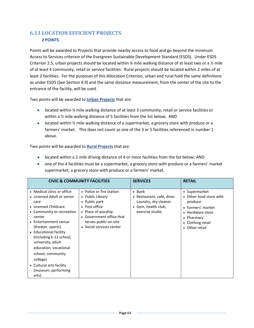# **6.13 LOCATION EFFICIENT PROJECTS 2 POINTS**

Points will be awarded to Projects that provide nearby access to food and go beyond the minimum Access to Services criterion of the Evergreen Sustainable Development Standard (ESDS). Under ESDS Criterion 2.5, urban projects should be located within  $\frac{1}{4}$  mile walking distance of at least two or a  $\frac{1}{2}$  mile of at least 4 community, retail or service facilities. Rural projects should be located within 2 miles of at least 2 facilities. For the purposes of this Allocation Criterion, urban and rural hold the same definitions as under ESDS (See Section 4.9) and the same distance measurement, from the center of the site to the entrance of the facility, will be used.

Two points will be awarded to **Urban Projects** that are:

- located within ¼ mile walking distance of at least 3 community, retail or service facilities or within a  $\frac{1}{2}$  mile walking distance of 5 facilities from the list below; AND
- located within  $\frac{1}{2}$  mile walking distance of a supermarket, a grocery store with produce or a farmers' market. This does not count as one of the 3 or 5 facilities referenced in number 1 above.

Two points will be awarded to **Rural Projects** that are:

- located within a 2 mile driving distance of 4 or more facilities from the list below; AND
- one of the 4 facilities must be a supermarket, a grocery store with produce or a farmers' market supermarket, a grocery store with produce or a farmers' market.

|                                                                                                                                                                                                                                                                                                                                                                               | <b>CIVIC &amp; COMMUNITY FACILITIES</b>                                                                                                                                               | <b>SERVICES</b>                                                                                             | <b>RETAIL</b>                                                                                                                                     |
|-------------------------------------------------------------------------------------------------------------------------------------------------------------------------------------------------------------------------------------------------------------------------------------------------------------------------------------------------------------------------------|---------------------------------------------------------------------------------------------------------------------------------------------------------------------------------------|-------------------------------------------------------------------------------------------------------------|---------------------------------------------------------------------------------------------------------------------------------------------------|
| • Medical clinic or office<br>• Licensed Adult or senior<br>care<br>• Licensed Childcare<br>• Community or recreation<br>center<br>• Entertainment venue<br>(theater, sports)<br>• Educational facility<br>(including k-12 school,<br>university, adult<br>education, vocational<br>school, community<br>college)<br>• Cultural arts facility<br>(museum, performing<br>arts) | • Police or fire station<br>• Public Library<br>• Public park<br>• Post office<br>• Place of worship<br>• Government office that<br>serves public on-site<br>• Social services center | $\bullet$ Bank<br>Restaurant, café, diner<br>Laundry, dry cleaner<br>• Gym, health club,<br>exercise studio | • Supermarket<br>• Other food store with<br>produce<br>• Farmers' market<br>• Hardware store<br>• Pharmacy<br>• Clothing retail<br>• Other retail |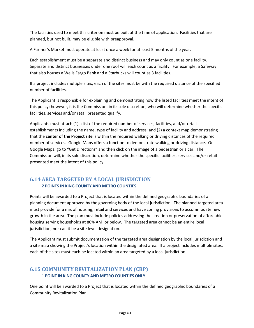The facilities used to meet this criterion must be built at the time of application. Facilities that are planned, but not built, may be eligible with preapproval.

A Farmer's Market must operate at least once a week for at least 5 months of the year.

Each establishment must be a separate and distinct business and may only count as one facility. Separate and distinct businesses under one roof will each count as a facility. For example, a Safeway that also houses a Wells Fargo Bank and a Starbucks will count as 3 facilities.

If a project includes multiple sites, each of the sites must be with the required distance of the specified number of facilities.

The Applicant is responsible for explaining and demonstrating how the listed facilities meet the intent of this policy; however, it is the Commission, in its sole discretion, who will determine whether the specific facilities, services and/or retail presented qualify.

Applicants must attach (1) a list of the required number of services, facilities, and/or retail establishments including the name, type of facility and address; and (2) a context map demonstrating that the **center of the Project site** is within the required walking or driving distances of the required number of services. Google Maps offers a function to demonstrate walking or driving distance. On Google Maps, go to "Get Directions" and then click on the image of a pedestrian or a car. The Commission will, in its sole discretion, determine whether the specific facilities, services and/or retail presented meet the intent of this policy.

# **6.14 AREA TARGETED BY A LOCAL JURISDICTION 2 POINTS IN KING COUNTY AND METRO COUNTIES**

Points will be awarded to a Project that is located within the defined geographic boundaries of a planning document approved by the governing body of the local jurisdiction. The planned targeted area must provide for a mix of housing, retail and services and have zoning provisions to accommodate new growth in the area. The plan must include policies addressing the creation or preservation of affordable housing serving households at 80% AMI or below. The targeted area cannot be an entire local jurisdiction, nor can it be a site level designation.

The Applicant must submit documentation of the targeted area designation by the local jurisdiction and a site map showing the Project's location within the designated area. If a project includes multiple sites, each of the sites must each be located within an area targeted by a local jurisdiction.

# **6.15 COMMUNITY REVITALIZATION PLAN (CRP) 1 POINT IN KING COUNTY AND METRO COUNTIES ONLY**

One point will be awarded to a Project that is located within the defined geographic boundaries of a Community Revitalization Plan.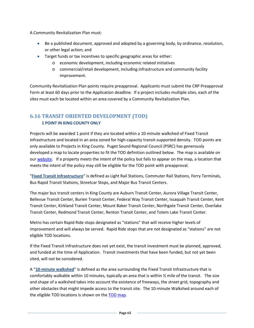A Community Revitalization Plan must:

- Be a published document, approved and adopted by a governing body, by ordinance, resolution, or other legal action; and
- Target funds or tax incentives to specific geographic areas for either:
	- o economic development, including economic related initiatives
	- o commercial/retail development, including infrastructure and community facility improvement.

Community Revitalization Plan points require preapproval. Applicants must submit the CRP Preapproval Form at least 60 days prior to the Application deadline. If a project includes multiple sites, each of the sites must each be located within an area covered by a Community Revitalization Plan.

## **6.16 TRANSIT ORIENTED DEVELOPMENT (TOD) 1 POINT IN KING COUNTY ONLY**

Projects will be awarded 1 point if they are located within a 10-minute walkshed of Fixed Transit Infrastructure and located in an area zoned for high-capacity transit-supported density. TOD points are only available to Projects in King County. Puget Sound Regional Council (PSRC) has generously developed a map to locate properties to fit the TOD definition outlined below. The map is available on our [website.](http://www.wshfc.org/tax-credits/KingCountyTODmap.pdf) If a property meets the intent of the policy but fails to appear on the map, a location that meets the intent of the policy may still be eligible for the TOD point with preapproval.

"**Fixed Transit Infrastructure**" is defined as Light Rail Stations, Commuter Rail Stations, Ferry Terminals, Bus Rapid Transit Stations, Streetcar Stops, and Major Bus Transit Centers.

The major bus transit centers in King County are Auburn Transit Center, Aurora Village Transit Center, Bellevue Transit Center, Burien Transit Center, Federal Way Transit Center, Issaquah Transit Center, Kent Transit Center, Kirkland Transit Center, Mount Baker Transit Center, Northgate Transit Center, Overlake Transit Center, Redmond Transit Center, Renton Transit Center, and Totem Lake Transit Center.

Metro has certain Rapid Ride stops designated as "stations" that will receive higher levels of improvement and will always be served. Rapid Ride stops that are not designated as "stations" are not eligible TOD locations.

If the Fixed Transit Infrastructure does not yet exist, the transit investment must be planned, approved, and funded at the time of Application. Transit investments that have been funded, but not yet been sited, will not be considered.

A "**10-minute walkshed**" is defined as the area surrounding the Fixed Transit Infrastructure that is comfortably walkable within 10 minutes, typically an area that is within  $\frac{1}{2}$  mile of the transit. The size and shape of a walkshed takes into account the existence of freeways, the street grid, topography and other obstacles that might impede access to the transit site. The 10-minute Walkshed around each of the eligible TOD locations is shown on th[e TOD map.](http://www.wshfc.org/tax-credits/KingCountyTODmap.pdf)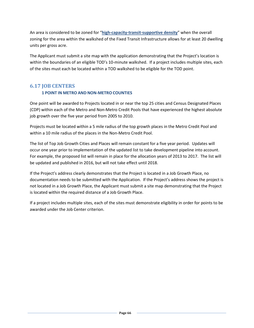An area is considered to be zoned for "**high-capacity-transit-supportive density**" when the overall zoning for the area within the walkshed of the Fixed Transit Infrastructure allows for at least 20 dwelling units per gross acre.

The Applicant must submit a site map with the application demonstrating that the Project's location is within the boundaries of an eligible TOD's 10-minute walkshed. If a project includes multiple sites, each of the sites must each be located within a TOD walkshed to be eligible for the TOD point.

# **6.17 JOB CENTERS**

## **1 POINT IN METRO AND NON-METRO COUNTIES**

One point will be awarded to Projects located in or near the top 25 cities and Census Designated Places (CDP) within each of the Metro and Non-Metro Credit Pools that have experienced the highest absolute job growth over the five year period from 2005 to 2010.

Projects must be located within a 5 mile radius of the top growth places in the Metro Credit Pool and within a 10 mile radius of the places in the Non-Metro Credit Pool.

The list of Top Job Growth Cities and Places will remain constant for a five year period. Updates will occur one year prior to implementation of the updated list to take development pipeline into account. For example, the proposed list will remain in place for the allocation years of 2013 to 2017. The list will be updated and published in 2016, but will not take effect until 2018.

If the Project's address clearly demonstrates that the Project is located in a Job Growth Place, no documentation needs to be submitted with the Application. If the Project's address shows the project is not located in a Job Growth Place, the Applicant must submit a site map demonstrating that the Project is located within the required distance of a Job Growth Place.

If a project includes multiple sites, each of the sites must demonstrate eligibility in order for points to be awarded under the Job Center criterion.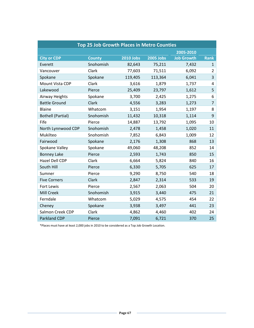| <b>Top 25 Job Growth Places in Metro Counties</b> |               |                  |                  |                   |                |
|---------------------------------------------------|---------------|------------------|------------------|-------------------|----------------|
|                                                   |               |                  |                  | 2005-2010         |                |
| <b>City or CDP</b>                                | <b>County</b> | <b>2010 Jobs</b> | <b>2005 Jobs</b> | <b>Job Growth</b> | <b>Rank</b>    |
| Everett                                           | Snohomish     | 82,643           | 75,211           | 7,432             | $\mathbf{1}$   |
| Vancouver                                         | Clark         | 77,603           | 71,511           | 6,092             | $\overline{2}$ |
| Spokane                                           | Spokane       | 119,405          | 113,364          | 6,041             | $\overline{3}$ |
| Mount Vista CDP                                   | Clark         | 3,616            | 1,879            | 1,737             | 4              |
| Lakewood                                          | Pierce        | 25,409           | 23,797           | 1,612             | 5              |
| Airway Heights                                    | Spokane       | 3,700            | 2,425            | 1,275             | 6              |
| <b>Battle Ground</b>                              | <b>Clark</b>  | 4,556            | 3,283            | 1,273             | $\overline{7}$ |
| Blaine                                            | Whatcom       | 3,151            | 1,954            | 1,197             | 8              |
| <b>Bothell (Partial)</b>                          | Snohomish     | 11,432           | 10,318           | 1,114             | 9              |
| Fife                                              | Pierce        | 14,887           | 13,792           | 1,095             | 10             |
| North Lynnwood CDP                                | Snohomish     | 2,478            | 1,458            | 1,020             | 11             |
| Mukilteo                                          | Snohomish     | 7,852            | 6,843            | 1,009             | 12             |
| Fairwood                                          | Spokane       | 2,176            | 1,308            | 868               | 13             |
| Spokane Valley                                    | Spokane       | 49,060           | 48,208           | 852               | 14             |
| <b>Bonney Lake</b>                                | Pierce        | 2,593            | 1,743            | 850               | 15             |
| Hazel Dell CDP                                    | Clark         | 6,664            | 5,824            | 840               | 16             |
| South Hill                                        | Pierce        | 6,330            | 5,705            | 625               | 17             |
| Sumner                                            | Pierce        | 9,290            | 8,750            | 540               | 18             |
| <b>Five Corners</b>                               | <b>Clark</b>  | 2,847            | 2,314            | 533               | 19             |
| Fort Lewis                                        | Pierce        | 2,567            | 2,063            | 504               | 20             |
| <b>Mill Creek</b>                                 | Snohomish     | 3,915            | 3,440            | 475               | 21             |
| Ferndale                                          | Whatcom       | 5,029            | 4,575            | 454               | 22             |
| Cheney                                            | Spokane       | 3,938            | 3,497            | 441               | 23             |
| Salmon Creek CDP                                  | Clark         | 4,862            | 4,460            | 402               | 24             |
| <b>Parkland CDP</b>                               | Pierce        | 7,091            | 6,721            | 370               | 25             |

\*Places must have at least 2,000 jobs in 2010 to be considered as a Top Job Growth Location.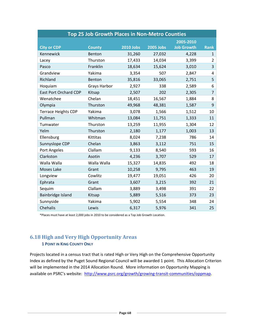| <b>Top 25 Job Growth Places in Non-Metro Counties</b> |                     |                  |                  |                   |                |
|-------------------------------------------------------|---------------------|------------------|------------------|-------------------|----------------|
|                                                       |                     |                  |                  | 2005-2010         |                |
| <b>City or CDP</b>                                    | <b>County</b>       | <b>2010 Jobs</b> | <b>2005 Jobs</b> | <b>Job Growth</b> | <b>Rank</b>    |
| Kennewick                                             | Benton              | 31,260           | 27,032           | 4,228             | $\mathbf{1}$   |
| Lacey                                                 | Thurston            | 17,433           | 14,034           | 3,399             | $\overline{2}$ |
| Pasco                                                 | Franklin            | 18,634           | 15,624           | 3,010             | $\overline{3}$ |
| Grandview                                             | Yakima              | 3,354            | 507              | 2,847             | 4              |
| Richland                                              | Benton              | 35,816           | 33,065           | 2,751             | 5              |
| Hoquiam                                               | <b>Grays Harbor</b> | 2,927            | 338              | 2,589             | 6              |
| <b>East Port Orchard CDP</b>                          | Kitsap              | 2,507            | 202              | 2,305             | $\overline{7}$ |
| Wenatchee                                             | Chelan              | 18,451           | 16,567           | 1,884             | 8              |
| Olympia                                               | Thurston            | 49,968           | 48,381           | 1,587             | 9              |
| <b>Terrace Heights CDP</b>                            | Yakima              | 3,078            | 1,566            | 1,512             | 10             |
| Pullman                                               | Whitman             | 13,084           | 11,751           | 1,333             | 11             |
| Tumwater                                              | Thurston            | 13,259           | 11,955           | 1,304             | 12             |
| Yelm                                                  | Thurston            | 2,180            | 1,177            | 1,003             | 13             |
| Ellensburg                                            | Kittitas            | 8,024            | 7,238            | 786               | 14             |
| Sunnyslope CDP                                        | Chelan              | 3,863            | 3,112            | 751               | 15             |
| Port Angeles                                          | Clallam             | 9,133            | 8,540            | 593               | 16             |
| Clarkston                                             | Asotin              | 4,236            | 3,707            | 529               | 17             |
| Walla Walla                                           | Walla Walla         | 15,327           | 14,835           | 492               | 18             |
| Moses Lake                                            | Grant               | 10,258           | 9,795            | 463               | 19             |
| Longview                                              | Cowlitz             | 19,477           | 19,051           | 426               | 20             |
| Ephrata                                               | Grant               | 3,607            | 3,215            | 392               | 21             |
| Sequim                                                | Clallam             | 3,889            | 3,498            | 391               | 22             |
| Bainbridge Island                                     | Kitsap              | 5,889            | 5,516            | 373               | 23             |
| Sunnyside                                             | Yakima              | 5,902            | 5,554            | 348               | 24             |
| Chehalis                                              | Lewis               | 6,317            | 5,976            | 341               | 25             |

\*Places must have at least 2,000 jobs in 2010 to be considered as a Top Job Growth Location.

# **6.18 High and Very High Opportunity Areas**

## **1 POINT IN KING COUNTY ONLY**

Projects located in a census tract that is rated High or Very High on the Comprehensive Opportunity Index as defined by the Puget Sound Regional Council will be awarded 1 point. This Allocation Criterion will be implemented in the 2014 Allocation Round. More information on Opportunity Mapping is available on PSRC's website: [http://www.psrc.org/growth/growing-transit-communities/oppmap.](http://www.psrc.org/growth/growing-transit-communities/oppmap)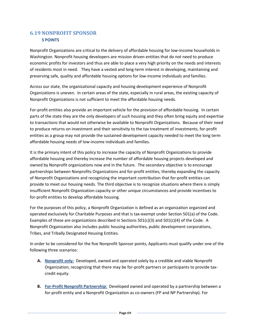# **6.19 NONPROFIT SPONSOR 5 POINTS**

Nonprofit Organizations are critical to the delivery of affordable housing for low-income households in Washington. Nonprofit housing developers are mission driven entities that do not need to produce economic profits for investors and thus are able to place a very high priority on the needs and interests of residents most in need. They have a vested and long-term interest in developing, maintaining and preserving safe, quality and affordable housing options for low-income individuals and families.

Across our state, the organizational capacity and housing development experience of Nonprofit Organizations is uneven. In certain areas of the state, especially in rural areas, the existing capacity of Nonprofit Organizations is not sufficient to meet the affordable housing needs.

For-profit entities also provide an important vehicle for the provision of affordable housing. In certain parts of the state they are the only developers of such housing and they often bring equity and expertise to transactions that would not otherwise be available to Nonprofit Organizations. Because of their need to produce returns on investment and their sensitivity to the tax treatment of investments, for-profit entities as a group may not provide the sustained development capacity needed to meet the long term affordable housing needs of low-income individuals and families.

It is the primary intent of this policy to increase the capacity of Nonprofit Organizations to provide affordable housing and thereby increase the number of affordable housing projects developed and owned by Nonprofit organizations now and in the future. The secondary objective is to encourage partnerships between Nonprofits Organizations and for-profit entities, thereby expanding the capacity of Nonprofit Organizations and recognizing the important contribution that for-profit entities can provide to meet our housing needs. The third objective is to recognize situations where there is simply insufficient Nonprofit Organization capacity or other unique circumstances and provide incentives to for-profit entities to develop affordable housing.

For the purposes of this policy, a Nonprofit Organization is defined as an organization organized and operated exclusively for Charitable Purposes and that is tax-exempt under Section 501(a) of the Code. Examples of these are organizations described in Sections  $501(c)(3)$  and  $501(c)(4)$  of the Code. A Nonprofit Organization also includes public housing authorities, public development corporations, Tribes, and Tribally Designated Housing Entities.

In order to be considered for the five Nonprofit Sponsor points, Applicants must qualify under one of the following three scenarios:

- **A. Nonprofit only:** Developed, owned and operated solely by a credible and viable Nonprofit Organization, recognizing that there may be for-profit partners or participants to provide taxcredit equity.
- **B. For-Profit Nonprofit Partnership:** Developed owned and operated by a partnership between a for-profit entity and a Nonprofit Organization as co-owners (FP and NP Partnership). For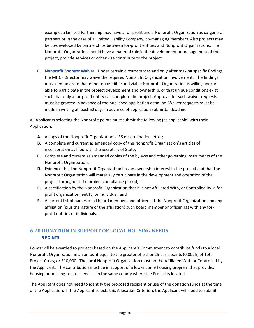example, a Limited Partnership may have a for-profit and a Nonprofit Organization as co-general partners or in the case of a Limited Liability Company, co-managing members. Also projects may be co-developed by partnerships between for-profit entities and Nonprofit Organizations. The Nonprofit Organization should have a material role in the development or management of the project, provide services or otherwise contribute to the project.

**C. Nonprofit Sponsor Waiver:** Under certain circumstances and only after making specific findings, the MHCF Director may waive the required Nonprofit Organization involvement. The findings must demonstrate that either no credible and viable Nonprofit Organization is willing and/or able to participate in the project development and ownership, or that unique conditions exist such that only a for-profit entity can complete the project. Approval for such waiver requests must be granted in advance of the published application deadline. Waiver requests must be made in writing at least 60 days in advance of application submittal deadline.

All Applicants selecting the Nonprofit points must submit the following (as applicable) with their Application:

- **A.** A copy of the Nonprofit Organization's IRS determination letter;
- **B.** A complete and current as amended copy of the Nonprofit Organization's articles of incorporation as filed with the Secretary of State;
- **C.** Complete and current as amended copies of the bylaws and other governing instruments of the Nonprofit Organization;
- **D.** Evidence that the Nonprofit Organization has an ownership interest in the project and that the Nonprofit Organization will materially participate in the development and operation of the project throughout the project compliance period;
- **E.** A certification by the Nonprofit Organization that it is not Affiliated With, or Controlled By, a forprofit organization, entity, or individual; and
- **F.** A current list of names of all board members and officers of the Nonprofit Organization and any affiliation (plus the nature of the affiliation) such board member or officer has with any forprofit entities or individuals.

# **6.20 DONATION IN SUPPORT OF LOCAL HOUSING NEEDS 5 POINTS**

Points will be awarded to projects based on the Applicant's Commitment to contribute funds to a local Nonprofit Organization in an amount equal to the greater of either 25 basis points (0.0025) of Total Project Costs; or \$10,000. The local Nonprofit Organization must not be Affiliated With or Controlled by the Applicant. The contribution must be in support of a low-income housing program that provides housing or housing-related services in the same county where the Project is located.

The Applicant does not need to identify the proposed recipient or use of the donation funds at the time of the Application. If the Applicant selects this Allocation Criterion, the Applicant will need to submit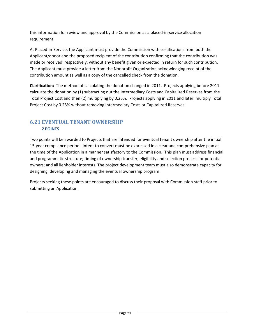this information for review and approval by the Commission as a placed-in-service allocation requirement.

At Placed-in-Service, the Applicant must provide the Commission with certifications from both the Applicant/donor and the proposed recipient of the contribution confirming that the contribution was made or received, respectively, without any benefit given or expected in return for such contribution. The Applicant must provide a letter from the Nonprofit Organization acknowledging receipt of the contribution amount as well as a copy of the cancelled check from the donation.

**Clarification:** The method of calculating the donation changed in 2011. Projects applying before 2011 calculate the donation by (1) subtracting out the Intermediary Costs and Capitalized Reserves from the Total Project Cost and then (2) multiplying by 0.25%. Projects applying in 2011 and later, multiply Total Project Cost by 0.25% without removing Intermediary Costs or Capitalized Reserves.

# **6.21 EVENTUAL TENANT OWNERSHIP 2 POINTS**

Two points will be awarded to Projects that are intended for eventual tenant ownership after the initial 15-year compliance period. Intent to convert must be expressed in a clear and comprehensive plan at the time of the Application in a manner satisfactory to the Commission. This plan must address financial and programmatic structure; timing of ownership transfer; eligibility and selection process for potential owners; and all lienholder interests. The project development team must also demonstrate capacity for designing, developing and managing the eventual ownership program.

Projects seeking these points are encouraged to discuss their proposal with Commission staff prior to submitting an Application.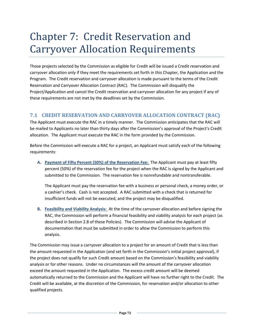# Chapter 7: Credit Reservation and Carryover Allocation Requirements

Those projects selected by the Commission as eligible for Credit will be issued a Credit reservation and carryover allocation only if they meet the requirements set forth in this Chapter, the Application and the Program. The Credit reservation and carryover allocation is made pursuant to the terms of the Credit Reservation and Carryover Allocation Contract (RAC). The Commission will disqualify the Project/Application and cancel the Credit reservation and carryover allocation for any project if any of these requirements are not met by the deadlines set by the Commission.

## **7.1 CREDIT RESERVATION AND CARRYOVER ALLOCATION CONTRACT (RAC)**

The Applicant must execute the RAC in a timely manner. The Commission anticipates that the RAC will be mailed to Applicants no later than thirty days after the Commission's approval of the Project's Credit allocation. The Applicant must execute the RAC in the form provided by the Commission.

Before the Commission will execute a RAC for a project, an Applicant must satisfy each of the following requirements:

**A. Payment of Fifty Percent (50%) of the Reservation Fee:** The Applicant must pay at least fifty percent (50%) of the reservation fee for the project when the RAC is signed by the Applicant and submitted to the Commission. The reservation fee is nonrefundable and nontransferable.

The Applicant must pay the reservation fee with a business or personal check, a money order, or a cashier's check. Cash is not accepted. A RAC submitted with a check that is returned for insufficient funds will not be executed, and the project may be disqualified.

**B. Feasibility and Viability Analysis:** At the time of the carryover allocation and before signing the RAC, the Commission will perform a financial feasibility and viability analysis for each project (as described in Section 2.8 of these Policies). The Commission will advise the Applicant of documentation that must be submitted in order to allow the Commission to perform this analysis.

The Commission may issue a carryover allocation to a project for an amount of Credit that is less than the amount requested in the Application (and set forth in the Commission's initial project approval), if the project does not qualify for such Credit amount based on the Commission's feasibility and viability analysis or for other reasons. Under no circumstances will the amount of the carryover allocation exceed the amount requested in the Application. The excess credit amount will be deemed automatically returned to the Commission and the Applicant will have no further right to the Credit. The Credit will be available, at the discretion of the Commission, for reservation and/or allocation to other qualified projects.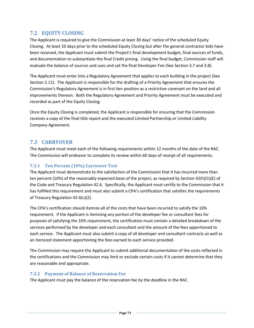## **7.2 EQUITY CLOSING**

The Applicant is required to give the Commission at least 30 days' notice of the scheduled Equity Closing. At least 10 days prior to the scheduled Equity Closing but after the general contractor bids have been received, the Applicant must submit the Project's final development budget, final sources of funds, and documentation to substantiate the final Credit pricing. Using the final budget, Commission staff will evaluate the balance of sources and uses and set the final Developer Fee (See Section 3.7 and 3.8).

The Applicant must enter into a Regulatory Agreement that applies to each building in the project (See Section 2.11). The Applicant is responsible for the drafting of a Priority Agreement that ensures the Commission's Regulatory Agreement is in first lien position as a restrictive covenant on the land and all improvements thereon. Both the Regulatory Agreement and Priority Agreement must be executed and recorded as part of the Equity Closing.

Once the Equity Closing is completed, the Applicant is responsible for ensuring that the Commission receives a copy of the final title report and the executed Limited Partnership or Limited Liability Company Agreement.

#### **7.3 CARRYOVER**

The Applicant must meet each of the following requirements within 12 months of the date of the RAC. The Commission will endeavor to complete its review within 60 days of receipt of all requirements.

#### **7.3.1 Ten Percent (10%) Carryover Test**

The Applicant must demonstrate to the satisfaction of the Commission that it has incurred more than ten percent (10%) of the reasonably expected basis of the project, as required by Section 42(h)(1)(E) of the Code and Treasury Regulation 42.6. Specifically, the Applicant must certify to the Commission that it has fulfilled this requirement and must also submit a CPA's certification that satisfies the requirements of Treasury Regulation 42-6(c)(2).

The CPA's certification should itemize all of the costs that have been incurred to satisfy the 10% requirement. If the Applicant is itemizing any portion of the developer fee or consultant fees for purposes of satisfying the 10% requirement, the certification must contain a detailed breakdown of the services performed by the developer and each consultant and the amount of the fees apportioned to each service. The Applicant must also submit a copy of all developer and consultant contracts as well as an itemized statement apportioning the fees earned to each service provided.

The Commission may require the Applicant to submit additional documentation of the costs reflected in the certifications and the Commission may limit or exclude certain costs if it cannot determine that they are reasonable and appropriate.

#### **7.3.2 Payment of Balance of Reservation Fee**

The Applicant must pay the balance of the reservation fee by the deadline in the RAC.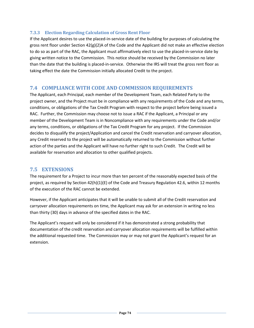#### **7.3.3 Election Regarding Calculation of Gross Rent Floor**

If the Applicant desires to use the placed-in-service date of the building for purposes of calculating the gross rent floor under Section  $42(g)(2)$ A of the Code and the Applicant did not make an effective election to do so as part of the RAC, the Applicant must affirmatively elect to use the placed-in-service date by giving written notice to the Commission. This notice should be received by the Commission no later than the date that the building is placed-in-service. Otherwise the IRS will treat the gross rent floor as taking effect the date the Commission initially allocated Credit to the project.

#### **7.4 COMPLIANCE WITH CODE AND COMMISSION REQUIREMENTS**

The Applicant, each Principal, each member of the Development Team, each Related Party to the project owner, and the Project must be in compliance with any requirements of the Code and any terms, conditions, or obligations of the Tax Credit Program with respect to the project before being issued a RAC. Further, the Commission may choose not to issue a RAC if the Applicant, a Principal or any member of the Development Team is in Noncompliance with any requirements under the Code and/or any terms, conditions, or obligations of the Tax Credit Program for any project. If the Commission decides to disqualify the project/Application and cancel the Credit reservation and carryover allocation, any Credit reserved to the project will be automatically returned to the Commission without further action of the parties and the Applicant will have no further right to such Credit. The Credit will be available for reservation and allocation to other qualified projects.

## **7.5 EXTENSIONS**

The requirement for a Project to incur more than ten percent of the reasonably expected basis of the project, as required by Section 42(h)(1)(E) of the Code and Treasury Regulation 42.6, within 12 months of the execution of the RAC cannot be extended.

However, if the Applicant anticipates that it will be unable to submit all of the Credit reservation and carryover allocation requirements on time, the Applicant may ask for an extension in writing no less than thirty (30) days in advance of the specified dates in the RAC.

The Applicant's request will only be considered if it has demonstrated a strong probability that documentation of the credit reservation and carryover allocation requirements will be fulfilled within the additional requested time. The Commission may or may not grant the Applicant's request for an extension.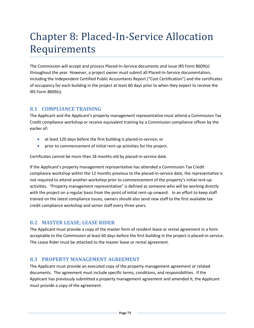# Chapter 8: Placed-In-Service Allocation Requirements

The Commission will accept and process Placed-In-Service documents and issue IRS Form 8609(s) throughout the year. However, a project owner must submit all Placed-In-Service documentation, including the Independent Certified Public Accountants Report ("Cost Certification") and the certificates of occupancy for each building in the project at least 60 days prior to when they expect to receive the IRS Form 8609(s).

## **8.1 COMPLIANCE TRAINING**

The Applicant and the Applicant's property management representative must attend a Commission Tax Credit compliance workshop or receive equivalent training by a Commission compliance officer by the earlier of:

- at least 120 days before the first building is placed-in-service; or
- prior to commencement of initial rent-up activities for the project.

Certificates cannot be more than 18 months old by placed-in-service date.

If the Applicant's property management representative has attended a Commission Tax Credit compliance workshop within the 12 months previous to the placed-in-service date, the representative is not required to attend another workshop prior to commencement of the property's initial rent-up activities. "Property management representative" is defined as someone who will be working directly with the project on a regular basis from the point of initial rent-up onward. In an effort to keep staff trained on the latest compliance issues, owners should also send new staff to the first available tax credit compliance workshop and senior staff every three years.

## **8.2 MASTER LEASE; LEASE RIDER**

The Applicant must provide a copy of the master form of resident lease or rental agreement in a form acceptable to the Commission at least 60 days before the first building in the project is placed-in-service. The Lease Rider must be attached to the master lease or rental agreement.

#### **8.3 PROPERTY MANAGEMENT AGREEMENT**

The Applicant must provide an executed copy of the property management agreement or related documents. The agreement must include specific terms, conditions, and responsibilities. If the Applicant has previously submitted a property management agreement and amended it, the Applicant must provide a copy of the agreement.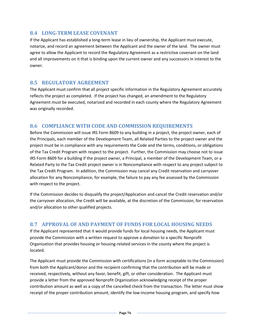## **8.4 LONG-TERM LEASE COVENANT**

If the Applicant has established a long-term lease in lieu of ownership, the Applicant must execute, notarize, and record an agreement between the Applicant and the owner of the land. The owner must agree to allow the Applicant to record the Regulatory Agreement as a restrictive covenant on the land and all improvements on it that is binding upon the current owner and any successors in interest to the owner.

#### **8.5 REGULATORY AGREEMENT**

The Applicant must confirm that all project specific information in the Regulatory Agreement accurately reflects the project as completed. If the project has changed, an amendment to the Regulatory Agreement must be executed, notarized and recorded in each county where the Regulatory Agreement was originally recorded.

#### **8.6 COMPLIANCE WITH CODE AND COMMISSION REQUIREMENTS**

Before the Commission will issue IRS Form 8609 to any building in a project, the project owner, each of the Principals, each member of the Development Team, all Related Parties to the project owner and the project must be in compliance with any requirements the Code and the terms, conditions, or obligations of the Tax Credit Program with respect to the project. Further, the Commission may choose not to issue IRS Form 8609 for a building if the project owner, a Principal, a member of the Development Team, or a Related Party to the Tax Credit project owner is in Noncompliance with respect to any project subject to the Tax Credit Program. In addition, the Commission may cancel any Credit reservation and carryover allocation for any Noncompliance, for example, the failure to pay any fee assessed by the Commission with respect to the project.

If the Commission decides to disqualify the project/Application and cancel the Credit reservation and/or the carryover allocation, the Credit will be available, at the discretion of the Commission, for reservation and/or allocation to other qualified projects.

## **8.7 APPROVAL OF AND PAYMENT OF FUNDS FOR LOCAL HOUSING NEEDS**

If the Applicant represented that it would provide funds for local housing needs, the Applicant must provide the Commission with a written request to approve a donation to a specific Nonprofit Organization that provides housing or housing-related services in the county where the project is located.

The Applicant must provide the Commission with certifications (in a form acceptable to the Commission) from both the Applicant/donor and the recipient confirming that the contribution will be made or received, respectively, without any favor, benefit, gift, or other consideration. The Applicant must provide a letter from the approved Nonprofit Organization acknowledging receipt of the proper contribution amount as well as a copy of the cancelled check from the transaction. The letter must show receipt of the proper contribution amount, identify the low-income housing program, and specify how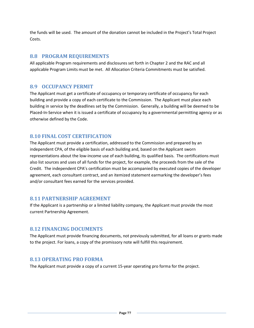the funds will be used. The amount of the donation cannot be included in the Project's Total Project Costs.

## **8.8 PROGRAM REQUIREMENTS**

All applicable Program requirements and disclosures set forth in Chapter 2 and the RAC and all applicable Program Limits must be met. All Allocation Criteria Commitments must be satisfied.

#### **8.9 OCCUPANCY PERMIT**

The Applicant must get a certificate of occupancy or temporary certificate of occupancy for each building and provide a copy of each certificate to the Commission. The Applicant must place each building in service by the deadlines set by the Commission. Generally, a building will be deemed to be Placed-In-Service when it is issued a certificate of occupancy by a governmental permitting agency or as otherwise defined by the Code.

#### **8.10 FINAL COST CERTIFICATION**

The Applicant must provide a certification, addressed to the Commission and prepared by an independent CPA, of the eligible basis of each building and, based on the Applicant sworn representations about the low-income use of each building, its qualified basis. The certifications must also list sources and uses of all funds for the project, for example, the proceeds from the sale of the Credit. The independent CPA's certification must be accompanied by executed copies of the developer agreement, each consultant contract, and an itemized statement earmarking the developer's fees and/or consultant fees earned for the services provided.

#### **8.11 PARTNERSHIP AGREEMENT**

If the Applicant is a partnership or a limited liability company, the Applicant must provide the most current Partnership Agreement.

#### **8.12 FINANCING DOCUMENTS**

The Applicant must provide financing documents, not previously submitted, for all loans or grants made to the project. For loans, a copy of the promissory note will fulfill this requirement.

#### **8.13 OPERATING PRO FORMA**

The Applicant must provide a copy of a current 15-year operating pro forma for the project.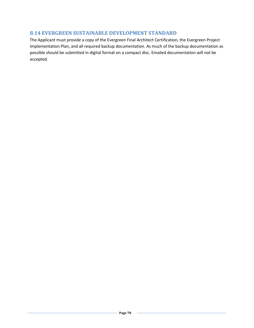## **8.14 EVERGREEN SUSTAINABLE DEVELOPMENT STANDARD**

The Applicant must provide a copy of the Evergreen Final Architect Certification, the Evergreen Project Implementation Plan, and all required backup documentation. As much of the backup documentation as possible should be submitted in digital format on a compact disc. Emailed documentation will not be accepted.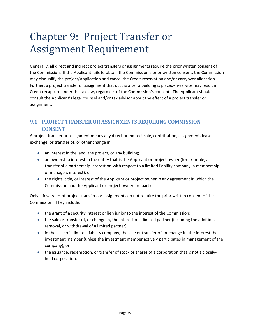# Chapter 9: Project Transfer or Assignment Requirement

Generally, all direct and indirect project transfers or assignments require the prior written consent of the Commission. If the Applicant fails to obtain the Commission's prior written consent, the Commission may disqualify the project/Application and cancel the Credit reservation and/or carryover allocation. Further, a project transfer or assignment that occurs after a building is placed-in-service may result in Credit recapture under the tax law, regardless of the Commission's consent. The Applicant should consult the Applicant's legal counsel and/or tax advisor about the effect of a project transfer or assignment.

# **9.1 PROJECT TRANSFER OR ASSIGNMENTS REQUIRING COMMISSION CONSENT**

A project transfer or assignment means any direct or indirect sale, contribution, assignment, lease, exchange, or transfer of, or other change in:

- an interest in the land, the project, or any building;
- an ownership interest in the entity that is the Applicant or project owner (for example, a transfer of a partnership interest or, with respect to a limited liability company, a membership or managers interest); or
- the rights, title, or interest of the Applicant or project owner in any agreement in which the Commission and the Applicant or project owner are parties.

Only a few types of project transfers or assignments do not require the prior written consent of the Commission. They include:

- the grant of a security interest or lien junior to the interest of the Commission;
- the sale or transfer of, or change in, the interest of a limited partner (including the addition, removal, or withdrawal of a limited partner);
- in the case of a limited liability company, the sale or transfer of, or change in, the interest the investment member (unless the investment member actively participates in management of the company); or
- the issuance, redemption, or transfer of stock or shares of a corporation that is not a closelyheld corporation.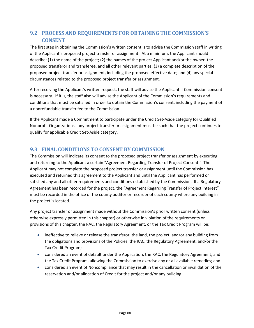# **9.2 PROCESS AND REQUIREMENTS FOR OBTAINING THE COMMISSION'S CONSENT**

The first step in obtaining the Commission's written consent is to advise the Commission staff in writing of the Applicant's proposed project transfer or assignment. At a minimum, the Applicant should describe: (1) the name of the project; (2) the names of the project Applicant and/or the owner, the proposed transferor and transferee, and all other relevant parties; (3) a complete description of the proposed project transfer or assignment, including the proposed effective date; and (4) any special circumstances related to the proposed project transfer or assignment.

After receiving the Applicant's written request, the staff will advise the Applicant if Commission consent is necessary. If it is, the staff also will advise the Applicant of the Commission's requirements and conditions that must be satisfied in order to obtain the Commission's consent, including the payment of a nonrefundable transfer fee to the Commission.

If the Applicant made a Commitment to participate under the Credit Set-Aside category for Qualified Nonprofit Organizations, any project transfer or assignment must be such that the project continues to qualify for applicable Credit Set-Aside category.

## **9.3 FINAL CONDITIONS TO CONSENT BY COMMISSION**

The Commission will indicate its consent to the proposed project transfer or assignment by executing and returning to the Applicant a certain "Agreement Regarding Transfer of Project Consent." The Applicant may not complete the proposed project transfer or assignment until the Commission has executed and returned this agreement to the Applicant and until the Applicant has performed or satisfied any and all other requirements and conditions established by the Commission. If a Regulatory Agreement has been recorded for the project, the "Agreement Regarding Transfer of Project Interest" must be recorded in the office of the county auditor or recorder of each county where any building in the project is located.

Any project transfer or assignment made without the Commission's prior written consent (unless otherwise expressly permitted in this chapter) or otherwise in violation of the requirements or provisions of this chapter, the RAC, the Regulatory Agreement, or the Tax Credit Program will be:

- ineffective to relieve or release the transferor, the land, the project, and/or any building from the obligations and provisions of the Policies, the RAC, the Regulatory Agreement, and/or the Tax Credit Program;
- considered an event of default under the Application, the RAC, the Regulatory Agreement, and the Tax Credit Program, allowing the Commission to exercise any or all available remedies; and
- considered an event of Noncompliance that may result in the cancellation or invalidation of the reservation and/or allocation of Credit for the project and/or any building.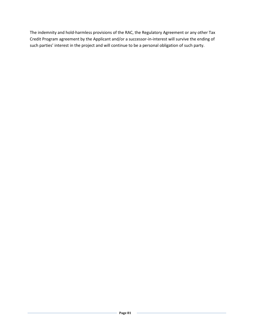The indemnity and hold-harmless provisions of the RAC, the Regulatory Agreement or any other Tax Credit Program agreement by the Applicant and/or a successor-in-interest will survive the ending of such parties' interest in the project and will continue to be a personal obligation of such party.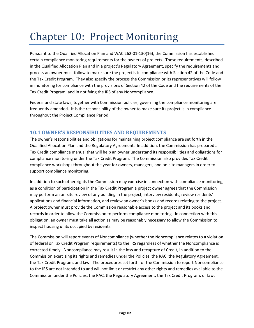# Chapter 10: Project Monitoring

Pursuant to the Qualified Allocation Plan and WAC 262-01-130(16), the Commission has established certain compliance monitoring requirements for the owners of projects. These requirements, described in the Qualified Allocation Plan and in a project's Regulatory Agreement, specify the requirements and process an owner must follow to make sure the project is in compliance with Section 42 of the Code and the Tax Credit Program. They also specify the process the Commission or its representatives will follow in monitoring for compliance with the provisions of Section 42 of the Code and the requirements of the Tax Credit Program, and in notifying the IRS of any Noncompliance.

Federal and state laws, together with Commission policies, governing the compliance monitoring are frequently amended. It is the responsibility of the owner to make sure its project is in compliance throughout the Project Compliance Period.

## **10.1 OWNER'S RESPONSIBILITIES AND REQUIREMENTS**

The owner's responsibilities and obligations for maintaining project compliance are set forth in the Qualified Allocation Plan and the Regulatory Agreement. In addition, the Commission has prepared a Tax Credit compliance manual that will help an owner understand its responsibilities and obligations for compliance monitoring under the Tax Credit Program. The Commission also provides Tax Credit compliance workshops throughout the year for owners, managers, and on-site managers in order to support compliance monitoring.

In addition to such other rights the Commission may exercise in connection with compliance monitoring, as a condition of participation in the Tax Credit Program a project owner agrees that the Commission may perform an on-site review of any building in the project, interview residents, review residents' applications and financial information, and review an owner's books and records relating to the project. A project owner must provide the Commission reasonable access to the project and its books and records in order to allow the Commission to perform compliance monitoring. In connection with this obligation, an owner must take all action as may be reasonably necessary to allow the Commission to inspect housing units occupied by residents.

The Commission will report events of Noncompliance (whether the Noncompliance relates to a violation of federal or Tax Credit Program requirements) to the IRS regardless of whether the Noncompliance is corrected timely. Noncompliance may result in the loss and recapture of Credit, in addition to the Commission exercising its rights and remedies under the Policies, the RAC, the Regulatory Agreement, the Tax Credit Program, and law. The procedures set forth for the Commission to report Noncompliance to the IRS are not intended to and will not limit or restrict any other rights and remedies available to the Commission under the Policies, the RAC, the Regulatory Agreement, the Tax Credit Program, or law.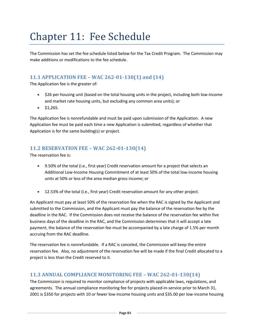# Chapter 11: Fee Schedule

The Commission has set the fee schedule listed below for the Tax Credit Program. The Commission may make additions or modifications to the fee schedule.

## **11.1 APPLICATION FEE – WAC 262-01-130(1) and (14)**

The Application fee is the greater of:

- \$26 per housing unit (based on the total housing units in the project, including both low-income and market rate housing units, but excluding any common area units); or
- $\bullet$  \$1,265.

The Application fee is nonrefundable and must be paid upon submission of the Application. A new Application fee must be paid each time a new Application is submitted, regardless of whether that Application is for the same building(s) or project.

## **11.2 RESERVATION FEE – WAC 262-01-130(14)**

The reservation fee is:

- 9.50% of the total (i.e., first year) Credit reservation amount for a project that selects an Additional Low-Income Housing Commitment of at least 50% of the total low-income housing units at 50% or less of the area median gross income; or
- 12.53% of the total (i.e., first year) Credit reservation amount for any other project.

An Applicant must pay at least 50% of the reservation fee when the RAC is signed by the Applicant and submitted to the Commission, and the Applicant must pay the balance of the reservation fee by the deadline in the RAC. If the Commission does not receive the balance of the reservation fee within five business days of the deadline in the RAC, and the Commission determines that it will accept a late payment, the balance of the reservation fee must be accompanied by a late charge of 1.5% per month accruing from the RAC deadline.

The reservation fee is nonrefundable. If a RAC is canceled, the Commission will keep the entire reservation fee. Also, no adjustment of the reservation fee will be made if the final Credit allocated to a project is less than the Credit reserved to it.

## **11.3 ANNUAL COMPLIANCE MONITORING FEE – WAC 262-01-130(14)**

The Commission is required to monitor compliance of projects with applicable laws, regulations, and agreements. The annual compliance monitoring fee for projects placed-in-service prior to March 31, 2001 is \$350 for projects with 10 or fewer low-income housing units and \$35.00 per low-income housing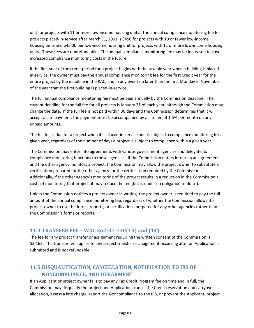unit for projects with 11 or more low-income housing units. The annual compliance monitoring fee for projects placed-in-service after March 31, 2001 is \$450 for projects with 10 or fewer low-income housing units and \$45.00 per low-income housing unit for projects with 11 or more low-income housing units. These fees are nonrefundable. The annual compliance monitoring fee may be increased to cover increased compliance monitoring costs in the future.

If the first year of the credit period for a project begins with the taxable year when a building is placedin-service, the owner must pay the annual compliance monitoring fee for the first Credit year for the entire project by the deadline in the RAC, and in any event no later than the first Monday in November of the year that the first building is placed-in-service.

The full annual compliance monitoring fee must be paid annually by the Commission deadline. The current deadline for the full fee for all projects is January 31 of each year, although the Commission may change the date. If the full fee is not paid within 30 days and the Commission determines that it will accept a late payment, the payment must be accompanied by a late fee of 1.5% per month on any unpaid amounts.

The full fee is due for a project when it is placed-in-service and is subject to compliance monitoring for a given year, regardless of the number of days a project is subject to compliance within a given year.

The Commission may enter into agreements with various government agencies and delegate its compliance monitoring functions to those agencies. If the Commission enters into such an agreement and the other agency monitors a project, the Commission may allow the project owner to substitute a certification prepared for the other agency for the certification required by the Commission. Additionally, if the other agency's monitoring of the project results in a reduction in the Commission's costs of monitoring that project, it may reduce the fee (but is under no obligation to do so).

Unless the Commission notifies a project owner in writing, the project owner is required to pay the full amount of the annual compliance monitoring fee, regardless of whether the Commission allows the project owner to use the forms, reports, or certifications prepared for any other agencies rather than the Commission's forms or reports.

## **11.4 TRANSFER FEE – WAC 262-01-130(13) and (14)**

The fee for any project transfer or assignment requiring the written consent of the Commission is \$3,162. The transfer fee applies to any project transfer or assignment occurring after an Application is submitted and is not refundable.

# **11.5 DISQUALIFICATION, CANCELLATION, NOTIFICATION TO IRS OF NONCOMPLIANCE, AND DEBARMENT**

If an Applicant or project owner fails to pay any Tax Credit Program fee on time and in full, the Commission may disqualify the project and Application, cancel the Credit reservation and carryover allocation, assess a late charge, report the Noncompliance to the IRS, or prevent the Applicant, project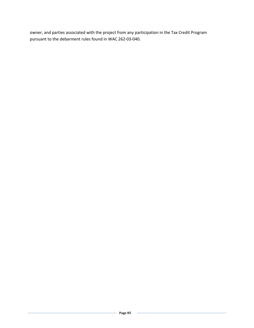owner, and parties associated with the project from any participation in the Tax Credit Program pursuant to the debarment rules found in WAC 262-03-040.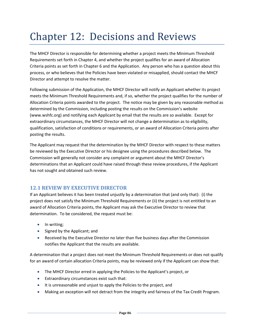# Chapter 12: Decisions and Reviews

The MHCF Director is responsible for determining whether a project meets the Minimum Threshold Requirements set forth in Chapter 4, and whether the project qualifies for an award of Allocation Criteria points as set forth in Chapter 6 and the Application. Any person who has a question about this process, or who believes that the Policies have been violated or misapplied, should contact the MHCF Director and attempt to resolve the matter.

Following submission of the Application, the MHCF Director will notify an Applicant whether its project meets the Minimum Threshold Requirements and, if so, whether the project qualifies for the number of Allocation Criteria points awarded to the project. The notice may be given by any reasonable method as determined by the Commission, including posting the results on the Commission's website (www.wshfc.org) and notifying each Applicant by email that the results are so available. Except for extraordinary circumstances, the MHCF Director will not change a determination as to eligibility, qualification, satisfaction of conditions or requirements, or an award of Allocation Criteria points after posting the results.

The Applicant may request that the determination by the MHCF Director with respect to these matters be reviewed by the Executive Director or his designee using the procedures described below. The Commission will generally not consider any complaint or argument about the MHCF Director's determinations that an Applicant could have raised through these review procedures, if the Applicant has not sought and obtained such review.

## **12.1 REVIEW BY EXECUTIVE DIRECTOR**

If an Applicant believes it has been treated unjustly by a determination that (and only that): (i) the project does not satisfy the Minimum Threshold Requirements or (ii) the project is not entitled to an award of Allocation Criteria points, the Applicant may ask the Executive Director to review that determination. To be considered, the request must be:

- In writing;
- Signed by the Applicant; and
- Received by the Executive Director no later than five business days after the Commission notifies the Applicant that the results are available.

A determination that a project does not meet the Minimum Threshold Requirements or does not qualify for an award of certain allocation Criteria points, may be reviewed only if the Applicant can show that:

- The MHCF Director erred in applying the Policies to the Applicant's project, or
- Extraordinary circumstances exist such that:
- It is unreasonable and unjust to apply the Policies to the project, and
- Making an exception will not detract from the integrity and fairness of the Tax Credit Program.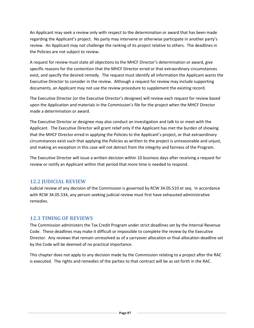An Applicant may seek a review only with respect to the determination or award that has been made regarding the Applicant's project. No party may intervene or otherwise participate in another party's review. An Applicant may not challenge the ranking of its project relative to others. The deadlines in the Policies are not subject to review.

A request for review must state all objections to the MHCF Director's determination or award, give specific reasons for the contention that the MHCF Director erred or that extraordinary circumstances exist, and specify the desired remedy. The request must identify all information the Applicant wants the Executive Director to consider in the review. Although a request for review may include supporting documents, an Applicant may not use the review procedure to supplement the existing record.

The Executive Director (or the Executive Director's designee) will review each request for review based upon the Application and materials in the Commission's file for the project when the MHCF Director made a determination or award.

The Executive Director or designee may also conduct an investigation and talk to or meet with the Applicant. The Executive Director will grant relief only if the Applicant has met the burden of showing that the MHCF Director erred in applying the Policies to the Applicant's project, or that extraordinary circumstances exist such that applying the Policies as written to the project is unreasonable and unjust, and making an exception in this case will not detract from the integrity and fairness of the Program.

The Executive Director will issue a written decision within 10 business days after receiving a request for review or notify an Applicant within that period that more time is needed to respond.

## **12.2 JUDICIAL REVIEW**

Judicial review of any decision of the Commission is governed by RCW 34.05.510 et seq. In accordance with RCW 34.05.534, any person seeking judicial review must first have exhausted administrative remedies.

#### **12.3 TIMING OF REVIEWS**

The Commission administers the Tax Credit Program under strict deadlines set by the Internal Revenue Code. These deadlines may make it difficult or impossible to complete the review by the Executive Director. Any reviews that remain unresolved as of a carryover allocation or final allocation deadline set by the Code will be deemed of no practical importance.

This chapter does not apply to any decision made by the Commission relating to a project after the RAC is executed. The rights and remedies of the parties to that contract will be as set forth in the RAC.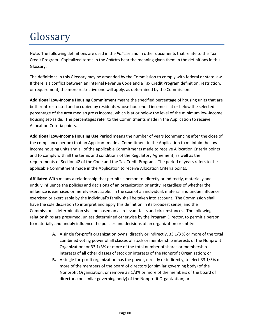# Glossary

Note: The following definitions are used in the *Policies* and in other documents that relate to the Tax Credit Program. Capitalized terms in the *Policies* bear the meaning given them in the definitions in this Glossary.

The definitions in this Glossary may be amended by the Commission to comply with federal or state law. If there is a conflict between an Internal Revenue Code and a Tax Credit Program definition, restriction, or requirement, the more restrictive one will apply, as determined by the Commission.

**Additional Low-Income Housing Commitment** means the specified percentage of housing units that are both rent-restricted and occupied by residents whose household income is at or below the selected percentage of the area median gross income, which is at or below the level of the minimum low-income housing set-aside. The percentages refer to the Commitments made in the Application to receive Allocation Criteria points.

**Additional Low-Income Housing Use Period** means the number of years (commencing after the close of the compliance period) that an Applicant made a Commitment in the Application to maintain the lowincome housing units and all of the applicable Commitments made to receive Allocation Criteria points and to comply with all the terms and conditions of the Regulatory Agreement, as well as the requirements of Section 42 of the Code and the Tax Credit Program. The period of years refers to the applicable Commitment made in the Application to receive Allocation Criteria points.

**Affiliated With** means a relationship that permits a person to, directly or indirectly, materially and unduly influence the policies and decisions of an organization or entity, regardless of whether the influence is exercised or merely exercisable. In the case of an individual, material and undue influence exercised or exercisable by the individual's family shall be taken into account. The Commission shall have the sole discretion to interpret and apply this definition in its broadest sense, and the Commission's determination shall be based on all relevant facts and circumstances. The following relationships are presumed, unless determined otherwise by the Program Director, to permit a person to materially and unduly influence the policies and decisions of an organization or entity:

- **A.** A single for-profit organization owns, directly or indirectly, 33 1/3 % or more of the total combined voting power of all classes of stock or membership interests of the Nonprofit Organization; or 33 1/3% or more of the total number of shares or membership interests of all other classes of stock or interests of the Nonprofit Organization; or
- **B.** A single for-profit organization has the power, directly or indirectly, to elect 33 1/3% or more of the members of the board of directors (or similar governing body) of the Nonprofit Organization; or remove 33 1/3% or more of the members of the board of directors (or similar governing body) of the Nonprofit Organization; or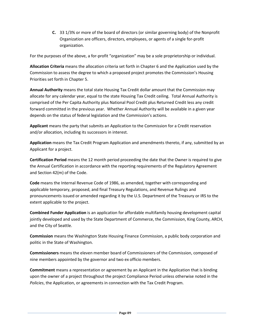**C.** 33 1/3% or more of the board of directors (or similar governing body) of the Nonprofit Organization are officers, directors, employees, or agents of a single for-profit organization.

For the purposes of the above, a for-profit "organization" may be a sole proprietorship or individual.

**Allocation Criteria** means the allocation criteria set forth in Chapter 6 and the Application used by the Commission to assess the degree to which a proposed project promotes the Commission's Housing Priorities set forth in Chapter 5.

**Annual Authority** means the total state Housing Tax Credit dollar amount that the Commission may allocate for any calendar year, equal to the state Housing Tax Credit ceiling. Total Annual Authority is comprised of the Per Capita Authority plus National Pool Credit plus Returned Credit less any credit forward committed in the previous year. Whether Annual Authority will be available in a given year depends on the status of federal legislation and the Commission's actions.

**Applicant** means the party that submits an Application to the Commission for a Credit reservation and/or allocation, including its successors in interest.

**Application** means the Tax Credit Program Application and amendments thereto, if any, submitted by an Applicant for a project.

**Certification Period** means the 12 month period proceeding the date that the Owner is required to give the Annual Certification in accordance with the reporting requirements of the Regulatory Agreement and Section 42(m) of the Code.

**Code** means the Internal Revenue Code of 1986, as amended, together with corresponding and applicable temporary, proposed, and final Treasury Regulations, and Revenue Rulings and pronouncements issued or amended regarding it by the U.S. Department of the Treasury or IRS to the extent applicable to the project.

**Combined Funder Application** is an application for affordable multifamily housing development capital jointly developed and used by the State Department of Commerce, the Commission, King County, ARCH, and the City of Seattle.

**Commission** means the Washington State Housing Finance Commission, a public body corporation and politic in the State of Washington.

**Commissioners** means the eleven member board of Commissioners of the Commission, composed of nine members appointed by the governor and two ex officio members.

**Commitment** means a representation or agreement by an Applicant in the Application that is binding upon the owner of a project throughout the project Compliance Period unless otherwise noted in the *Policies*, the Application, or agreements in connection with the Tax Credit Program.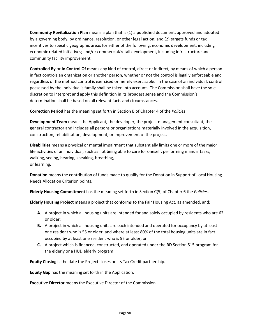**Community Revitalization Plan** means a plan that is (1) a published document, approved and adopted by a governing body, by ordinance, resolution, or other legal action; and (2) targets funds or tax incentives to specific geographic areas for either of the following: economic development, including economic related initiatives; and/or commercial/retail development, including infrastructure and community facility improvement.

**Controlled By** or **In Control Of** means any kind of control, direct or indirect, by means of which a person in fact controls an organization or another person, whether or not the control is legally enforceable and regardless of the method control is exercised or merely exercisable. In the case of an individual, control possessed by the individual's family shall be taken into account. The Commission shall have the sole discretion to interpret and apply this definition in its broadest sense and the Commission's determination shall be based on all relevant facts and circumstances.

**Correction Period** has the meaning set forth in Section B of Chapter 4 of the *Policies*.

**Development Team** means the Applicant, the developer, the project management consultant, the general contractor and includes all persons or organizations materially involved in the acquisition, construction, rehabilitation, development, or improvement of the project.

**Disabilities** means a physical or mental impairment that substantially limits one or more of the major life activities of an individual, such as not being able to care for oneself, performing manual tasks, walking, seeing, hearing, speaking, breathing, or learning.

**Donation** means the contribution of funds made to qualify for the Donation in Support of Local Housing Needs Allocation Criterion points.

**Elderly Housing Commitment** has the meaning set forth in Section C(5) of Chapter 6 the *Policies*.

**Elderly Housing Project** means a project that conforms to the Fair Housing Act, as amended, and:

- **A.** A project in which all housing units are intended for and solely occupied by residents who are 62 or older;
- **B.** A project in which all housing units are each intended and operated for occupancy by at least one resident who is 55 or older, and where at least 80% of the total housing units are in fact occupied by at least one resident who is 55 or older; or
- **C.** A project which is financed, constructed, and operated under the RD Section 515 program for the elderly or a HUD elderly program

**Equity Closing** is the date the Project closes on its Tax Credit partnership.

**Equity Gap** has the meaning set forth in the Application.

**Executive Director** means the Executive Director of the Commission.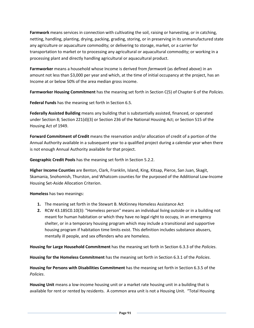**Farmwork** means services in connection with cultivating the soil, raising or harvesting, or in catching, netting, handling, planting, drying, packing, grading, storing, or in preserving in its unmanufactured state any agriculture or aquaculture commodity; or delivering to storage, market, or a carrier for transportation to market or to processing any agricultural or aquacultural commodity; or working in a processing plant and directly handling agricultural or aquacultural product.

**Farmworker** means a household whose Income is derived from *farmwork* (as defined above) in an amount not less than \$3,000 per year and which, at the time of initial occupancy at the project, has an Income at or below 50% of the area median gross income.

**Farmworker Housing Commitment** has the meaning set forth in Section C(5) of Chapter 6 of the *Policies*.

**Federal Funds** has the meaning set forth in Section 6.5.

**Federally Assisted Building** means any building that is substantially assisted, financed, or operated under Section 8; Section 221(d)(3) or Section 236 of the National Housing Act; or Section 515 of the Housing Act of 1949.

**Forward Commitment of Credit** means the reservation and/or allocation of credit of a portion of the Annual Authority available in a subsequent year to a qualified project during a calendar year when there is not enough Annual Authority available for that project.

**Geographic Credit Pools** has the meaning set forth in Section 5.2.2.

**Higher Income Counties** are Benton, Clark, Franklin, Island, King, Kitsap, Pierce, San Juan, Skagit, Skamania, Snohomish, Thurston, and Whatcom counties for the purposed of the Additional Low-Income Housing Set-Aside Allocation Criterion.

**Homeless** has two meanings:

- **1.** The meaning set forth in the Stewart B. McKinney Homeless Assistance Act
- **2.** RCW 43.185C0.10(3): "Homeless person" means an individual living outside or in a building not meant for human habitation or which they have no legal right to occupy, in an emergency shelter, or in a temporary housing program which may include a transitional and supportive housing program if habitation time limits exist. This definition includes substance abusers, mentally ill people, and sex offenders who are homeless.

**Housing for Large Household Commitment** has the meaning set forth in Section 6.3.3 of the *Policies*.

**Housing for the Homeless Commitment** has the meaning set forth in Section 6.3.1 of the *Policies*.

**Housing for Persons with Disabilities Commitment** has the meaning set forth in Section 6.3.5 of the *Policies*.

**Housing Unit** means a low-income housing unit or a market rate housing unit in a building that is available for rent or rented by residents. A common area unit is not a Housing Unit. "Total Housing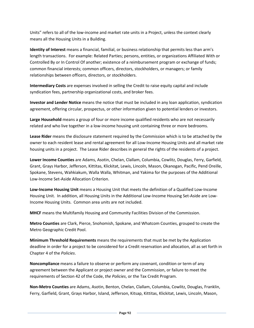Units" refers to all of the low-income and market rate units in a Project, unless the context clearly means all the Housing Units in a Building.

**Identity of Interest** means a financial, familial, or business relationship that permits less than arm's length transactions. For example: Related Parties; persons, entities, or organizations Affiliated With or Controlled By or In Control Of another; existence of a reimbursement program or exchange of funds; common financial interests; common officers, directors, stockholders, or managers; or family relationships between officers, directors, or stockholders.

**Intermediary Costs** are expenses involved in selling the Credit to raise equity capital and include syndication fees, partnership organizational costs, and broker fees.

**Investor and Lender Notice** means the notice that must be included in any loan application, syndication agreement, offering circular, prospectus, or other information given to potential lenders or investors.

**Large Household** means a group of four or more income qualified residents who are not necessarily related and who live together in a low-income housing unit containing three or more bedrooms.

**Lease Rider** means the disclosure statement required by the Commission which is to be attached by the owner to each resident lease and rental agreement for all Low-Income Housing Units and all market rate housing units in a project. The Lease Rider describes in general the rights of the residents of a project.

**Lower Income Counties** are Adams, Asotin, Chelan, Clallam, Columbia, Cowlitz, Douglas, Ferry, Garfield, Grant, Grays Harbor, Jefferson, Kittitas, Klickitat, Lewis, Lincoln, Mason, Okanogan, Pacific, Pend Oreille, Spokane, Stevens, Wahkiakum, Walla Walla, Whitman, and Yakima for the purposes of the Additional Low-Income Set-Aside Allocation Criterion.

**Low-Income Housing Unit** means a Housing Unit that meets the definition of a Qualified Low-Income Housing Unit. In addition, all Housing Units in the Additional Low-Income Housing Set-Aside are Low-Income Housing Units. Common area units are not included.

**MHCF** means the Multifamily Housing and Community Facilities Division of the Commission.

**Metro Counties** are Clark, Pierce, Snohomish, Spokane, and Whatcom Counties, grouped to create the Metro Geographic Credit Pool.

**Minimum Threshold Requirements** means the requirements that must be met by the Application deadline in order for a project to be considered for a Credit reservation and allocation, all as set forth in Chapter 4 of the *Policies*.

**Noncompliance** means a failure to observe or perform any covenant, condition or term of any agreement between the Applicant or project owner and the Commission, or failure to meet the requirements of Section 42 of the Code, *the Policies*, or the Tax Credit Program.

**Non-Metro Counties** are Adams, Asotin, Benton, Chelan, Clallam, Columbia, Cowlitz, Douglas, Franklin, Ferry, Garfield, Grant, Grays Harbor, Island, Jefferson, Kitsap, Kittitas, Klickitat, Lewis, Lincoln, Mason,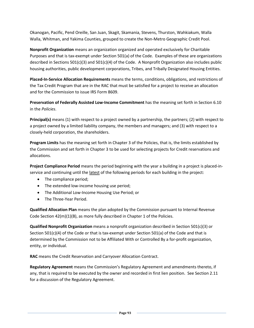Okanogan, Pacific, Pend Oreille, San Juan, Skagit, Skamania, Stevens, Thurston, Wahkiakum, Walla Walla, Whitman, and Yakima Counties, grouped to create the Non-Metro Geographic Credit Pool.

**Nonprofit Organization** means an organization organized and operated exclusively for Charitable Purposes and that is tax-exempt under Section 501(a) of the Code. Examples of these are organizations described in Sections 501(c)(3) and 501(c)(4) of the Code. A Nonprofit Organization also includes public housing authorities, public development corporations, Tribes, and Tribally Designated Housing Entities.

**Placed-In-Service Allocation Requirements** means the terms, conditions, obligations, and restrictions of the Tax Credit Program that are in the RAC that must be satisfied for a project to receive an allocation and for the Commission to issue IRS Form 8609.

**Preservation of Federally Assisted Low-Income Commitment** has the meaning set forth in Section 6.10 in the *Policies*.

**Principal(s)** means (1) with respect to a project owned by a partnership, the partners; (2) with respect to a project owned by a limited liability company, the members and managers; and (3) with respect to a closely-held corporation, the shareholders.

**Program Limits** has the meaning set forth in Chapter 3 of the Policies, that is, the limits established by the Commission and set forth in Chapter 3 to be used for selecting projects for Credit reservations and allocations.

**Project Compliance Period** means the period beginning with the year a building in a project is placed-inservice and continuing until the latest of the following periods for each building in the project:

- The compliance period;
- The extended low-income housing use period;
- The Additional Low-Income Housing Use Period; or
- The Three-Year Period.

**Qualified Allocation Plan** means the plan adopted by the Commission pursuant to Internal Revenue Code Section 42(m)(1)(B), as more fully described in Chapter 1 of the Policies.

**Qualified Nonprofit Organization** means a nonprofit organization described in Section 501(c)(3) or Section 501(c)(4) of the Code or that is tax-exempt under Section 501(a) of the Code and that is determined by the Commission not to be Affiliated With or Controlled By a for-profit organization, entity, or individual.

**RAC** means the Credit Reservation and Carryover Allocation Contract.

**Regulatory Agreement** means the Commission's Regulatory Agreement and amendments thereto, if any, that is required to be executed by the owner and recorded in first lien position. See Section 2.11 for a discussion of the Regulatory Agreement.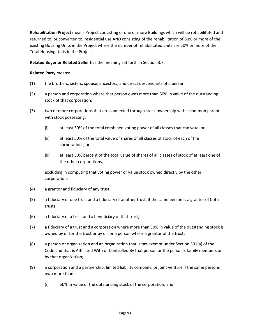**Rehabilitation Project** means Project consisting of one or more Buildings which will be rehabilitated and returned to, or converted to, residential use AND consisting of the rehabilitation of 80% or more of the existing Housing Units in the Project where the number of rehabilitated units are 50% or more of the Total Housing Units in the Project.

**Related Buyer or Related Seller** has the meaning set forth in Section 3.7.

#### **Related Party** means:

- (1) the brothers, sisters, spouse, ancestors, and direct descendants of a person;
- (2) a person and corporation where that person owns more than 50% in value of the outstanding stock of that corporation;
- (3) two or more corporations that are connected through stock ownership with a common parent with stock possessing:
	- (i) at least 50% of the total combined voting power of all classes that can vote, or
	- (ii) at least 50% of the total value of shares of all classes of stock of each of the corporations, or
	- (iii) at least 50% percent of the total value of shares of all classes of stock of at least one of the other corporations,

excluding in computing that voting power or value stock owned directly by the other corporation;

- (4) a grantor and fiduciary of any trust;
- (5) a fiduciary of one trust and a fiduciary of another trust, if the same person is a grantor of both trusts;
- (6) a fiduciary of a trust and a beneficiary of that trust;
- (7) a fiduciary of a trust and a corporation where more than 50% in value of the outstanding stock is owned by or for the trust or by or for a person who is a grantor of the trust;
- (8) a person or organization and an organization that is tax-exempt under Section 501(a) of the Code and that is Affiliated With or Controlled By that person or the person's family members or by that organization;
- (9) a corporation and a partnership, limited liability company, or joint venture if the same persons own more than:
	- (i) 50% in value of the outstanding stock of the corporation; and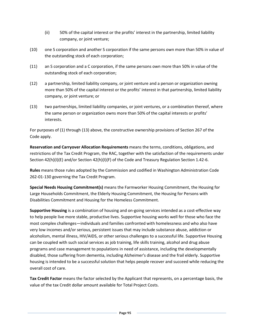- (ii) 50% of the capital interest or the profits' interest in the partnership, limited liability company, or joint venture;
- (10) one S corporation and another S corporation if the same persons own more than 50% in value of the outstanding stock of each corporation;
- (11) an S corporation and a C corporation, if the same persons own more than 50% in value of the outstanding stock of each corporation;
- (12) a partnership, limited liability company, or joint venture and a person or organization owning more than 50% of the capital interest or the profits' interest in that partnership, limited liability company, or joint venture; or
- (13) two partnerships, limited liability companies, or joint ventures, or a combination thereof, where the same person or organization owns more than 50% of the capital interests or profits' interests.

For purposes of (1) through (13) above, the constructive ownership provisions of Section 267 of the Code apply.

**Reservation and Carryover Allocation Requirements** means the terms, conditions, obligations, and restrictions of the Tax Credit Program, the RAC, together with the satisfaction of the requirements under Section 42(h)(I)(E) and/or Section 42(h)(I)(F) of the Code and Treasury Regulation Section 1.42-6.

**Rules** means those rules adopted by the Commission and codified in Washington Administration Code 262-01-130 governing the Tax Credit Program.

**Special Needs Housing Commitment(s)** means the Farmworker Housing Commitment, the Housing for Large Households Commitment, the Elderly Housing Commitment, the Housing for Persons with Disabilities Commitment and Housing for the Homeless Commitment.

**Supportive Housing** is a combination of housing and on-going services intended as a cost-effective way to help people live more stable, productive lives. Supportive housing works well for those who face the most complex challenges—individuals and families confronted with homelessness and who also have very low incomes and/or serious, persistent issues that may include substance abuse, addiction or alcoholism, mental illness, HIV/AIDS, or other serious challenges to a successful life. Supportive Housing can be coupled with such social services as job training, life skills training, alcohol and drug abuse programs and case management to populations in need of assistance, including the developmentally disabled, those suffering from dementia, including Alzheimer's disease and the frail elderly. Supportive housing is intended to be a successful solution that helps people recover and succeed while reducing the overall cost of care.

**Tax Credit Factor** means the factor selected by the Applicant that represents, on a percentage basis, the value of the tax Credit dollar amount available for Total Project Costs.